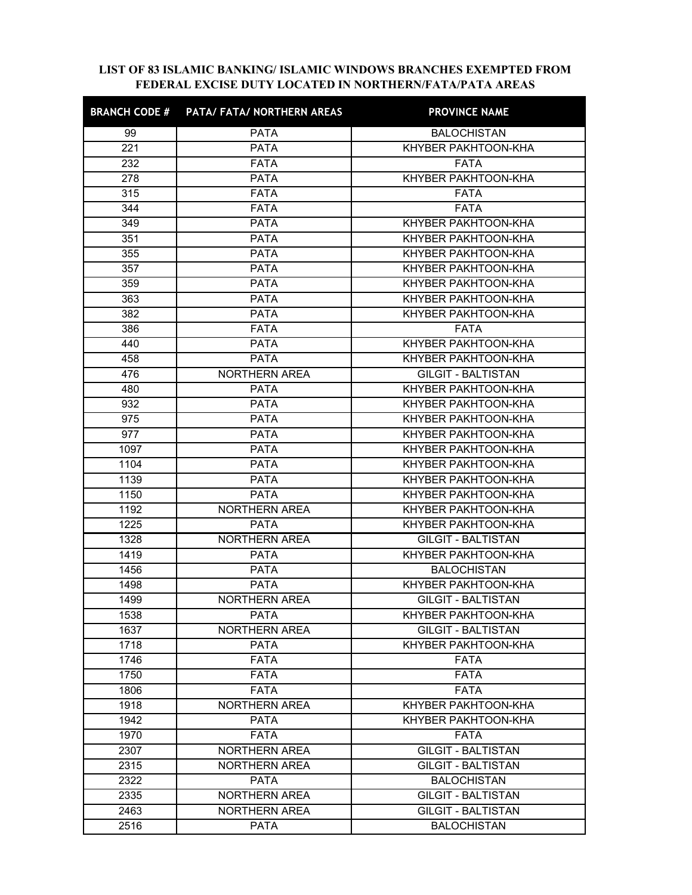## LIST OF 83 ISLAMIC BANKING/ ISLAMIC WINDOWS BRANCHES EXEMPTED FROM FEDERAL EXCISE DUTY LOCATED IN NORTHERN/FATA/PATA AREAS

| <b>BRANCH CODE #</b> | PATA/ FATA/ NORTHERN AREAS | FEDERAL EXCISE DUTY LOCATED IN NORTHERN/FATA/PATA AREAS<br><b>PROVINCE NAME</b> |
|----------------------|----------------------------|---------------------------------------------------------------------------------|
| 99                   | <b>PATA</b>                | <b>BALOCHISTAN</b>                                                              |
| 221                  | <b>PATA</b>                | KHYBER PAKHTOON-KHA                                                             |
| 232                  | <b>FATA</b>                | <b>FATA</b>                                                                     |
| 278                  | <b>PATA</b>                | KHYBER PAKHTOON-KHA                                                             |
| 315                  | <b>FATA</b>                | <b>FATA</b>                                                                     |
| 344                  | <b>FATA</b>                | <b>FATA</b>                                                                     |
| 349                  | <b>PATA</b>                | KHYBER PAKHTOON-KHA                                                             |
| 351                  | <b>PATA</b>                | KHYBER PAKHTOON-KHA                                                             |
| 355                  | <b>PATA</b>                | KHYBER PAKHTOON-KHA                                                             |
| 357<br>359           | <b>PATA</b><br><b>PATA</b> | KHYBER PAKHTOON-KHA<br>KHYBER PAKHTOON-KHA                                      |
| 363                  | <b>PATA</b>                | KHYBER PAKHTOON-KHA                                                             |
| 382                  | <b>PATA</b>                | KHYBER PAKHTOON-KHA                                                             |
| 386                  | <b>FATA</b>                | <b>FATA</b>                                                                     |
| 440                  | <b>PATA</b>                | <b>KHYBER PAKHTOON-KHA</b>                                                      |
| 458                  | <b>PATA</b>                | KHYBER PAKHTOON-KHA                                                             |
| 476                  | NORTHERN AREA              | <b>GILGIT - BALTISTAN</b>                                                       |
| 480                  | <b>PATA</b>                | KHYBER PAKHTOON-KHA                                                             |
| 932                  | <b>PATA</b>                | KHYBER PAKHTOON-KHA                                                             |
| 975                  | <b>PATA</b>                | KHYBER PAKHTOON-KHA                                                             |
| 977<br>1097          | <b>PATA</b><br><b>PATA</b> | KHYBER PAKHTOON-KHA                                                             |
| 1104                 | <b>PATA</b>                | KHYBER PAKHTOON-KHA<br>KHYBER PAKHTOON-KHA                                      |
| 1139                 | <b>PATA</b>                | KHYBER PAKHTOON-KHA                                                             |
| 1150                 | <b>PATA</b>                | KHYBER PAKHTOON-KHA                                                             |
| 1192                 | NORTHERN AREA              | KHYBER PAKHTOON-KHA                                                             |
| 1225                 | <b>PATA</b>                | KHYBER PAKHTOON-KHA                                                             |
| 1328                 | NORTHERN AREA              | <b>GILGIT - BALTISTAN</b>                                                       |
| 1419                 | <b>PATA</b>                | KHYBER PAKHTOON-KHA                                                             |
| 1456                 | <b>PATA</b>                | <b>BALOCHISTAN</b>                                                              |
| 1498                 | <b>PATA</b>                | KHYBER PAKHTOON-KHA                                                             |
| 1499                 | <b>NORTHERN AREA</b>       | <b>GILGIT - BALTISTAN</b>                                                       |
| 1538                 | <b>PATA</b>                | KHYBER PAKHTOON-KHA                                                             |
| 1637                 | NORTHERN AREA              | <b>GILGIT - BALTISTAN</b>                                                       |
| 1718                 | <b>PATA</b>                | KHYBER PAKHTOON-KHA                                                             |
| 1746<br>1750         | <b>FATA</b><br><b>FATA</b> | <b>FATA</b><br><b>FATA</b>                                                      |
| 1806                 | <b>FATA</b>                | <b>FATA</b>                                                                     |
| 1918                 | NORTHERN AREA              | KHYBER PAKHTOON-KHA                                                             |
| 1942                 | <b>PATA</b>                | KHYBER PAKHTOON-KHA                                                             |
| 1970                 | <b>FATA</b>                | <b>FATA</b>                                                                     |
| 2307                 | <b>NORTHERN AREA</b>       | <b>GILGIT - BALTISTAN</b>                                                       |
| 2315                 | <b>NORTHERN AREA</b>       | <b>GILGIT - BALTISTAN</b>                                                       |
| 2322                 | <b>PATA</b>                | <b>BALOCHISTAN</b>                                                              |
| 2335                 | NORTHERN AREA              | <b>GILGIT - BALTISTAN</b>                                                       |
| 2463                 | NORTHERN AREA              | <b>GILGIT - BALTISTAN</b>                                                       |
| 2516                 | <b>PATA</b>                | <b>BALOCHISTAN</b>                                                              |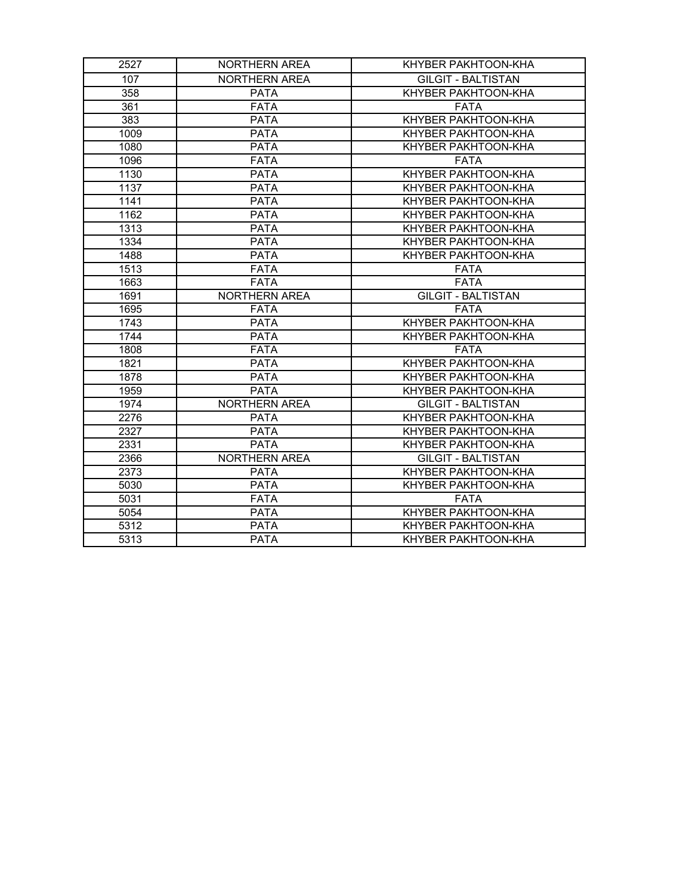| 2527         | <b>NORTHERN AREA</b>       | KHYBER PAKHTOON-KHA                        |
|--------------|----------------------------|--------------------------------------------|
| 107          | <b>NORTHERN AREA</b>       | <b>GILGIT - BALTISTAN</b>                  |
| 358          | <b>PATA</b>                | <b>KHYBER PAKHTOON-KHA</b>                 |
| 361          | <b>FATA</b>                | <b>FATA</b>                                |
| 383          | <b>PATA</b>                | <b>KHYBER PAKHTOON-KHA</b>                 |
| 1009         | <b>PATA</b>                | KHYBER PAKHTOON-KHA                        |
| 1080         | <b>PATA</b>                | KHYBER PAKHTOON-KHA                        |
| 1096         | <b>FATA</b>                | <b>FATA</b>                                |
| 1130         | <b>PATA</b>                | KHYBER PAKHTOON-KHA                        |
| 1137         | <b>PATA</b><br><b>PATA</b> | KHYBER PAKHTOON-KHA                        |
| 1141<br>1162 | <b>PATA</b>                | KHYBER PAKHTOON-KHA<br>KHYBER PAKHTOON-KHA |
| 1313         | <b>PATA</b>                | KHYBER PAKHTOON-KHA                        |
| 1334         | <b>PATA</b>                | KHYBER PAKHTOON-KHA                        |
| 1488         | <b>PATA</b>                | KHYBER PAKHTOON-KHA                        |
| 1513         | <b>FATA</b>                | <b>FATA</b>                                |
| 1663         | <b>FATA</b>                | <b>FATA</b>                                |
| 1691         | NORTHERN AREA              | <b>GILGIT - BALTISTAN</b>                  |
| 1695         | <b>FATA</b>                | <b>FATA</b>                                |
| 1743         | <b>PATA</b>                | KHYBER PAKHTOON-KHA                        |
| 1744         | PATA                       | KHYBER PAKHTOON-KHA                        |
| 1808<br>1821 | <b>FATA</b><br>PATA        | <b>FATA</b><br>KHYBER PAKHTOON-KHA         |
| 1878         | PATA                       | KHYBER PAKHTOON-KHA                        |
| 1959         | <b>PATA</b>                | KHYBER PAKHTOON-KHA                        |
| 1974         | <b>NORTHERN AREA</b>       | <b>GILGIT - BALTISTAN</b>                  |
| 2276         | <b>PATA</b>                | KHYBER PAKHTOON-KHA                        |
| 2327         | PATA                       | KHYBER PAKHTOON-KHA                        |
| 2331         | <b>PATA</b>                | KHYBER PAKHTOON-KHA                        |
| 2366         | NORTHERN AREA              | <b>GILGIT - BALTISTAN</b>                  |
| 2373         | <b>PATA</b>                | KHYBER PAKHTOON-KHA                        |
| 5030         | <b>PATA</b>                | KHYBER PAKHTOON-KHA                        |
| 5031         | <b>FATA</b>                | <b>FATA</b>                                |
| 5054<br>5312 | <b>PATA</b><br><b>PATA</b> | KHYBER PAKHTOON-KHA<br>KHYBER PAKHTOON-KHA |
| 5313         | <b>PATA</b>                | KHYBER PAKHTOON-KHA                        |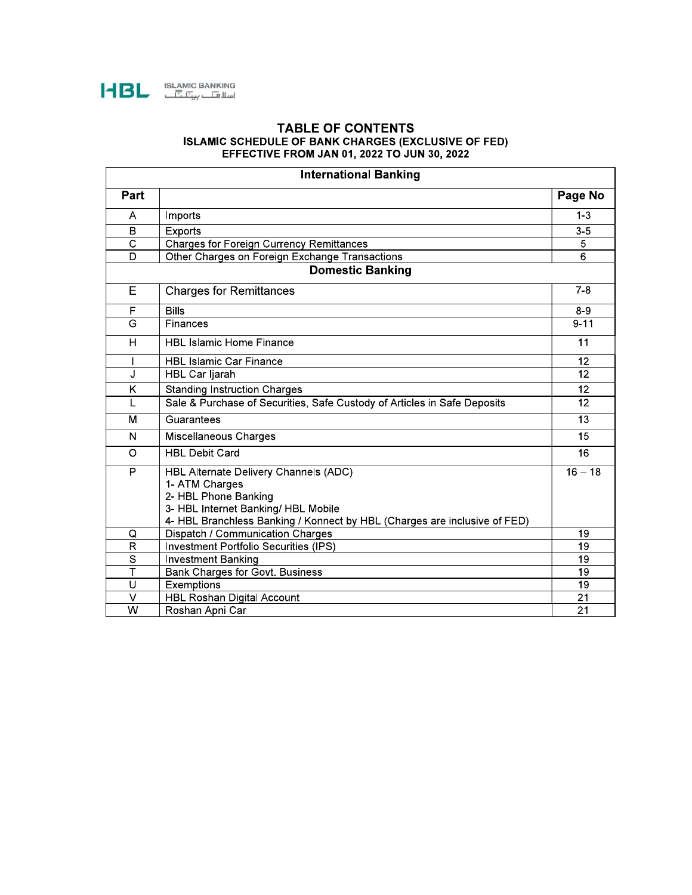

## **TABLE OF CONTENTS** ISLAMIC SCHEDULE OF BANK CHARGES (EXCLUSIVE OF FED)<br>EFFECTIVE FROM JAN 01, 2022 TO JUN 30, 2022

|                         | <b>International Banking</b>                                                                                                                                                                        |           |
|-------------------------|-----------------------------------------------------------------------------------------------------------------------------------------------------------------------------------------------------|-----------|
| Part                    |                                                                                                                                                                                                     | Page No   |
| A                       | Imports                                                                                                                                                                                             | $1 - 3$   |
| B                       | <b>Exports</b>                                                                                                                                                                                      | $3-5$     |
| $\overline{\text{c}}$   | <b>Charges for Foreign Currency Remittances</b>                                                                                                                                                     | 5         |
| $\overline{D}$          | Other Charges on Foreign Exchange Transactions                                                                                                                                                      | 6         |
|                         | <b>Domestic Banking</b>                                                                                                                                                                             |           |
| E                       | <b>Charges for Remittances</b>                                                                                                                                                                      | $7 - 8$   |
| F                       | <b>Bills</b>                                                                                                                                                                                        | $8 - 9$   |
| G                       | Finances                                                                                                                                                                                            | $9 - 11$  |
| H                       | <b>HBL Islamic Home Finance</b>                                                                                                                                                                     | 11        |
|                         | <b>HBL Islamic Car Finance</b>                                                                                                                                                                      | 12        |
| J                       | HBL Car Ijarah                                                                                                                                                                                      | 12        |
| K                       | <b>Standing Instruction Charges</b>                                                                                                                                                                 | 12        |
| L                       | Sale & Purchase of Securities, Safe Custody of Articles in Safe Deposits                                                                                                                            | 12        |
| M                       | Guarantees                                                                                                                                                                                          | 13        |
| N                       | <b>Miscellaneous Charges</b>                                                                                                                                                                        | 15        |
| O                       | <b>HBL Debit Card</b>                                                                                                                                                                               | 16        |
| P                       | HBL Alternate Delivery Channels (ADC)<br>1- ATM Charges<br>2- HBL Phone Banking<br>3- HBL Internet Banking/ HBL Mobile<br>4- HBL Branchless Banking / Konnect by HBL (Charges are inclusive of FED) | $16 - 18$ |
| Q                       | Dispatch / Communication Charges                                                                                                                                                                    | 19        |
| $\mathsf{R}$            | Investment Portfolio Securities (IPS)                                                                                                                                                               | 19        |
| $\overline{s}$          | <b>Investment Banking</b>                                                                                                                                                                           | 19        |
| $\overline{\mathsf{T}}$ | Bank Charges for Govt. Business                                                                                                                                                                     | 19        |
| U                       | Exemptions                                                                                                                                                                                          | 19        |
| V                       | <b>HBL Roshan Digital Account</b>                                                                                                                                                                   | 21        |
| W                       | Roshan Apni Car                                                                                                                                                                                     | 21        |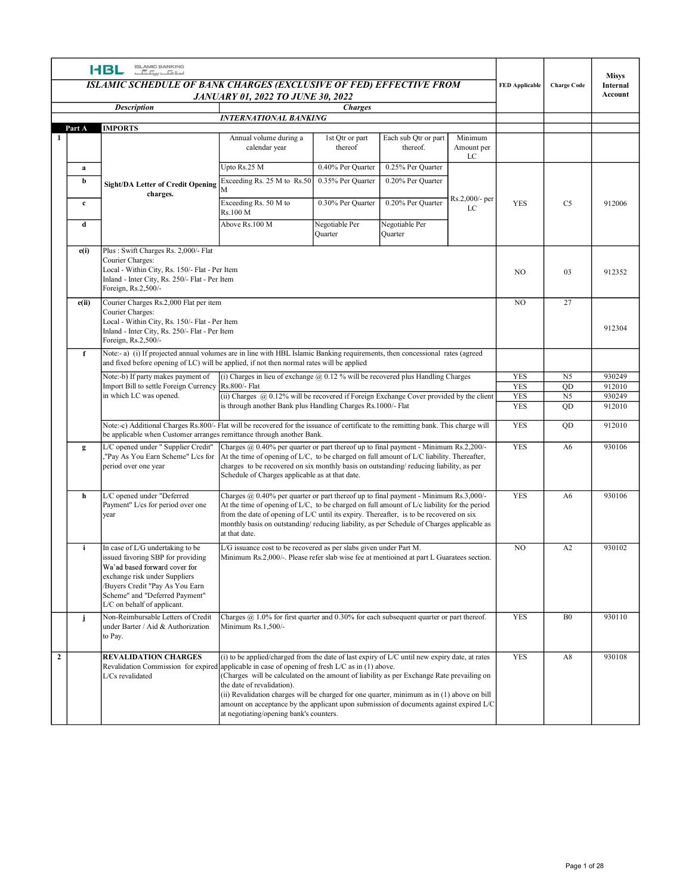|                | ISLAMIC BANKING<br>اسلا <del>ما</del> سی <del>کا</del><br><b>HBL</b>                                                                                                                                                                        |                                                                                                                                                                                                                                                                                                                                                                                                                                                               |                                        |                                        |                       |                          |                                   | Misys               |
|----------------|---------------------------------------------------------------------------------------------------------------------------------------------------------------------------------------------------------------------------------------------|---------------------------------------------------------------------------------------------------------------------------------------------------------------------------------------------------------------------------------------------------------------------------------------------------------------------------------------------------------------------------------------------------------------------------------------------------------------|----------------------------------------|----------------------------------------|-----------------------|--------------------------|-----------------------------------|---------------------|
|                | <b>ISLAMIC SCHEDULE OF BANK CHARGES (EXCLUSIVE OF FED) EFFECTIVE FROM</b>                                                                                                                                                                   |                                                                                                                                                                                                                                                                                                                                                                                                                                                               |                                        |                                        |                       | <b>FED</b> Applicable    | <b>Charge Code</b>                | Internal<br>Account |
|                | <b>Description</b>                                                                                                                                                                                                                          | <b>JANUARY 01, 2022 TO JUNE 30, 2022</b>                                                                                                                                                                                                                                                                                                                                                                                                                      | <b>Charges</b>                         |                                        |                       |                          |                                   |                     |
| Part A         | <b>IMPORTS</b>                                                                                                                                                                                                                              | <b>INTERNATIONAL BANKING</b>                                                                                                                                                                                                                                                                                                                                                                                                                                  |                                        |                                        |                       |                          |                                   |                     |
| -1             |                                                                                                                                                                                                                                             | Annual volume during a<br>calendar year                                                                                                                                                                                                                                                                                                                                                                                                                       | 1st Qtr or part<br>thereof             | Each sub Otr or part<br>thereof.       | Minimum<br>Amount per |                          |                                   |                     |
|                |                                                                                                                                                                                                                                             |                                                                                                                                                                                                                                                                                                                                                                                                                                                               |                                        |                                        | LC                    |                          |                                   |                     |
| a<br>b         | Sight/DA Letter of Credit Opening                                                                                                                                                                                                           | Upto Rs.25 M<br>Exceeding Rs. 25 M to Rs.50                                                                                                                                                                                                                                                                                                                                                                                                                   | 0.40% Per Quarter<br>0.35% Per Quarter | 0.25% Per Quarter<br>0.20% Per Quarter |                       |                          |                                   |                     |
| $\mathbf{c}$   | charges.                                                                                                                                                                                                                                    | Exceeding Rs. 50 M to<br>Rs.100 M                                                                                                                                                                                                                                                                                                                                                                                                                             | 0.30% Per Quarter                      | 0.20% Per Quarter                      | Rs.2,000/- per<br>LC  | <b>YES</b>               | C <sub>5</sub>                    | 912006              |
| d              |                                                                                                                                                                                                                                             | Above Rs.100 M                                                                                                                                                                                                                                                                                                                                                                                                                                                | Negotiable Per<br>Quarter              | Negotiable Per<br>Quarter              |                       |                          |                                   |                     |
| e(i)           | Plus: Swift Charges Rs. 2,000/- Flat                                                                                                                                                                                                        |                                                                                                                                                                                                                                                                                                                                                                                                                                                               |                                        |                                        |                       |                          |                                   |                     |
|                | Courier Charges:<br>Local - Within City, Rs. 150/- Flat - Per Item<br>Inland - Inter City, Rs. 250/- Flat - Per Item<br>Foreign, Rs.2,500/-                                                                                                 |                                                                                                                                                                                                                                                                                                                                                                                                                                                               |                                        |                                        |                       | NO.                      | 03                                | 912352              |
| e(ii)          | Courier Charges Rs.2,000 Flat per item                                                                                                                                                                                                      |                                                                                                                                                                                                                                                                                                                                                                                                                                                               |                                        |                                        |                       | NO.                      | 27                                |                     |
|                | Courier Charges:<br>Local - Within City, Rs. 150/- Flat - Per Item<br>Inland - Inter City, Rs. 250/- Flat - Per Item<br>Foreign, Rs.2,500/-                                                                                                 |                                                                                                                                                                                                                                                                                                                                                                                                                                                               |                                        |                                        |                       |                          |                                   | 912304              |
| f              | Note:- a) (i) If projected annual volumes are in line with HBL Islamic Banking requirements, then concessional rates (agreed<br>and fixed before opening of LC) will be applied, if not then normal rates will be applied                   |                                                                                                                                                                                                                                                                                                                                                                                                                                                               |                                        |                                        |                       |                          |                                   |                     |
|                | Note:-b) If party makes payment of                                                                                                                                                                                                          | (i) Charges in lieu of exchange $@$ 0.12 % will be recovered plus Handling Charges                                                                                                                                                                                                                                                                                                                                                                            |                                        |                                        |                       | <b>YES</b>               | N <sub>5</sub>                    | 930249              |
|                | Import Bill to settle Foreign Currency Rs.800/- Flat<br>in which LC was opened.                                                                                                                                                             | (ii) Charges $(a)$ 0.12% will be recovered if Foreign Exchange Cover provided by the client                                                                                                                                                                                                                                                                                                                                                                   |                                        |                                        |                       | <b>YES</b><br><b>YES</b> | $\overline{QD}$<br>N <sub>5</sub> | 912010<br>930249    |
|                |                                                                                                                                                                                                                                             | is through another Bank plus Handling Charges Rs.1000/- Flat                                                                                                                                                                                                                                                                                                                                                                                                  |                                        |                                        |                       | <b>YES</b>               | QD                                | 912010              |
|                | Note:-c) Additional Charges Rs.800/- Flat will be recovered for the issuance of certificate to the remitting bank. This charge will<br>be applicable when Customer arranges remittance through another Bank.                                |                                                                                                                                                                                                                                                                                                                                                                                                                                                               |                                        |                                        |                       | <b>YES</b>               | QD                                | 912010              |
| g              | L/C opened under " Supplier Credit"<br>"Pay As You Earn Scheme" L/cs for At the time of opening of L/C, to be charged on full amount of L/C liability. Thereafter,<br>period over one year                                                  | Charges @ 0.40% per quarter or part thereof up to final payment - Minimum Rs.2,200/-<br>charges to be recovered on six monthly basis on outstanding/reducing liability, as per<br>Schedule of Charges applicable as at that date.                                                                                                                                                                                                                             |                                        |                                        |                       | <b>YES</b>               | A6                                | 930106              |
| h              | L/C opened under "Deferred<br>Payment" L/cs for period over one<br>year                                                                                                                                                                     | Charges @ 0.40% per quarter or part thereof up to final payment - Minimum Rs.3,000/-<br>At the time of opening of L/C, to be charged on full amount of L/c liability for the period<br>from the date of opening of L/C until its expiry. Thereafter, is to be recovered on six<br>monthly basis on outstanding/reducing liability, as per Schedule of Charges applicable as<br>at that date.                                                                  |                                        |                                        |                       | <b>YES</b>               | A6                                | 930106              |
| j.             | In case of L/G undertaking to be<br>issued favoring SBP for providing<br>Wa'ad based forward cover for<br>exchange risk under Suppliers<br>/Buyers Credit "Pay As You Earn<br>Scheme" and "Deferred Payment"<br>L/C on behalf of applicant. | L/G issuance cost to be recovered as per slabs given under Part M.<br>Minimum Rs.2,000/-. Please refer slab wise fee at mentioined at part L Guaratees section.                                                                                                                                                                                                                                                                                               |                                        |                                        |                       | NO                       | A2                                | 930102              |
|                | Non-Reimbursable Letters of Credit<br>under Barter / Aid & Authorization<br>to Pay.                                                                                                                                                         | Charges $@1.0\%$ for first quarter and 0.30% for each subsequent quarter or part thereof.<br>Minimum Rs.1,500/-                                                                                                                                                                                                                                                                                                                                               |                                        |                                        |                       | <b>YES</b>               | B <sub>0</sub>                    | 930110              |
| $\overline{2}$ | <b>REVALIDATION CHARGES</b><br>Revalidation Commission for expired applicable in case of opening of fresh $LC$ as in (1) above.<br>L/Cs revalidated                                                                                         | (i) to be applied/charged from the date of last expiry of $L/C$ until new expiry date, at rates<br>(Charges will be calculated on the amount of liability as per Exchange Rate prevailing on<br>the date of revalidation).<br>(ii) Revalidation charges will be charged for one quarter, minimum as in (1) above on bill<br>amount on acceptance by the applicant upon submission of documents against expired L/C<br>at negotiating/opening bank's counters. |                                        |                                        |                       | <b>YES</b>               | A8                                | 930108              |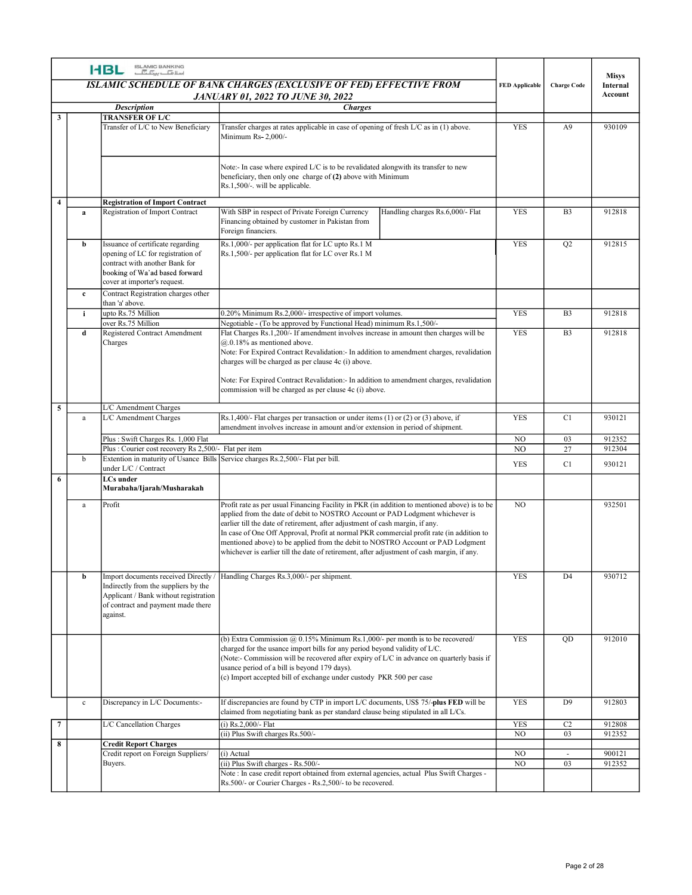|                |              | ISLAMIC BANKING<br>اسلا <del>ما</del> سی <del>کا</del><br><b>HBL</b>                                                                                                       | ISLAMIC SCHEDULE OF BANK CHARGES (EXCLUSIVE OF FED) EFFECTIVE FROM                                                                                                                                                                                                                                                                                                                                                                                                                                                                          | <b>FED Applicable</b> | <b>Charge Code</b>       | <b>Misys</b><br>Internal<br>Account |
|----------------|--------------|----------------------------------------------------------------------------------------------------------------------------------------------------------------------------|---------------------------------------------------------------------------------------------------------------------------------------------------------------------------------------------------------------------------------------------------------------------------------------------------------------------------------------------------------------------------------------------------------------------------------------------------------------------------------------------------------------------------------------------|-----------------------|--------------------------|-------------------------------------|
|                |              | <b>Description</b>                                                                                                                                                         | <b>JANUARY 01, 2022 TO JUNE 30, 2022</b><br><b>Charges</b>                                                                                                                                                                                                                                                                                                                                                                                                                                                                                  |                       |                          |                                     |
| $\mathbf{3}$   |              | <b>TRANSFER OF L/C</b><br>Transfer of L/C to New Beneficiary                                                                                                               | Transfer charges at rates applicable in case of opening of fresh L/C as in (1) above.<br>Minimum Rs- 2,000/-                                                                                                                                                                                                                                                                                                                                                                                                                                | <b>YES</b>            | A <sup>9</sup>           | 930109                              |
| $\overline{4}$ |              |                                                                                                                                                                            | Note:- In case where expired L/C is to be revalidated alongwith its transfer to new<br>beneficiary, then only one charge of (2) above with Minimum<br>Rs.1,500/-. will be applicable.                                                                                                                                                                                                                                                                                                                                                       |                       |                          |                                     |
|                | a            | <b>Registration of Import Contract</b><br>Registration of Import Contract                                                                                                  | With SBP in respect of Private Foreign Currency<br>Handling charges Rs.6,000/- Flat<br>Financing obtained by customer in Pakistan from                                                                                                                                                                                                                                                                                                                                                                                                      | <b>YES</b>            | B <sub>3</sub>           | 912818                              |
|                | b            | Issuance of certificate regarding<br>opening of LC for registration of<br>contract with another Bank for<br>booking of Wa'ad based forward<br>cover at importer's request. | Foreign financiers.<br>Rs.1,000/- per application flat for LC upto Rs.1 M<br>Rs.1,500/- per application flat for LC over Rs.1 M                                                                                                                                                                                                                                                                                                                                                                                                             | <b>YES</b>            | O <sub>2</sub>           | 912815                              |
|                | $\mathbf{c}$ | Contract Registration charges other                                                                                                                                        |                                                                                                                                                                                                                                                                                                                                                                                                                                                                                                                                             |                       |                          |                                     |
|                | j.           | than 'a' above.<br>upto Rs.75 Million                                                                                                                                      | 0.20% Minimum Rs.2,000/- irrespective of import volumes.                                                                                                                                                                                                                                                                                                                                                                                                                                                                                    | <b>YES</b>            | B <sub>3</sub>           | 912818                              |
|                | d            | over Rs.75 Million<br>Registered Contract Amendment                                                                                                                        | Negotiable - (To be approved by Functional Head) minimum Rs.1,500/-<br>Flat Charges Rs.1,200/- If amendment involves increase in amount then charges will be                                                                                                                                                                                                                                                                                                                                                                                | <b>YES</b>            | B <sub>3</sub>           | 912818                              |
|                |              | Charges                                                                                                                                                                    | $@.0.18\%$ as mentioned above.<br>Note: For Expired Contract Revalidation:- In addition to amendment charges, revalidation<br>charges will be charged as per clause 4c (i) above.<br>Note: For Expired Contract Revalidation: - In addition to amendment charges, revalidation<br>commission will be charged as per clause 4c (i) above.                                                                                                                                                                                                    |                       |                          |                                     |
|                | a            | L/C Amendment Charges<br>L/C Amendment Charges                                                                                                                             | $\vert$ Rs.1,400/- Flat charges per transaction or under items (1) or (2) or (3) above, if                                                                                                                                                                                                                                                                                                                                                                                                                                                  | <b>YES</b>            | C1                       | 930121                              |
|                |              | Plus: Swift Charges Rs. 1,000 Flat                                                                                                                                         | amendment involves increase in amount and/or extension in period of shipment.                                                                                                                                                                                                                                                                                                                                                                                                                                                               | $_{\rm NO}$           | 03                       | 912352                              |
|                |              | Plus : Courier cost recovery Rs 2,500/- Flat per item                                                                                                                      |                                                                                                                                                                                                                                                                                                                                                                                                                                                                                                                                             | NO                    | 27                       | 912304                              |
|                | $\mathbf b$  | under L/C / Contract<br>LCs under<br>Murabaha/Ijarah/Musharakah                                                                                                            | Extention in maturity of Usance Bills Service charges Rs.2,500/- Flat per bill.                                                                                                                                                                                                                                                                                                                                                                                                                                                             | YES                   | C1                       | 930121                              |
|                | a            | Profit                                                                                                                                                                     | Profit rate as per usual Financing Facility in PKR (in addition to mentioned above) is to be<br>applied from the date of debit to NOSTRO Account or PAD Lodgment whichever is<br>earlier till the date of retirement, after adjustment of cash margin, if any.<br>In case of One Off Approval, Profit at normal PKR commercial profit rate (in addition to<br>mentioned above) to be applied from the debit to NOSTRO Account or PAD Lodgment<br>whichever is earlier till the date of retirement, after adjustment of cash margin, if any. | NO                    |                          | 932501                              |
|                | b            | Import documents received Directly /<br>Indirectly from the suppliers by the<br>Applicant / Bank without registration<br>of contract and payment made there<br>against.    | Handling Charges Rs.3,000/- per shipment.                                                                                                                                                                                                                                                                                                                                                                                                                                                                                                   | <b>YES</b>            | D <sub>4</sub>           | 930712                              |
|                |              |                                                                                                                                                                            | (b) Extra Commission $@$ 0.15% Minimum Rs.1,000/- per month is to be recovered/<br>charged for the usance import bills for any period beyond validity of L/C.<br>(Note:- Commission will be recovered after expiry of L/C in advance on quarterly basis if<br>usance period of a bill is beyond 179 days).<br>(c) Import accepted bill of exchange under custody PKR 500 per case                                                                                                                                                           | <b>YES</b>            | QD                       | 912010                              |
|                | $\mathbf{c}$ | Discrepancy in L/C Documents:-                                                                                                                                             | If discrepancies are found by CTP in import L/C documents, US\$ 75/-plus FED will be<br>claimed from negotiating bank as per standard clause being stipulated in all L/Cs.                                                                                                                                                                                                                                                                                                                                                                  | <b>YES</b>            | D <sub>9</sub>           | 912803                              |
| $\overline{7}$ |              | L/C Cancellation Charges                                                                                                                                                   | (i) Rs.2,000/- Flat                                                                                                                                                                                                                                                                                                                                                                                                                                                                                                                         | <b>YES</b>            | C2                       | 912808                              |
| 8              |              | <b>Credit Report Charges</b>                                                                                                                                               | (ii) Plus Swift charges Rs.500/-                                                                                                                                                                                                                                                                                                                                                                                                                                                                                                            | NO                    | 03                       | 912352                              |
|                |              | Credit report on Foreign Suppliers/                                                                                                                                        | (i) Actual<br>(ii) Plus Swift charges - Rs.500/-                                                                                                                                                                                                                                                                                                                                                                                                                                                                                            | NO<br>$\overline{NO}$ | $\overline{\phantom{a}}$ | 900121                              |
|                |              | Buyers.                                                                                                                                                                    | Note : In case credit report obtained from external agencies, actual Plus Swift Charges -                                                                                                                                                                                                                                                                                                                                                                                                                                                   |                       | 03                       | 912352                              |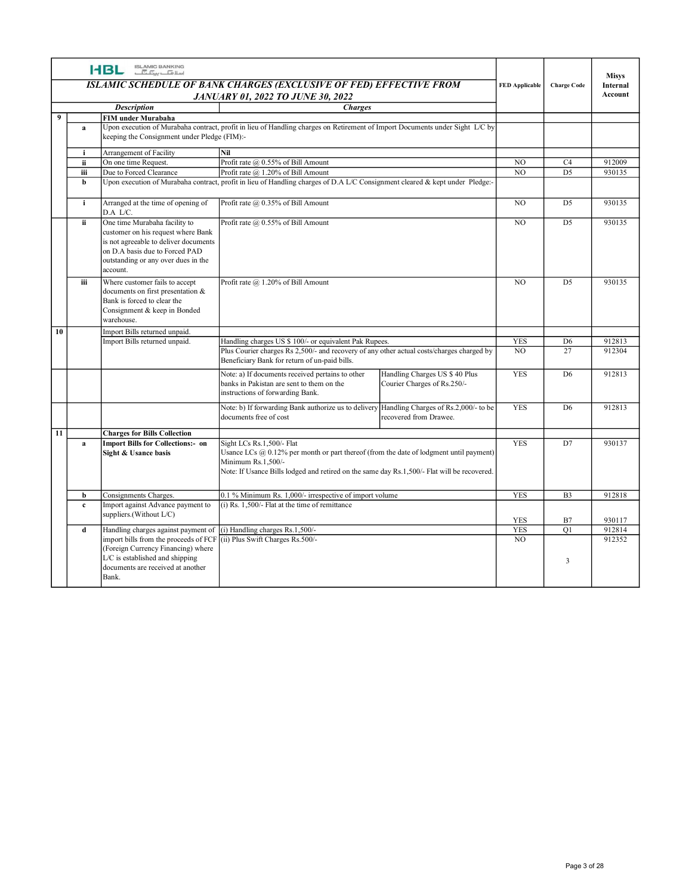|                 |              | ISLAMIC BANKING<br>اسلا <del>ما</del> سی <del>کا</del><br><b>HBL</b>                                                                                                                              | ISLAMIC SCHEDULE OF BANK CHARGES (EXCLUSIVE OF FED) EFFECTIVE FROM                                                                                                                                                                           |                                                               | <b>FED Applicable</b> | <b>Charge Code</b>   | <b>Misys</b><br>Internal |
|-----------------|--------------|---------------------------------------------------------------------------------------------------------------------------------------------------------------------------------------------------|----------------------------------------------------------------------------------------------------------------------------------------------------------------------------------------------------------------------------------------------|---------------------------------------------------------------|-----------------------|----------------------|--------------------------|
|                 |              |                                                                                                                                                                                                   | <b>JANUARY 01, 2022 TO JUNE 30, 2022</b>                                                                                                                                                                                                     |                                                               |                       |                      | Account                  |
| $\overline{9}$  |              | <b>Description</b><br>FIM under Murabaha                                                                                                                                                          | <b>Charges</b>                                                                                                                                                                                                                               |                                                               |                       |                      |                          |
|                 | a            | keeping the Consignment under Pledge (FIM):-                                                                                                                                                      | Upon execution of Murabaha contract, profit in lieu of Handling charges on Retirement of Import Documents under Sight L/C by                                                                                                                 |                                                               |                       |                      |                          |
|                 | i            | Arrangement of Facility                                                                                                                                                                           | Nil                                                                                                                                                                                                                                          |                                                               |                       |                      |                          |
|                 | ii<br>iii    | On one time Request.<br>Due to Forced Clearance                                                                                                                                                   | Profit rate @ 0.55% of Bill Amount<br>Profit rate $(a)$ 1.20% of Bill Amount                                                                                                                                                                 |                                                               | NO.<br>NO             | C4<br>D <sub>5</sub> | 912009<br>930135         |
|                 | b            |                                                                                                                                                                                                   | Upon execution of Murabaha contract, profit in lieu of Handling charges of D.A L/C Consignment cleared & kept under Pledge:-                                                                                                                 |                                                               |                       |                      |                          |
|                 |              |                                                                                                                                                                                                   |                                                                                                                                                                                                                                              |                                                               |                       |                      |                          |
|                 | $\mathbf{i}$ | Arranged at the time of opening of                                                                                                                                                                | Profit rate @ 0.35% of Bill Amount                                                                                                                                                                                                           |                                                               | NO                    | D <sub>5</sub>       | 930135                   |
|                 |              | D.A L/C.                                                                                                                                                                                          |                                                                                                                                                                                                                                              |                                                               |                       |                      |                          |
|                 | ii.          | One time Murabaha facility to<br>customer on his request where Bank<br>is not agreeable to deliver documents<br>on D.A basis due to Forced PAD<br>outstanding or any over dues in the<br>account. | Profit rate @ 0.55% of Bill Amount                                                                                                                                                                                                           |                                                               | NO                    | D <sub>5</sub>       | 930135                   |
|                 | iii          | Where customer fails to accept<br>documents on first presentation &<br>Bank is forced to clear the<br>Consignment & keep in Bonded<br>varehouse.                                                  | Profit rate @ 1.20% of Bill Amount                                                                                                                                                                                                           |                                                               | NO.                   | D <sub>5</sub>       | 930135                   |
| 10              |              | Import Bills returned unpaid.                                                                                                                                                                     |                                                                                                                                                                                                                                              |                                                               |                       |                      |                          |
|                 |              | Import Bills returned unpaid.                                                                                                                                                                     | Handling charges US \$ 100/- or equivalent Pak Rupees.                                                                                                                                                                                       |                                                               | <b>YES</b>            | D <sub>6</sub>       | 912813                   |
|                 |              |                                                                                                                                                                                                   | Plus Courier charges Rs 2,500/- and recovery of any other actual costs/charges charged by<br>Beneficiary Bank for return of un-paid bills.                                                                                                   |                                                               | NO                    | 27                   | 912304                   |
|                 |              |                                                                                                                                                                                                   | Note: a) If documents received pertains to other<br>banks in Pakistan are sent to them on the<br>instructions of forwarding Bank.                                                                                                            | Handling Charges US \$ 40 Plus<br>Courier Charges of Rs.250/- | <b>YES</b>            | D <sub>6</sub>       | 912813                   |
|                 |              |                                                                                                                                                                                                   | Note: b) If forwarding Bank authorize us to delivery Handling Charges of Rs.2,000/- to be<br>documents free of cost                                                                                                                          | recovered from Drawee.                                        | <b>YES</b>            | D6                   | 912813                   |
| $\overline{11}$ |              | <b>Charges for Bills Collection</b>                                                                                                                                                               |                                                                                                                                                                                                                                              |                                                               |                       |                      |                          |
|                 | a            | <b>Import Bills for Collections:- on</b><br>Sight & Usance basis                                                                                                                                  | Sight LCs Rs.1,500/- Flat<br>Usance LCs $(a)$ 0.12% per month or part thereof (from the date of lodgment until payment)<br>Minimum Rs.1,500/-<br>Note: If Usance Bills lodged and retired on the same day Rs.1,500/- Flat will be recovered. |                                                               | <b>YES</b>            | $\overline{D7}$      | 930137                   |
|                 | b            | Consignments Charges.                                                                                                                                                                             | 0.1 % Minimum Rs. 1,000/- irrespective of import volume                                                                                                                                                                                      |                                                               | <b>YES</b>            | B <sub>3</sub>       | 912818                   |
|                 | $\mathbf{c}$ | Import against Advance payment to                                                                                                                                                                 | $(i)$ Rs. 1,500/- Flat at the time of remittance                                                                                                                                                                                             |                                                               |                       |                      |                          |
|                 |              | suppliers.(Without L/C)                                                                                                                                                                           |                                                                                                                                                                                                                                              |                                                               | YES                   | B7                   | 930117                   |
|                 | d            | Handling charges against payment of                                                                                                                                                               | (i) Handling charges Rs.1,500/-                                                                                                                                                                                                              |                                                               | <b>YES</b>            | Q1                   | 912814                   |
|                 |              | import bills from the proceeds of FCF (ii) Plus Swift Charges Rs.500/-<br>(Foreign Currency Financing) where<br>L/C is established and shipping<br>documents are received at another              |                                                                                                                                                                                                                                              |                                                               | NO                    | $\overline{3}$       | 912352                   |
|                 |              | Bank.                                                                                                                                                                                             |                                                                                                                                                                                                                                              |                                                               |                       |                      |                          |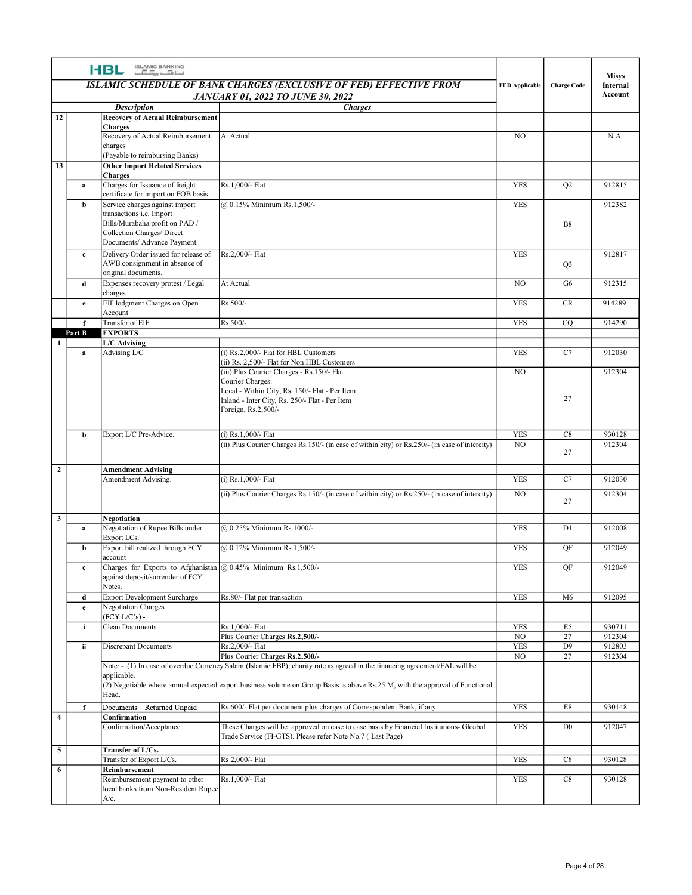|                         |              | <b>HBL SLAMIC BANKING</b>                                                                                                            | ISLAMIC SCHEDULE OF BANK CHARGES (EXCLUSIVE OF FED) EFFECTIVE FROM                                                                                                | <b>FED</b> Applicable        | <b>Charge Code</b>         | <b>Misys</b><br>Internal<br>Account |
|-------------------------|--------------|--------------------------------------------------------------------------------------------------------------------------------------|-------------------------------------------------------------------------------------------------------------------------------------------------------------------|------------------------------|----------------------------|-------------------------------------|
|                         |              | <b>Description</b>                                                                                                                   | <b>JANUARY 01, 2022 TO JUNE 30, 2022</b><br><b>Charges</b>                                                                                                        |                              |                            |                                     |
| 12                      |              | <b>Recovery of Actual Reimbursement</b><br><b>Charges</b>                                                                            |                                                                                                                                                                   |                              |                            |                                     |
|                         |              | Recovery of Actual Reimbursement<br>charges<br>(Payable to reimbursing Banks)                                                        | At Actual                                                                                                                                                         | NO.                          |                            | N.A.                                |
| 13                      | a            | <b>Other Import Related Services</b><br><b>Charges</b><br>Charges for Issuance of freight                                            | Rs.1,000/- Flat                                                                                                                                                   | YES                          | Q2                         | 912815                              |
|                         | b            | certificate for import on FOB basis.<br>Service charges against import<br>transactions i.e. Import<br>Bills/Murabaha profit on PAD / | @ 0.15% Minimum Rs.1,500/-                                                                                                                                        | YES                          | $_{\rm B8}$                | 912382                              |
|                         | $\mathbf{c}$ | Collection Charges/ Direct<br>Documents/ Advance Payment.<br>Delivery Order issued for release of<br>AWB consignment in absence of   | Rs.2,000/- Flat                                                                                                                                                   | YES                          | Q <sub>3</sub>             | 912817                              |
|                         | d            | original documents.<br>Expenses recovery protest / Legal                                                                             | At Actual                                                                                                                                                         | NO                           | G6                         | 912315                              |
|                         | e.           | charges<br>EIF lodgment Charges on Open                                                                                              | Rs 500/-                                                                                                                                                          | YES                          | CR                         | 914289                              |
|                         | $\mathbf f$  | Account<br>Transfer of EIF                                                                                                           | Rs 500/-                                                                                                                                                          | YES                          | CQ                         | 914290                              |
|                         | Part B       | <b>EXPORTS</b><br>L/C Advising                                                                                                       |                                                                                                                                                                   |                              |                            |                                     |
|                         | a            | Advising L/C                                                                                                                         | (i) Rs.2,000/- Flat for HBL Customers<br>(ii) Rs. 2,500/- Flat for Non HBL Customers<br>(iii) Plus Courier Charges - Rs.150/- Flat<br>Courier Charges:            | YES<br>$_{\rm NO}$           | C7                         | 912030<br>912304                    |
|                         |              |                                                                                                                                      | Local - Within City, Rs. 150/- Flat - Per Item<br>Inland - Inter City, Rs. 250/- Flat - Per Item<br>Foreign, Rs.2,500/-                                           |                              | 27                         |                                     |
|                         | b            | Export L/C Pre-Advice.                                                                                                               | (i) Rs.1,000/- Flat                                                                                                                                               | <b>YES</b>                   | C8                         | 930128                              |
|                         |              |                                                                                                                                      | (ii) Plus Courier Charges Rs.150/- (in case of within city) or Rs.250/- (in case of intercity)                                                                    | NO                           | 27                         | 912304                              |
| $\overline{\mathbf{2}}$ |              | <b>Amendment Advising</b><br>Amendment Advising.                                                                                     | (i) Rs.1,000/- Flat                                                                                                                                               | YES                          | C7                         | 912030                              |
|                         |              |                                                                                                                                      | (ii) Plus Courier Charges Rs.150/- (in case of within city) or Rs.250/- (in case of intercity)                                                                    | N <sub>O</sub>               | 27                         | 912304                              |
| $\overline{\mathbf{3}}$ | $\mathbf{a}$ | Negotiation<br>Negotiation of Rupee Bills under<br>Export LCs.                                                                       | @ 0.25% Minimum Rs.1000/-                                                                                                                                         | <b>YES</b>                   | D1                         | 912008                              |
|                         | b            | Export bill realized through FCY                                                                                                     | @ 0.12% Minimum Rs.1,500/-                                                                                                                                        | YES                          | QF                         | 912049                              |
|                         | $\mathbf{c}$ | account<br>Charges for Exports to Afghanistan @ 0.45% Minimum Rs.1,500/-<br>against deposit/surrender of FCY                         |                                                                                                                                                                   | YES                          | QF                         | 912049                              |
|                         | d<br>e.      | Notes.<br>Export Development Surcharge<br>Negotiation Charges                                                                        | Rs.80/- Flat per transaction                                                                                                                                      | YES                          | M6                         | 912095                              |
|                         | i.           | $(FCY L/C's)$ :<br><b>Clean Documents</b>                                                                                            | Rs.1,000/- Flat                                                                                                                                                   | <b>YES</b>                   | E5                         | 930711                              |
|                         | ii           | Discrepant Documents                                                                                                                 | Plus Courier Charges Rs.2,500/-<br>Rs.2,000/- Flat                                                                                                                | N <sub>O</sub><br><b>YES</b> | 27<br>D <sup>9</sup>       | 912304<br>912803                    |
|                         |              | applicable.                                                                                                                          | Plus Courier Charges Rs.2,500/-<br>Note: - (1) In case of overdue Currency Salam (Islamic FBP), charity rate as agreed in the financing agreement/FAL will be     | NO                           | 27                         | 912304                              |
|                         |              | Head.                                                                                                                                | (2) Negotiable where annual expected export business volume on Group Basis is above Rs.25 M, with the approval of Functional                                      |                              |                            |                                     |
| $\overline{\mathbf{4}}$ |              | Documents-Returned Unpaid<br>Confirmation<br>Confirmation/Acceptance                                                                 | Rs.600/- Flat per document plus charges of Correspondent Bank, if any.<br>These Charges will be approved on case to case basis by Financial Institutions- Gloabal | <b>YES</b><br>YES            | $\rm E8$<br>D <sub>0</sub> | 930148<br>912047                    |
| $\overline{5}$          |              | Transfer of L/Cs.                                                                                                                    | Trade Service (FI-GTS). Please refer Note No.7 (Last Page)                                                                                                        |                              |                            |                                     |
| 6                       |              | Transfer of Export L/Cs.<br>Reimbursement                                                                                            | Rs 2,000/- Flat                                                                                                                                                   | YES                          | C8                         | 930128                              |
|                         |              | Reimbursement payment to other<br>local banks from Non-Resident Rupee<br>$A/c$ .                                                     | Rs.1,000/- Flat                                                                                                                                                   | YES                          | C8                         | 930128                              |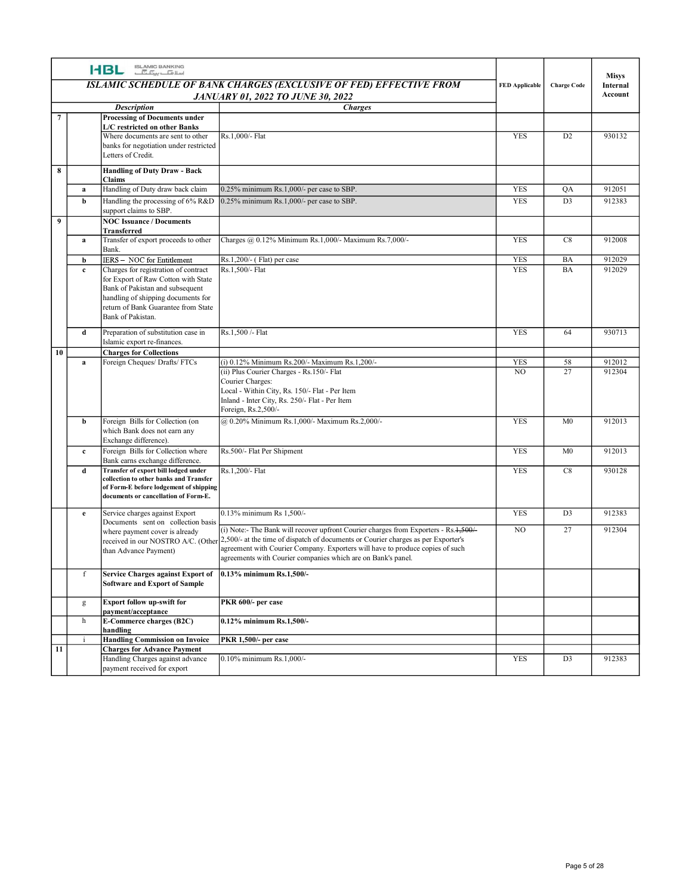|                         |              | <b>HBL ISLAMIC BANKING</b>                                                                                                                                                                                                                     |                                                                                                                                                                                                                                                                                                                                                                          |                          |                    |                          |
|-------------------------|--------------|------------------------------------------------------------------------------------------------------------------------------------------------------------------------------------------------------------------------------------------------|--------------------------------------------------------------------------------------------------------------------------------------------------------------------------------------------------------------------------------------------------------------------------------------------------------------------------------------------------------------------------|--------------------------|--------------------|--------------------------|
|                         |              |                                                                                                                                                                                                                                                | ISLAMIC SCHEDULE OF BANK CHARGES (EXCLUSIVE OF FED) EFFECTIVE FROM                                                                                                                                                                                                                                                                                                       | <b>FED Applicable</b>    | <b>Charge Code</b> | <b>Misys</b><br>Internal |
|                         |              | <b>Description</b>                                                                                                                                                                                                                             | <b>JANUARY 01, 2022 TO JUNE 30, 2022</b><br><b>Charges</b>                                                                                                                                                                                                                                                                                                               |                          |                    | Account                  |
| $7\phantom{.0}$         |              | <b>Processing of Documents under</b><br>L/C restricted on other Banks                                                                                                                                                                          |                                                                                                                                                                                                                                                                                                                                                                          |                          |                    |                          |
|                         |              | Where documents are sent to other<br>banks for negotiation under restricted<br>Letters of Credit.                                                                                                                                              | Rs.1,000/- Flat                                                                                                                                                                                                                                                                                                                                                          | <b>YES</b>               | D <sub>2</sub>     | 930132                   |
| $\overline{\mathbf{8}}$ |              | <b>Handling of Duty Draw - Back</b>                                                                                                                                                                                                            |                                                                                                                                                                                                                                                                                                                                                                          |                          |                    |                          |
|                         | a            | Claims<br>Handling of Duty draw back claim                                                                                                                                                                                                     | 0.25% minimum Rs.1,000/- per case to SBP.                                                                                                                                                                                                                                                                                                                                | YES                      | QA                 | 912051                   |
| $\overline{9}$          | b            | Handling the processing of 6% R&D<br>support claims to SBP.<br><b>NOC Issuance / Documents</b>                                                                                                                                                 | 0.25% minimum Rs.1,000/- per case to SBP.                                                                                                                                                                                                                                                                                                                                | <b>YES</b>               | $\overline{D3}$    | 912383                   |
|                         | a            | <b>Transferred</b><br>Transfer of export proceeds to other                                                                                                                                                                                     | Charges @ 0.12% Minimum Rs.1,000/- Maximum Rs.7,000/-                                                                                                                                                                                                                                                                                                                    | <b>YES</b>               | C8                 | 912008                   |
|                         |              | Bank.                                                                                                                                                                                                                                          |                                                                                                                                                                                                                                                                                                                                                                          |                          |                    |                          |
|                         | b<br>$\bf c$ | IERS - NOC for Entitlement<br>Charges for registration of contract<br>for Export of Raw Cotton with State<br>Bank of Pakistan and subsequent<br>handling of shipping documents for<br>return of Bank Guarantee from State<br>Bank of Pakistan. | Rs.1,200/- (Flat) per case<br>Rs.1,500/- Flat                                                                                                                                                                                                                                                                                                                            | <b>YES</b><br><b>YES</b> | BA<br>BA           | 912029<br>912029         |
|                         | d            | Preparation of substitution case in<br>Islamic export re-finances.                                                                                                                                                                             | Rs.1,500 /- Flat                                                                                                                                                                                                                                                                                                                                                         | <b>YES</b>               | 64                 | 930713                   |
| 10                      | a            | <b>Charges for Collections</b><br>Foreign Cheques/ Drafts/ FTCs                                                                                                                                                                                | (i) 0.12% Minimum Rs.200/- Maximum Rs.1,200/-                                                                                                                                                                                                                                                                                                                            | <b>YES</b>               | 58                 | 912012                   |
|                         |              |                                                                                                                                                                                                                                                | (ii) Plus Courier Charges - Rs.150/- Flat<br>Courier Charges:<br>Local - Within City, Rs. 150/- Flat - Per Item<br>Inland - Inter City, Rs. 250/- Flat - Per Item<br>Foreign, Rs.2,500/-                                                                                                                                                                                 | NO                       | 27                 | 912304                   |
|                         | b            | Foreign Bills for Collection (on<br>which Bank does not earn any<br>Exchange difference).                                                                                                                                                      | @ 0.20% Minimum Rs.1,000/- Maximum Rs.2,000/-                                                                                                                                                                                                                                                                                                                            | <b>YES</b>               | M <sub>0</sub>     | 912013                   |
|                         | $\mathbf{c}$ | Foreign Bills for Collection where                                                                                                                                                                                                             | Rs.500/- Flat Per Shipment                                                                                                                                                                                                                                                                                                                                               | <b>YES</b>               | M <sub>0</sub>     | 912013                   |
|                         | d            | Bank earns exchange difference.<br>Transfer of export bill lodged under<br>collection to other banks and Transfer<br>of Form-E before lodgement of shipping<br>documents or cancellation of Form-E.                                            | Rs.1,200/- Flat                                                                                                                                                                                                                                                                                                                                                          | YES                      | C8                 | 930128                   |
|                         | e            | Service charges against Export                                                                                                                                                                                                                 | 0.13% minimum Rs 1,500/-                                                                                                                                                                                                                                                                                                                                                 | <b>YES</b>               | D <sub>3</sub>     | 912383                   |
|                         |              | Documents sent on collection basis<br>where payment cover is already<br>than Advance Payment)                                                                                                                                                  | (i) Note:- The Bank will recover upfront Courier charges from Exporters - Rs.1,500/-<br>received in our NOSTRO A/C. (Other <sup>2,500/-</sup> at the time of dispatch of documents or Courier charges as per Exporter's<br>agreement with Courier Company. Exporters will have to produce copies of such<br>agreements with Courier companies which are on Bank's panel. | NO                       | 27                 | 912304                   |
|                         | f            | Service Charges against Export of<br><b>Software and Export of Sample</b>                                                                                                                                                                      | 0.13% minimum Rs.1,500/-                                                                                                                                                                                                                                                                                                                                                 |                          |                    |                          |
|                         | g            | <b>Export follow up-swift for</b><br>payment/acceptance                                                                                                                                                                                        | PKR 600/- per case                                                                                                                                                                                                                                                                                                                                                       |                          |                    |                          |
|                         | h            | <b>E-Commerce charges (B2C)</b>                                                                                                                                                                                                                | 0.12% minimum Rs.1,500/-                                                                                                                                                                                                                                                                                                                                                 |                          |                    |                          |
|                         |              | handling<br><b>Handling Commission on Invoice</b>                                                                                                                                                                                              | PKR 1,500/- per case                                                                                                                                                                                                                                                                                                                                                     |                          |                    |                          |
| 11                      |              | <b>Charges for Advance Payment</b><br>Handling Charges against advance                                                                                                                                                                         | 0.10% minimum Rs.1,000/-                                                                                                                                                                                                                                                                                                                                                 | YES                      | D <sub>3</sub>     | 912383                   |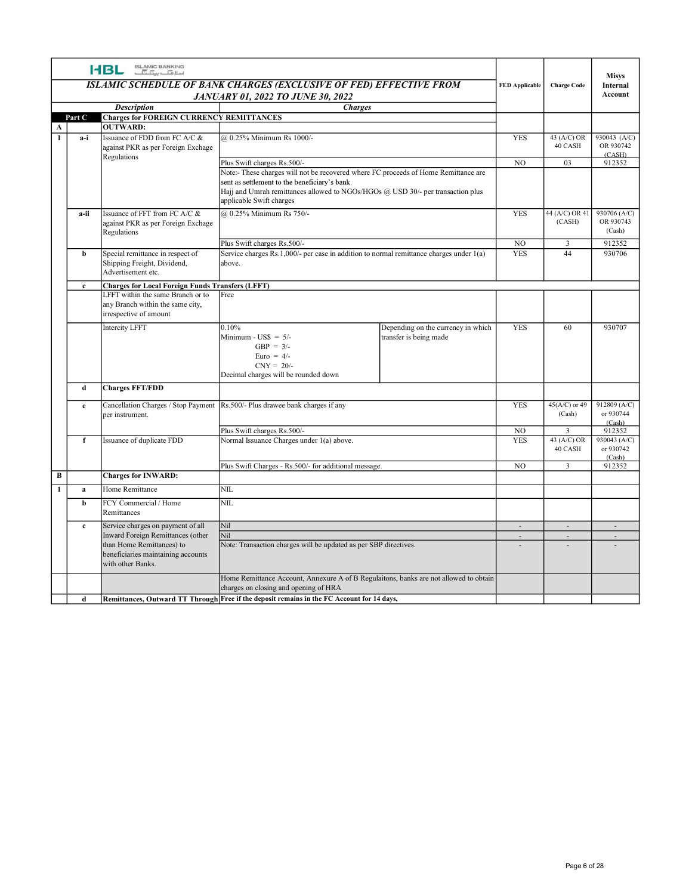|              |              | <b>I-BL ISLAMIC BANKING</b>                                                                  |                                                                                                                                                              |                                                              |                       |                                         | <b>Misys</b>              |
|--------------|--------------|----------------------------------------------------------------------------------------------|--------------------------------------------------------------------------------------------------------------------------------------------------------------|--------------------------------------------------------------|-----------------------|-----------------------------------------|---------------------------|
|              |              |                                                                                              | ISLAMIC SCHEDULE OF BANK CHARGES (EXCLUSIVE OF FED) EFFECTIVE FROM<br><b>JANUARY 01, 2022 TO JUNE 30, 2022</b>                                               |                                                              | <b>FED Applicable</b> | <b>Charge Code</b>                      | Internal<br>Account       |
|              |              | <b>Description</b>                                                                           | <b>Charges</b>                                                                                                                                               |                                                              |                       |                                         |                           |
| $\mathbf{A}$ | Part C       | <b>Charges for FOREIGN CURRENCY REMITTANCES</b><br><b>OUTWARD:</b>                           |                                                                                                                                                              |                                                              |                       |                                         |                           |
| $\mathbf{1}$ | a-i          | Issuance of FDD from FC A/C &                                                                | @ 0.25% Minimum Rs 1000/-                                                                                                                                    |                                                              | <b>YES</b>            | 43 (A/C) OR<br>40 CASH                  | 930043 (A/C)<br>OR 930742 |
|              |              | against PKR as per Foreign Exchage<br>Regulations                                            | Plus Swift charges Rs.500/-                                                                                                                                  |                                                              | NO.                   | 03                                      | (CASH)<br>912352          |
|              |              |                                                                                              | Note:- These charges will not be recovered where FC proceeds of Home Remittance are                                                                          |                                                              |                       |                                         |                           |
|              |              |                                                                                              | sent as settlement to the beneficiary's bank.<br>Hajj and Umrah remittances allowed to NGOs/HGOs @ USD 30/- per transaction plus<br>applicable Swift charges |                                                              |                       |                                         |                           |
|              | a-ii         | Issuance of FFT from FC A/C &<br>against PKR as per Foreign Exchage<br>Regulations           | @ 0.25% Minimum Rs 750/-                                                                                                                                     |                                                              | YES                   | $44 (A/C) OR 41$ 930706 (A/C)<br>(CASH) | OR 930743<br>(Cash)       |
|              |              |                                                                                              | Plus Swift charges Rs.500/-                                                                                                                                  |                                                              | NO.                   | $\overline{\mathbf{3}}$                 | 912352                    |
|              | b            | Special remittance in respect of<br>Shipping Freight, Dividend,<br>Advertisement etc.        | Service charges Rs.1,000/- per case in addition to normal remittance charges under 1(a)<br>above.                                                            |                                                              | <b>YES</b>            | 44                                      | 930706                    |
|              | $\mathbf{c}$ | <b>Charges for Local Foreign Funds Transfers (LFFT)</b><br>LFFT within the same Branch or to | Free                                                                                                                                                         |                                                              |                       |                                         |                           |
|              |              | any Branch within the same city,<br>irrespective of amount                                   |                                                                                                                                                              |                                                              |                       |                                         |                           |
|              |              | <b>Intercity LFFT</b>                                                                        | 0.10%<br>Minimum - $\text{USS} = 5$ /-<br>$GBP = 3/-$<br>Euro = $4/-$                                                                                        | Depending on the currency in which<br>transfer is being made | YES                   | 60                                      | 930707                    |
|              |              |                                                                                              | $CNY = 20/$ -                                                                                                                                                |                                                              |                       |                                         |                           |
|              | d            | <b>Charges FFT/FDD</b>                                                                       | Decimal charges will be rounded down                                                                                                                         |                                                              |                       |                                         |                           |
|              | e            |                                                                                              | Cancellation Charges / Stop Payment Rs.500/- Plus drawee bank charges if any                                                                                 |                                                              | <b>YES</b>            | 45(A/C) or 49                           | 912809 (A/C)              |
|              |              | per instrument.                                                                              |                                                                                                                                                              |                                                              |                       | (Cash)                                  | or 930744<br>(Cash)       |
|              |              |                                                                                              | Plus Swift charges Rs.500/-                                                                                                                                  |                                                              | $_{\rm NO}$           | $\overline{3}$                          | 912352                    |
|              | f            | Issuance of duplicate FDD                                                                    | Normal Issuance Charges under 1(a) above.                                                                                                                    |                                                              | <b>YES</b>            | 43 (A/C) OR<br>40 CASH                  | 930043 (A/C)<br>or 930742 |
|              |              |                                                                                              | Plus Swift Charges - Rs.500/- for additional message.                                                                                                        |                                                              | NO                    | $\overline{\mathbf{3}}$                 | (Cash)<br>912352          |
| $\bf{B}$     |              | <b>Charges for INWARD:</b>                                                                   |                                                                                                                                                              |                                                              |                       |                                         |                           |
| -1           | a            | Home Remittance                                                                              | NIL                                                                                                                                                          |                                                              |                       |                                         |                           |
|              | b            | FCY Commercial / Home<br>Remittances                                                         | $\rm NIL$                                                                                                                                                    |                                                              |                       |                                         |                           |
|              | $\mathbf{c}$ | Service charges on payment of all                                                            | Nil                                                                                                                                                          |                                                              | $\sim$                | $\sim$                                  | $\sim$                    |
|              |              | Inward Foreign Remittances (other<br>than Home Remittances) to                               | Nil<br>Note: Transaction charges will be updated as per SBP directives.                                                                                      |                                                              | $\sim$<br>$\sim$      | $\sim$<br>$\overline{\phantom{a}}$      | $\sim$<br>$\sim$          |
|              |              | beneficiaries maintaining accounts<br>with other Banks.                                      |                                                                                                                                                              |                                                              |                       |                                         |                           |
|              |              |                                                                                              | Home Remittance Account, Annexure A of B Regulaitons, banks are not allowed to obtain                                                                        |                                                              |                       |                                         |                           |
|              |              |                                                                                              | charges on closing and opening of HRA                                                                                                                        |                                                              |                       |                                         |                           |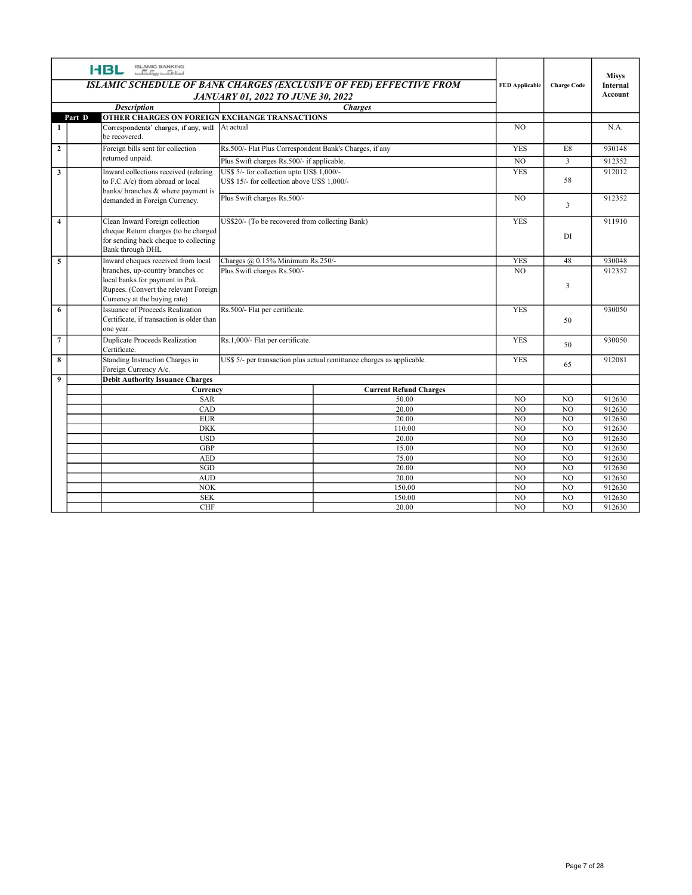|                         | ISLAMIC BANKING<br>اسلا <del>مات پین آن</del> آ<br><b>HBL</b>          | <b>JANUARY 01, 2022 TO JUNE 30, 2022</b>                                   | ISLAMIC SCHEDULE OF BANK CHARGES (EXCLUSIVE OF FED) EFFECTIVE FROM     | <b>FED Applicable</b> | <b>Charge Code</b>      | <b>Misys</b><br>Internal<br>Account |
|-------------------------|------------------------------------------------------------------------|----------------------------------------------------------------------------|------------------------------------------------------------------------|-----------------------|-------------------------|-------------------------------------|
|                         | <b>Description</b>                                                     |                                                                            | <b>Charges</b>                                                         |                       |                         |                                     |
| Part D                  | OTHER CHARGES ON FOREIGN EXCHANGE TRANSACTIONS                         |                                                                            |                                                                        |                       |                         |                                     |
| -1                      | Correspondents' charges, if any, will   At actual<br>be recovered.     |                                                                            |                                                                        | NO                    |                         | N.A.                                |
| $\overline{\mathbf{2}}$ | Foreign bills sent for collection                                      | Rs.500/- Flat Plus Correspondent Bank's Charges, if any                    |                                                                        | <b>YES</b>            | $\rm E8$                | 930148                              |
|                         | returned unpaid.                                                       | Plus Swift charges Rs.500/- if applicable.                                 |                                                                        | $_{\rm NO}$           | $\overline{3}$          | 912352                              |
| $\mathbf{3}$            | Inward collections received (relating                                  | US\$ 5/- for collection upto US\$ 1,000/-                                  |                                                                        | <b>YES</b>            |                         | 912012                              |
|                         | to F.C A/c) from abroad or local<br>banks/ branches & where payment is | US\$ 15/- for collection above US\$ 1,000/-<br>Plus Swift charges Rs.500/- |                                                                        | NO                    | 58                      | 912352                              |
|                         | demanded in Foreign Currency.                                          |                                                                            |                                                                        |                       | $\overline{\mathbf{3}}$ |                                     |
| $\overline{4}$          | Clean Inward Foreign collection                                        | US\$20/- (To be recovered from collecting Bank)                            |                                                                        | YES                   |                         | 911910                              |
|                         | cheque Return charges (to be charged                                   |                                                                            |                                                                        |                       | DI                      |                                     |
|                         | for sending back cheque to collecting                                  |                                                                            |                                                                        |                       |                         |                                     |
|                         | Bank through DHL<br>Inward cheques received from local                 | Charges @ 0.15% Minimum Rs.250/-                                           |                                                                        | YES                   | 48                      | 930048                              |
| $\overline{5}$          | branches, up-country branches or                                       | Plus Swift charges Rs.500/-                                                |                                                                        | NO                    |                         | 912352                              |
|                         | local banks for payment in Pak.                                        |                                                                            |                                                                        |                       |                         |                                     |
|                         | Rupees. (Convert the relevant Foreign                                  |                                                                            |                                                                        |                       | $\overline{\mathbf{3}}$ |                                     |
| 6                       | Currency at the buying rate)<br>Issuance of Proceeds Realization       | Rs.500/- Flat per certificate.                                             |                                                                        | YES                   |                         | 930050                              |
|                         | Certificate, if transaction is older than                              |                                                                            |                                                                        |                       | 50                      |                                     |
|                         | one year.                                                              |                                                                            |                                                                        |                       |                         |                                     |
| $\overline{7}$          | Duplicate Proceeds Realization<br>Certificate.                         | Rs.1,000/- Flat per certificate.                                           |                                                                        | <b>YES</b>            | 50                      | 930050                              |
| 8                       | Standing Instruction Charges in                                        |                                                                            | US\$ 5/- per transaction plus actual remittance charges as applicable. | <b>YES</b>            |                         | 912081                              |
|                         | Foreign Currency A/c.                                                  |                                                                            |                                                                        |                       | 65                      |                                     |
| 9                       | <b>Debit Authority Issuance Charges</b>                                |                                                                            |                                                                        |                       |                         |                                     |
|                         | Currency<br><b>SAR</b>                                                 |                                                                            | <b>Current Refund Charges</b><br>50.00                                 | NO                    | NO                      | 912630                              |
|                         | CAD                                                                    |                                                                            | 20.00                                                                  | N <sub>O</sub>        | N <sub>0</sub>          | 912630                              |
|                         | <b>EUR</b>                                                             |                                                                            | 20.00                                                                  | N <sub>0</sub>        | N <sub>O</sub>          | 912630                              |
|                         | DKK                                                                    |                                                                            | 110.00                                                                 | N <sub>0</sub>        | N <sub>0</sub>          | 912630                              |
|                         | <b>USD</b>                                                             |                                                                            | 20.00                                                                  | NO                    | $\overline{NO}$         | 912630                              |
|                         | GBP                                                                    |                                                                            | 15.00                                                                  | NO                    | N <sub>O</sub>          | 912630                              |
|                         | AED<br>SGD                                                             |                                                                            | 75.00<br>20.00                                                         | N <sub>O</sub><br>NO  | NO<br>NO                | 912630<br>912630                    |
|                         | AUD                                                                    |                                                                            | 20.00                                                                  | N <sub>0</sub>        | NO                      | 912630                              |
|                         | $NOK$                                                                  |                                                                            | 150.00                                                                 | N <sub>0</sub>        | NO                      | 912630                              |
|                         | <b>SEK</b>                                                             |                                                                            | 150.00                                                                 | NO                    | NO                      | 912630                              |
|                         | $\rm CHF$                                                              |                                                                            | 20.00                                                                  | $_{\rm NO}$           | NO                      | 912630                              |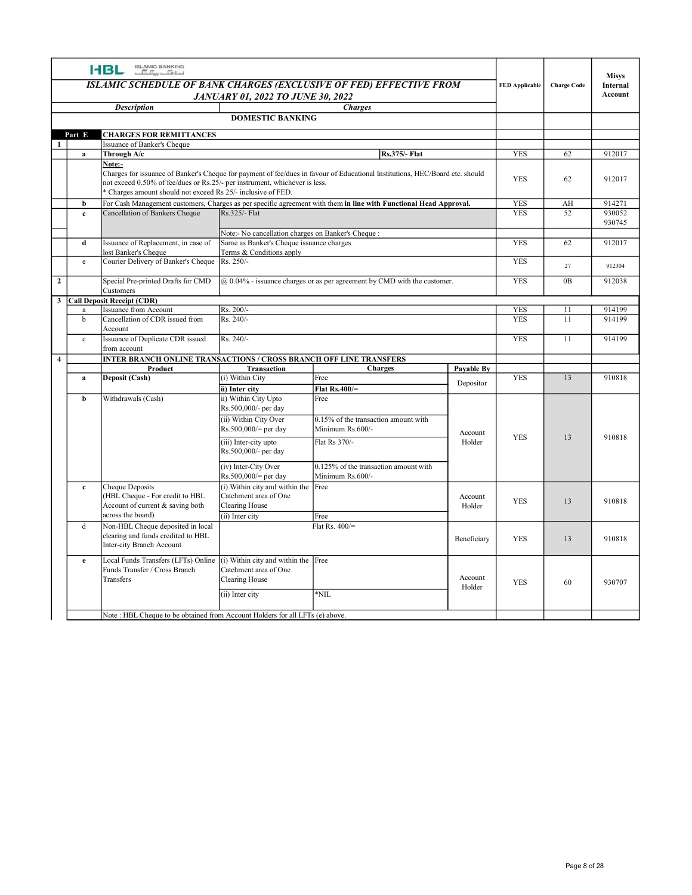|                         | ISLAMIC BANKING<br>اسلافیا سیک<br><b>HBL</b>                                                                                                       | <b>JANUARY 01, 2022 TO JUNE 30, 2022</b>                                                                                    | ISLAMIC SCHEDULE OF BANK CHARGES (EXCLUSIVE OF FED) EFFECTIVE FROM                                                           |                   | <b>FED</b> Applicable | <b>Charge Code</b> | Misys<br>Internal<br>Account |
|-------------------------|----------------------------------------------------------------------------------------------------------------------------------------------------|-----------------------------------------------------------------------------------------------------------------------------|------------------------------------------------------------------------------------------------------------------------------|-------------------|-----------------------|--------------------|------------------------------|
|                         | <b>Description</b>                                                                                                                                 | <b>DOMESTIC BANKING</b>                                                                                                     | <b>Charges</b>                                                                                                               |                   |                       |                    |                              |
| Part E                  | <b>CHARGES FOR REMITTANCES</b>                                                                                                                     |                                                                                                                             |                                                                                                                              |                   |                       |                    |                              |
| a                       | Issuance of Banker's Cheque<br>Through A/c                                                                                                         |                                                                                                                             | <b>Rs.375/- Flat</b>                                                                                                         |                   | <b>YES</b>            | 62                 | 912017                       |
|                         | Note:-<br>not exceed 0.50% of fee/dues or Rs.25/- per instrument, whichever is less.<br>Charges amount should not exceed Rs 25/- inclusive of FED. |                                                                                                                             | Charges for issuance of Banker's Cheque for payment of fee/dues in favour of Educational Institutions, HEC/Board etc. should |                   | <b>YES</b>            | 62                 | 912017                       |
| b                       |                                                                                                                                                    |                                                                                                                             | For Cash Management customers, Charges as per specific agreement with them in line with Functional Head Approval.            |                   | YES                   | AH                 | 914271                       |
| $\mathbf{c}$            | Cancellation of Bankers Cheque                                                                                                                     | Rs.325/- Flat                                                                                                               |                                                                                                                              |                   | <b>YES</b>            | 52                 | 930052<br>930745             |
| d                       | Issuance of Replacement, in case of<br>lost Banker's Cheque                                                                                        | Note:- No cancellation charges on Banker's Cheque :<br>Same as Banker's Cheque issuance charges<br>Terms & Conditions apply |                                                                                                                              |                   | <b>YES</b>            | 62                 | 912017                       |
| e                       | Courier Delivery of Banker's Cheque   Rs. 250/-                                                                                                    |                                                                                                                             |                                                                                                                              |                   | <b>YES</b>            | 27                 | 912304                       |
| $\overline{\mathbf{2}}$ | Special Pre-printed Drafts for CMD<br>Customers                                                                                                    |                                                                                                                             | $\phi$ 0.04% - issuance charges or as per agreement by CMD with the customer.                                                |                   | YES                   | 0B                 | 912038                       |
| a                       | 3 Call Deposit Receipt (CDR)<br>Issuance from Account                                                                                              | Rs. 200/-                                                                                                                   |                                                                                                                              |                   | <b>YES</b>            | 11                 | 914199                       |
| b                       | Cancellation of CDR issued from<br>Account                                                                                                         | Rs. 240/-                                                                                                                   |                                                                                                                              |                   | <b>YES</b>            | 11                 | 914199                       |
| $\mathbf{c}$            | Issuance of Duplicate CDR issued<br>from account                                                                                                   | Rs. 240/-                                                                                                                   |                                                                                                                              |                   | YES                   | 11                 | 914199                       |
| $\overline{4}$          | INTER BRANCH ONLINE TRANSACTIONS / CROSS BRANCH OFF LINE TRANSFERS<br>Product                                                                      | Transaction                                                                                                                 | <b>Charges</b>                                                                                                               | Payable By        |                       |                    |                              |
| $\mathbf{a}$            | Deposit (Cash)                                                                                                                                     | (i) Within City<br>ii) Inter city                                                                                           | Free<br>Flat $Rs.400 =$                                                                                                      | Depositor         | <b>YES</b>            | 13                 | 910818                       |
| b                       | Withdrawals (Cash)                                                                                                                                 | ii) Within City Upto<br>Rs.500,000/- per day                                                                                | Free                                                                                                                         |                   |                       |                    |                              |
|                         |                                                                                                                                                    | (ii) Within City Over<br>$RS.500,000 = per day$                                                                             | 0.15% of the transaction amount with<br>Minimum Rs.600/-<br>Flat Rs 370/-                                                    | Account           | YES                   | 13                 | 910818                       |
|                         |                                                                                                                                                    | (iii) Inter-city upto<br>Rs.500,000/- per day                                                                               |                                                                                                                              | Holder            |                       |                    |                              |
| $\mathbf{c}$            | Cheque Deposits                                                                                                                                    | (iv) Inter-City Over<br>$Rs.500,000 = per day$<br>(i) Within city and within the Free                                       | 0.125% of the transaction amount with<br>Minimum Rs.600/-                                                                    |                   |                       |                    |                              |
|                         | (HBL Cheque - For credit to HBL<br>Account of current & saving both<br>across the board)                                                           | Catchment area of One<br>Clearing House<br>(ii) Inter city                                                                  | Free                                                                                                                         | Account<br>Holder | YES                   | 13                 | 910818                       |
| d                       | Non-HBL Cheque deposited in local<br>clearing and funds credited to HBL<br>Inter-city Branch Account                                               |                                                                                                                             | Flat Rs. $400/$                                                                                                              | Beneficiary       | YES                   | 13                 | 910818                       |
| e                       | Local Funds Transfers (LFTs) Online<br>Funds Transfer / Cross Branch<br>Transfers                                                                  | (i) Within city and within the Free<br>Catchment area of One<br>Clearing House<br>(ii) Inter city                           | $^*\text{NIL}$                                                                                                               | Account<br>Holder | YES                   | 60                 | 930707                       |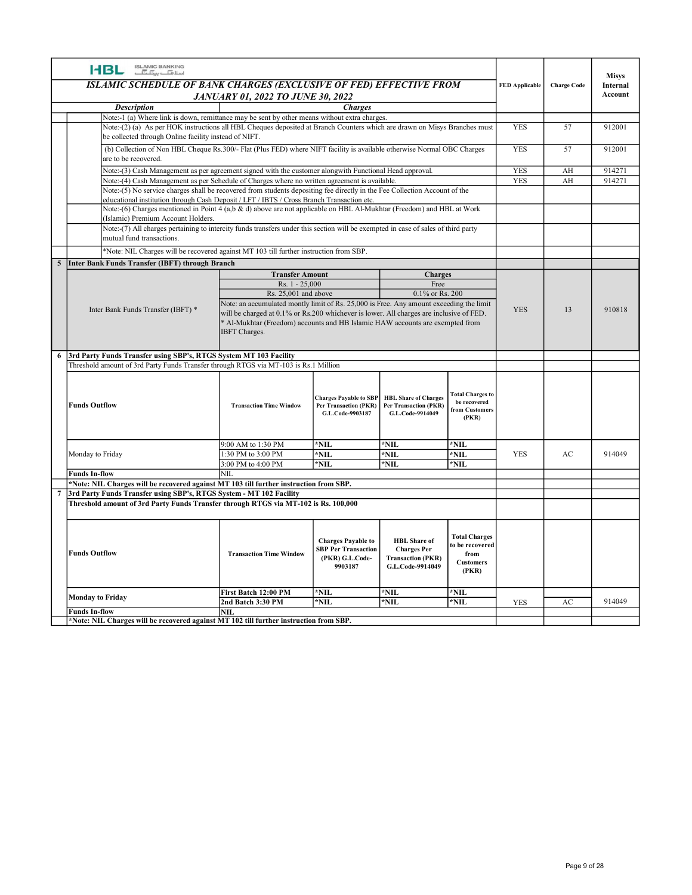| ISLAMIC BANKING<br>اسلافیا سیک<br><b>HBL</b><br><b>Misys</b><br>ISLAMIC SCHEDULE OF BANK CHARGES (EXCLUSIVE OF FED) EFFECTIVE FROM<br>FED Applicable   Charge Code<br>Internal<br>Account<br><b>JANUARY 01, 2022 TO JUNE 30, 2022</b><br><b>Description</b><br><b>Charges</b><br>Note:-1 (a) Where link is down, remittance may be sent by other means without extra charges.<br>Note:-(2) (a) As per HOK instructions all HBL Cheques deposited at Branch Counters which are drawn on Misys Branches must<br><b>YES</b><br>57<br>912001<br>be collected through Online facility instead of NIFT.<br>(b) Collection of Non HBL Cheque Rs.300/- Flat (Plus FED) where NIFT facility is available otherwise Normal OBC Charges<br><b>YES</b><br>57<br>912001<br>are to be recovered.<br>Note:-(3) Cash Management as per agreement signed with the customer alongwith Functional Head approval.<br><b>YES</b><br>914271<br>AH<br>Note:-(4) Cash Management as per Schedule of Charges where no written agreement is available.<br><b>YES</b><br>AH<br>914271<br>Note:-(5) No service charges shall be recovered from students depositing fee directly in the Fee Collection Account of the<br>educational institution through Cash Deposit / LFT / IBTS / Cross Branch Transaction etc.<br>Note:-(6) Charges mentioned in Point 4 (a,b & d) above are not applicable on HBL Al-Mukhtar (Freedom) and HBL at Work<br>Islamic) Premium Account Holders.<br>Note:-(7) All charges pertaining to intercity funds transfers under this section will be exempted in case of sales of third party<br>mutual fund transactions.<br>*Note: NIL Charges will be recovered against MT 103 till further instruction from SBP.<br>Inter Bank Funds Transfer (IBFT) through Branch<br><b>Transfer Amount</b><br><b>Charges</b><br>Rs. 1 - 25,000<br>Free |
|------------------------------------------------------------------------------------------------------------------------------------------------------------------------------------------------------------------------------------------------------------------------------------------------------------------------------------------------------------------------------------------------------------------------------------------------------------------------------------------------------------------------------------------------------------------------------------------------------------------------------------------------------------------------------------------------------------------------------------------------------------------------------------------------------------------------------------------------------------------------------------------------------------------------------------------------------------------------------------------------------------------------------------------------------------------------------------------------------------------------------------------------------------------------------------------------------------------------------------------------------------------------------------------------------------------------------------------------------------------------------------------------------------------------------------------------------------------------------------------------------------------------------------------------------------------------------------------------------------------------------------------------------------------------------------------------------------------------------------------------------------------------------------------------------------------------------------------|
|                                                                                                                                                                                                                                                                                                                                                                                                                                                                                                                                                                                                                                                                                                                                                                                                                                                                                                                                                                                                                                                                                                                                                                                                                                                                                                                                                                                                                                                                                                                                                                                                                                                                                                                                                                                                                                          |
|                                                                                                                                                                                                                                                                                                                                                                                                                                                                                                                                                                                                                                                                                                                                                                                                                                                                                                                                                                                                                                                                                                                                                                                                                                                                                                                                                                                                                                                                                                                                                                                                                                                                                                                                                                                                                                          |
|                                                                                                                                                                                                                                                                                                                                                                                                                                                                                                                                                                                                                                                                                                                                                                                                                                                                                                                                                                                                                                                                                                                                                                                                                                                                                                                                                                                                                                                                                                                                                                                                                                                                                                                                                                                                                                          |
|                                                                                                                                                                                                                                                                                                                                                                                                                                                                                                                                                                                                                                                                                                                                                                                                                                                                                                                                                                                                                                                                                                                                                                                                                                                                                                                                                                                                                                                                                                                                                                                                                                                                                                                                                                                                                                          |
|                                                                                                                                                                                                                                                                                                                                                                                                                                                                                                                                                                                                                                                                                                                                                                                                                                                                                                                                                                                                                                                                                                                                                                                                                                                                                                                                                                                                                                                                                                                                                                                                                                                                                                                                                                                                                                          |
|                                                                                                                                                                                                                                                                                                                                                                                                                                                                                                                                                                                                                                                                                                                                                                                                                                                                                                                                                                                                                                                                                                                                                                                                                                                                                                                                                                                                                                                                                                                                                                                                                                                                                                                                                                                                                                          |
|                                                                                                                                                                                                                                                                                                                                                                                                                                                                                                                                                                                                                                                                                                                                                                                                                                                                                                                                                                                                                                                                                                                                                                                                                                                                                                                                                                                                                                                                                                                                                                                                                                                                                                                                                                                                                                          |
|                                                                                                                                                                                                                                                                                                                                                                                                                                                                                                                                                                                                                                                                                                                                                                                                                                                                                                                                                                                                                                                                                                                                                                                                                                                                                                                                                                                                                                                                                                                                                                                                                                                                                                                                                                                                                                          |
|                                                                                                                                                                                                                                                                                                                                                                                                                                                                                                                                                                                                                                                                                                                                                                                                                                                                                                                                                                                                                                                                                                                                                                                                                                                                                                                                                                                                                                                                                                                                                                                                                                                                                                                                                                                                                                          |
|                                                                                                                                                                                                                                                                                                                                                                                                                                                                                                                                                                                                                                                                                                                                                                                                                                                                                                                                                                                                                                                                                                                                                                                                                                                                                                                                                                                                                                                                                                                                                                                                                                                                                                                                                                                                                                          |
|                                                                                                                                                                                                                                                                                                                                                                                                                                                                                                                                                                                                                                                                                                                                                                                                                                                                                                                                                                                                                                                                                                                                                                                                                                                                                                                                                                                                                                                                                                                                                                                                                                                                                                                                                                                                                                          |
|                                                                                                                                                                                                                                                                                                                                                                                                                                                                                                                                                                                                                                                                                                                                                                                                                                                                                                                                                                                                                                                                                                                                                                                                                                                                                                                                                                                                                                                                                                                                                                                                                                                                                                                                                                                                                                          |
|                                                                                                                                                                                                                                                                                                                                                                                                                                                                                                                                                                                                                                                                                                                                                                                                                                                                                                                                                                                                                                                                                                                                                                                                                                                                                                                                                                                                                                                                                                                                                                                                                                                                                                                                                                                                                                          |
|                                                                                                                                                                                                                                                                                                                                                                                                                                                                                                                                                                                                                                                                                                                                                                                                                                                                                                                                                                                                                                                                                                                                                                                                                                                                                                                                                                                                                                                                                                                                                                                                                                                                                                                                                                                                                                          |
|                                                                                                                                                                                                                                                                                                                                                                                                                                                                                                                                                                                                                                                                                                                                                                                                                                                                                                                                                                                                                                                                                                                                                                                                                                                                                                                                                                                                                                                                                                                                                                                                                                                                                                                                                                                                                                          |
|                                                                                                                                                                                                                                                                                                                                                                                                                                                                                                                                                                                                                                                                                                                                                                                                                                                                                                                                                                                                                                                                                                                                                                                                                                                                                                                                                                                                                                                                                                                                                                                                                                                                                                                                                                                                                                          |
|                                                                                                                                                                                                                                                                                                                                                                                                                                                                                                                                                                                                                                                                                                                                                                                                                                                                                                                                                                                                                                                                                                                                                                                                                                                                                                                                                                                                                                                                                                                                                                                                                                                                                                                                                                                                                                          |
|                                                                                                                                                                                                                                                                                                                                                                                                                                                                                                                                                                                                                                                                                                                                                                                                                                                                                                                                                                                                                                                                                                                                                                                                                                                                                                                                                                                                                                                                                                                                                                                                                                                                                                                                                                                                                                          |
|                                                                                                                                                                                                                                                                                                                                                                                                                                                                                                                                                                                                                                                                                                                                                                                                                                                                                                                                                                                                                                                                                                                                                                                                                                                                                                                                                                                                                                                                                                                                                                                                                                                                                                                                                                                                                                          |
|                                                                                                                                                                                                                                                                                                                                                                                                                                                                                                                                                                                                                                                                                                                                                                                                                                                                                                                                                                                                                                                                                                                                                                                                                                                                                                                                                                                                                                                                                                                                                                                                                                                                                                                                                                                                                                          |
|                                                                                                                                                                                                                                                                                                                                                                                                                                                                                                                                                                                                                                                                                                                                                                                                                                                                                                                                                                                                                                                                                                                                                                                                                                                                                                                                                                                                                                                                                                                                                                                                                                                                                                                                                                                                                                          |
|                                                                                                                                                                                                                                                                                                                                                                                                                                                                                                                                                                                                                                                                                                                                                                                                                                                                                                                                                                                                                                                                                                                                                                                                                                                                                                                                                                                                                                                                                                                                                                                                                                                                                                                                                                                                                                          |
|                                                                                                                                                                                                                                                                                                                                                                                                                                                                                                                                                                                                                                                                                                                                                                                                                                                                                                                                                                                                                                                                                                                                                                                                                                                                                                                                                                                                                                                                                                                                                                                                                                                                                                                                                                                                                                          |
| Rs. 25,001 and above<br>$0.1\%$ or Rs. 200<br>Note: an accumulated montly limit of Rs. 25,000 is Free. Any amount exceeding the limit                                                                                                                                                                                                                                                                                                                                                                                                                                                                                                                                                                                                                                                                                                                                                                                                                                                                                                                                                                                                                                                                                                                                                                                                                                                                                                                                                                                                                                                                                                                                                                                                                                                                                                    |
| <b>YES</b><br>13<br>910818<br>Inter Bank Funds Transfer (IBFT) *<br>will be charged at 0.1% or Rs.200 whichever is lower. All charges are inclusive of FED.                                                                                                                                                                                                                                                                                                                                                                                                                                                                                                                                                                                                                                                                                                                                                                                                                                                                                                                                                                                                                                                                                                                                                                                                                                                                                                                                                                                                                                                                                                                                                                                                                                                                              |
| * Al-Mukhtar (Freedom) accounts and HB Islamic HAW accounts are exempted from<br>IBFT Charges.                                                                                                                                                                                                                                                                                                                                                                                                                                                                                                                                                                                                                                                                                                                                                                                                                                                                                                                                                                                                                                                                                                                                                                                                                                                                                                                                                                                                                                                                                                                                                                                                                                                                                                                                           |
|                                                                                                                                                                                                                                                                                                                                                                                                                                                                                                                                                                                                                                                                                                                                                                                                                                                                                                                                                                                                                                                                                                                                                                                                                                                                                                                                                                                                                                                                                                                                                                                                                                                                                                                                                                                                                                          |
| 3rd Party Funds Transfer using SBP's, RTGS System MT 103 Facility<br>Threshold amount of 3rd Party Funds Transfer through RTGS via MT-103 is Rs.1 Million                                                                                                                                                                                                                                                                                                                                                                                                                                                                                                                                                                                                                                                                                                                                                                                                                                                                                                                                                                                                                                                                                                                                                                                                                                                                                                                                                                                                                                                                                                                                                                                                                                                                                |
|                                                                                                                                                                                                                                                                                                                                                                                                                                                                                                                                                                                                                                                                                                                                                                                                                                                                                                                                                                                                                                                                                                                                                                                                                                                                                                                                                                                                                                                                                                                                                                                                                                                                                                                                                                                                                                          |
| <b>Total Charges to</b><br>Charges Payable to SBP   HBL Share of Charges<br>be recovered                                                                                                                                                                                                                                                                                                                                                                                                                                                                                                                                                                                                                                                                                                                                                                                                                                                                                                                                                                                                                                                                                                                                                                                                                                                                                                                                                                                                                                                                                                                                                                                                                                                                                                                                                 |
| <b>Funds Outflow</b><br><b>Transaction Time Window</b><br><b>Per Transaction (PKR)</b><br>Per Transaction (PKR)<br>from Customers<br>G.L.Code-9903187<br>G.L.Code-9914049<br>(PKR)                                                                                                                                                                                                                                                                                                                                                                                                                                                                                                                                                                                                                                                                                                                                                                                                                                                                                                                                                                                                                                                                                                                                                                                                                                                                                                                                                                                                                                                                                                                                                                                                                                                       |
|                                                                                                                                                                                                                                                                                                                                                                                                                                                                                                                                                                                                                                                                                                                                                                                                                                                                                                                                                                                                                                                                                                                                                                                                                                                                                                                                                                                                                                                                                                                                                                                                                                                                                                                                                                                                                                          |
| 9:00 AM to 1:30 PM<br>$*$ NIL<br>*NIL<br>*NIL                                                                                                                                                                                                                                                                                                                                                                                                                                                                                                                                                                                                                                                                                                                                                                                                                                                                                                                                                                                                                                                                                                                                                                                                                                                                                                                                                                                                                                                                                                                                                                                                                                                                                                                                                                                            |
| Monday to Friday<br>1:30 PM to 3:00 PM<br>YES<br>AC<br>914049<br>$*$ NIL<br>*NIL<br>*NIL<br>3:00 PM to 4:00 PM<br>*NIL<br>*NIL<br>*NIL                                                                                                                                                                                                                                                                                                                                                                                                                                                                                                                                                                                                                                                                                                                                                                                                                                                                                                                                                                                                                                                                                                                                                                                                                                                                                                                                                                                                                                                                                                                                                                                                                                                                                                   |
| <b>Funds In-flow</b><br>NIL<br>Note: NIL Charges will be recovered against MT 103 till further instruction from SBP.                                                                                                                                                                                                                                                                                                                                                                                                                                                                                                                                                                                                                                                                                                                                                                                                                                                                                                                                                                                                                                                                                                                                                                                                                                                                                                                                                                                                                                                                                                                                                                                                                                                                                                                     |
| 3rd Party Funds Transfer using SBP's, RTGS System - MT 102 Facility                                                                                                                                                                                                                                                                                                                                                                                                                                                                                                                                                                                                                                                                                                                                                                                                                                                                                                                                                                                                                                                                                                                                                                                                                                                                                                                                                                                                                                                                                                                                                                                                                                                                                                                                                                      |
| Threshold amount of 3rd Party Funds Transfer through RTGS via MT-102 is Rs. 100,000                                                                                                                                                                                                                                                                                                                                                                                                                                                                                                                                                                                                                                                                                                                                                                                                                                                                                                                                                                                                                                                                                                                                                                                                                                                                                                                                                                                                                                                                                                                                                                                                                                                                                                                                                      |
|                                                                                                                                                                                                                                                                                                                                                                                                                                                                                                                                                                                                                                                                                                                                                                                                                                                                                                                                                                                                                                                                                                                                                                                                                                                                                                                                                                                                                                                                                                                                                                                                                                                                                                                                                                                                                                          |
| <b>Total Charges</b><br><b>HBL</b> Share of<br><b>Charges Payable to</b><br>to be recovered<br><b>SBP Per Transaction</b><br><b>Charges Per</b>                                                                                                                                                                                                                                                                                                                                                                                                                                                                                                                                                                                                                                                                                                                                                                                                                                                                                                                                                                                                                                                                                                                                                                                                                                                                                                                                                                                                                                                                                                                                                                                                                                                                                          |
| <b>Funds Outflow</b><br><b>Transaction Time Window</b><br>from<br><b>Transaction (PKR)</b><br>(PKR) G.L.Code-<br><b>Customers</b><br>9903187<br>G.L.Code-9914049                                                                                                                                                                                                                                                                                                                                                                                                                                                                                                                                                                                                                                                                                                                                                                                                                                                                                                                                                                                                                                                                                                                                                                                                                                                                                                                                                                                                                                                                                                                                                                                                                                                                         |
| (PKR)                                                                                                                                                                                                                                                                                                                                                                                                                                                                                                                                                                                                                                                                                                                                                                                                                                                                                                                                                                                                                                                                                                                                                                                                                                                                                                                                                                                                                                                                                                                                                                                                                                                                                                                                                                                                                                    |
| $*$ NIL<br>*NIL<br>*NIL<br>First Batch 12:00 PM<br><b>Monday to Friday</b>                                                                                                                                                                                                                                                                                                                                                                                                                                                                                                                                                                                                                                                                                                                                                                                                                                                                                                                                                                                                                                                                                                                                                                                                                                                                                                                                                                                                                                                                                                                                                                                                                                                                                                                                                               |
| 914049<br>*NIL<br>*NIL<br>*NIL<br>AC<br>2nd Batch 3:30 PM<br>YES<br><b>Funds In-flow</b><br><b>NIL</b>                                                                                                                                                                                                                                                                                                                                                                                                                                                                                                                                                                                                                                                                                                                                                                                                                                                                                                                                                                                                                                                                                                                                                                                                                                                                                                                                                                                                                                                                                                                                                                                                                                                                                                                                   |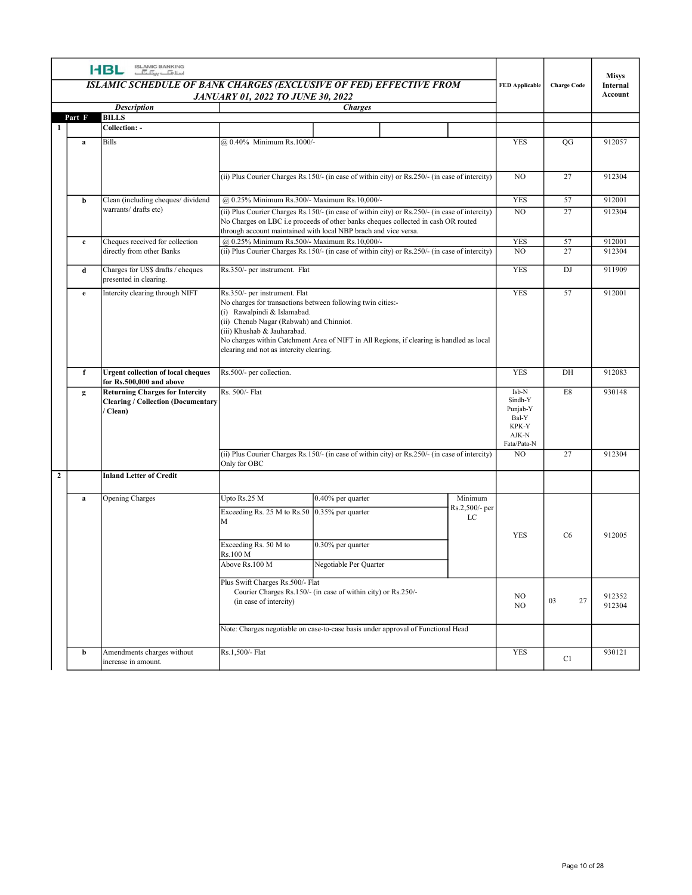| <b>HBL SLAMIC BANKING</b><br><b>Misys</b><br>ISLAMIC SCHEDULE OF BANK CHARGES (EXCLUSIVE OF FED) EFFECTIVE FROM<br><b>Charge Code</b><br><b>FED Applicable</b><br>Internal<br>Account<br><b>JANUARY 01, 2022 TO JUNE 30, 2022</b><br><b>Description</b><br><b>Charges</b><br><b>BILLS</b><br>Part F<br>Collection: -<br>1<br><b>Bills</b><br>@ 0.40% Minimum Rs.1000/-<br><b>YES</b><br>QG<br>912057<br>a<br>27<br>(ii) Plus Courier Charges Rs.150/- (in case of within city) or Rs.250/- (in case of intercity)<br>NO<br>912304<br>Clean (including cheques/dividend<br>@ 0.25% Minimum Rs.300/- Maximum Rs.10,000/-<br><b>YES</b><br>57<br>912001<br>b<br>warrants/ drafts etc)<br>27<br>(ii) Plus Courier Charges Rs.150/- (in case of within city) or Rs.250/- (in case of intercity)<br>NO.<br>912304<br>No Charges on LBC i.e proceeds of other banks cheques collected in cash OR routed<br>through account maintained with local NBP brach and vice versa.<br><b>YES</b><br>Cheques received for collection<br>57<br>912001<br>@ 0.25% Minimum Rs.500/- Maximum Rs.10,000/-<br>$\mathbf{c}$<br>directly from other Banks<br>$(i)$ Plus Courier Charges Rs.150/- (in case of within city) or Rs.250/- (in case of intercity)<br>NO<br>27<br>912304<br>Rs.350/- per instrument. Flat<br><b>YES</b><br>Charges for US\$ drafts / cheques<br>DJ<br>911909<br>d<br>presented in clearing.<br>Intercity clearing through NIFT<br>Rs.350/- per instrument. Flat<br>YES<br>57<br>912001<br>e<br>No charges for transactions between following twin cities:-<br>(i) Rawalpindi & Islamabad.<br>(ii) Chenab Nagar (Rabwah) and Chinniot.<br>(iii) Khushab & Jauharabad.<br>No charges within Catchment Area of NIFT in All Regions, if clearing is handled as local<br>clearing and not as intercity clearing.<br>Rs.500/- per collection.<br><b>YES</b><br>912083<br><b>Urgent collection of local cheques</b><br>DH<br>f<br>for Rs.500,000 and above<br>Rs. 500/- Flat<br>Isb-N<br>$\rm E8$<br><b>Returning Charges for Intercity</b><br>930148<br>$\mathbf{g}$<br>Sindh-Y<br><b>Clearing / Collection (Documentary)</b><br>Punjab-Y<br>Clean)<br>Bal-Y<br>KPK-Y<br>AJK-N<br>Fata/Pata-N<br>27<br>912304<br>(ii) Plus Courier Charges Rs.150/- (in case of within city) or Rs.250/- (in case of intercity)<br>NO<br>Only for OBC<br>$\overline{2}$<br><b>Inland Letter of Credit</b><br>Upto Rs.25 M<br>0.40% per quarter<br>Minimum<br>Opening Charges<br>a<br>Rs.2,500/- per<br>Exceeding Rs. 25 M to Rs.50 0.35% per quarter<br>$\mathop{\rm LC}\nolimits$<br>M<br>YES<br>912005<br>C <sub>6</sub><br>Exceeding Rs. 50 M to<br>0.30% per quarter<br>Rs.100 M<br>Above Rs.100 M<br>Negotiable Per Quarter<br>Plus Swift Charges Rs.500/- Flat<br>Courier Charges Rs.150/- (in case of within city) or Rs.250/-<br>912352<br>NO<br>$27\,$<br>03<br>(in case of intercity)<br>NO<br>912304<br>Note: Charges negotiable on case-to-case basis under approval of Functional Head<br>Amendments charges without<br>Rs.1,500/- Flat<br>YES<br>930121<br>b |  |  |  |    |  |
|--------------------------------------------------------------------------------------------------------------------------------------------------------------------------------------------------------------------------------------------------------------------------------------------------------------------------------------------------------------------------------------------------------------------------------------------------------------------------------------------------------------------------------------------------------------------------------------------------------------------------------------------------------------------------------------------------------------------------------------------------------------------------------------------------------------------------------------------------------------------------------------------------------------------------------------------------------------------------------------------------------------------------------------------------------------------------------------------------------------------------------------------------------------------------------------------------------------------------------------------------------------------------------------------------------------------------------------------------------------------------------------------------------------------------------------------------------------------------------------------------------------------------------------------------------------------------------------------------------------------------------------------------------------------------------------------------------------------------------------------------------------------------------------------------------------------------------------------------------------------------------------------------------------------------------------------------------------------------------------------------------------------------------------------------------------------------------------------------------------------------------------------------------------------------------------------------------------------------------------------------------------------------------------------------------------------------------------------------------------------------------------------------------------------------------------------------------------------------------------------------------------------------------------------------------------------------------------------------------------------------------------------------------------------------------------------------------------------------------------------------------------------------------------------------------------------------------------------------------------------------------------------------------------------------------------------------------------------------------------------------------------------------------------------------------|--|--|--|----|--|
|                                                                                                                                                                                                                                                                                                                                                                                                                                                                                                                                                                                                                                                                                                                                                                                                                                                                                                                                                                                                                                                                                                                                                                                                                                                                                                                                                                                                                                                                                                                                                                                                                                                                                                                                                                                                                                                                                                                                                                                                                                                                                                                                                                                                                                                                                                                                                                                                                                                                                                                                                                                                                                                                                                                                                                                                                                                                                                                                                                                                                                                        |  |  |  |    |  |
|                                                                                                                                                                                                                                                                                                                                                                                                                                                                                                                                                                                                                                                                                                                                                                                                                                                                                                                                                                                                                                                                                                                                                                                                                                                                                                                                                                                                                                                                                                                                                                                                                                                                                                                                                                                                                                                                                                                                                                                                                                                                                                                                                                                                                                                                                                                                                                                                                                                                                                                                                                                                                                                                                                                                                                                                                                                                                                                                                                                                                                                        |  |  |  |    |  |
|                                                                                                                                                                                                                                                                                                                                                                                                                                                                                                                                                                                                                                                                                                                                                                                                                                                                                                                                                                                                                                                                                                                                                                                                                                                                                                                                                                                                                                                                                                                                                                                                                                                                                                                                                                                                                                                                                                                                                                                                                                                                                                                                                                                                                                                                                                                                                                                                                                                                                                                                                                                                                                                                                                                                                                                                                                                                                                                                                                                                                                                        |  |  |  |    |  |
|                                                                                                                                                                                                                                                                                                                                                                                                                                                                                                                                                                                                                                                                                                                                                                                                                                                                                                                                                                                                                                                                                                                                                                                                                                                                                                                                                                                                                                                                                                                                                                                                                                                                                                                                                                                                                                                                                                                                                                                                                                                                                                                                                                                                                                                                                                                                                                                                                                                                                                                                                                                                                                                                                                                                                                                                                                                                                                                                                                                                                                                        |  |  |  |    |  |
|                                                                                                                                                                                                                                                                                                                                                                                                                                                                                                                                                                                                                                                                                                                                                                                                                                                                                                                                                                                                                                                                                                                                                                                                                                                                                                                                                                                                                                                                                                                                                                                                                                                                                                                                                                                                                                                                                                                                                                                                                                                                                                                                                                                                                                                                                                                                                                                                                                                                                                                                                                                                                                                                                                                                                                                                                                                                                                                                                                                                                                                        |  |  |  |    |  |
|                                                                                                                                                                                                                                                                                                                                                                                                                                                                                                                                                                                                                                                                                                                                                                                                                                                                                                                                                                                                                                                                                                                                                                                                                                                                                                                                                                                                                                                                                                                                                                                                                                                                                                                                                                                                                                                                                                                                                                                                                                                                                                                                                                                                                                                                                                                                                                                                                                                                                                                                                                                                                                                                                                                                                                                                                                                                                                                                                                                                                                                        |  |  |  |    |  |
|                                                                                                                                                                                                                                                                                                                                                                                                                                                                                                                                                                                                                                                                                                                                                                                                                                                                                                                                                                                                                                                                                                                                                                                                                                                                                                                                                                                                                                                                                                                                                                                                                                                                                                                                                                                                                                                                                                                                                                                                                                                                                                                                                                                                                                                                                                                                                                                                                                                                                                                                                                                                                                                                                                                                                                                                                                                                                                                                                                                                                                                        |  |  |  |    |  |
|                                                                                                                                                                                                                                                                                                                                                                                                                                                                                                                                                                                                                                                                                                                                                                                                                                                                                                                                                                                                                                                                                                                                                                                                                                                                                                                                                                                                                                                                                                                                                                                                                                                                                                                                                                                                                                                                                                                                                                                                                                                                                                                                                                                                                                                                                                                                                                                                                                                                                                                                                                                                                                                                                                                                                                                                                                                                                                                                                                                                                                                        |  |  |  |    |  |
|                                                                                                                                                                                                                                                                                                                                                                                                                                                                                                                                                                                                                                                                                                                                                                                                                                                                                                                                                                                                                                                                                                                                                                                                                                                                                                                                                                                                                                                                                                                                                                                                                                                                                                                                                                                                                                                                                                                                                                                                                                                                                                                                                                                                                                                                                                                                                                                                                                                                                                                                                                                                                                                                                                                                                                                                                                                                                                                                                                                                                                                        |  |  |  |    |  |
|                                                                                                                                                                                                                                                                                                                                                                                                                                                                                                                                                                                                                                                                                                                                                                                                                                                                                                                                                                                                                                                                                                                                                                                                                                                                                                                                                                                                                                                                                                                                                                                                                                                                                                                                                                                                                                                                                                                                                                                                                                                                                                                                                                                                                                                                                                                                                                                                                                                                                                                                                                                                                                                                                                                                                                                                                                                                                                                                                                                                                                                        |  |  |  |    |  |
|                                                                                                                                                                                                                                                                                                                                                                                                                                                                                                                                                                                                                                                                                                                                                                                                                                                                                                                                                                                                                                                                                                                                                                                                                                                                                                                                                                                                                                                                                                                                                                                                                                                                                                                                                                                                                                                                                                                                                                                                                                                                                                                                                                                                                                                                                                                                                                                                                                                                                                                                                                                                                                                                                                                                                                                                                                                                                                                                                                                                                                                        |  |  |  |    |  |
|                                                                                                                                                                                                                                                                                                                                                                                                                                                                                                                                                                                                                                                                                                                                                                                                                                                                                                                                                                                                                                                                                                                                                                                                                                                                                                                                                                                                                                                                                                                                                                                                                                                                                                                                                                                                                                                                                                                                                                                                                                                                                                                                                                                                                                                                                                                                                                                                                                                                                                                                                                                                                                                                                                                                                                                                                                                                                                                                                                                                                                                        |  |  |  |    |  |
|                                                                                                                                                                                                                                                                                                                                                                                                                                                                                                                                                                                                                                                                                                                                                                                                                                                                                                                                                                                                                                                                                                                                                                                                                                                                                                                                                                                                                                                                                                                                                                                                                                                                                                                                                                                                                                                                                                                                                                                                                                                                                                                                                                                                                                                                                                                                                                                                                                                                                                                                                                                                                                                                                                                                                                                                                                                                                                                                                                                                                                                        |  |  |  |    |  |
|                                                                                                                                                                                                                                                                                                                                                                                                                                                                                                                                                                                                                                                                                                                                                                                                                                                                                                                                                                                                                                                                                                                                                                                                                                                                                                                                                                                                                                                                                                                                                                                                                                                                                                                                                                                                                                                                                                                                                                                                                                                                                                                                                                                                                                                                                                                                                                                                                                                                                                                                                                                                                                                                                                                                                                                                                                                                                                                                                                                                                                                        |  |  |  |    |  |
|                                                                                                                                                                                                                                                                                                                                                                                                                                                                                                                                                                                                                                                                                                                                                                                                                                                                                                                                                                                                                                                                                                                                                                                                                                                                                                                                                                                                                                                                                                                                                                                                                                                                                                                                                                                                                                                                                                                                                                                                                                                                                                                                                                                                                                                                                                                                                                                                                                                                                                                                                                                                                                                                                                                                                                                                                                                                                                                                                                                                                                                        |  |  |  |    |  |
|                                                                                                                                                                                                                                                                                                                                                                                                                                                                                                                                                                                                                                                                                                                                                                                                                                                                                                                                                                                                                                                                                                                                                                                                                                                                                                                                                                                                                                                                                                                                                                                                                                                                                                                                                                                                                                                                                                                                                                                                                                                                                                                                                                                                                                                                                                                                                                                                                                                                                                                                                                                                                                                                                                                                                                                                                                                                                                                                                                                                                                                        |  |  |  |    |  |
|                                                                                                                                                                                                                                                                                                                                                                                                                                                                                                                                                                                                                                                                                                                                                                                                                                                                                                                                                                                                                                                                                                                                                                                                                                                                                                                                                                                                                                                                                                                                                                                                                                                                                                                                                                                                                                                                                                                                                                                                                                                                                                                                                                                                                                                                                                                                                                                                                                                                                                                                                                                                                                                                                                                                                                                                                                                                                                                                                                                                                                                        |  |  |  |    |  |
|                                                                                                                                                                                                                                                                                                                                                                                                                                                                                                                                                                                                                                                                                                                                                                                                                                                                                                                                                                                                                                                                                                                                                                                                                                                                                                                                                                                                                                                                                                                                                                                                                                                                                                                                                                                                                                                                                                                                                                                                                                                                                                                                                                                                                                                                                                                                                                                                                                                                                                                                                                                                                                                                                                                                                                                                                                                                                                                                                                                                                                                        |  |  |  |    |  |
|                                                                                                                                                                                                                                                                                                                                                                                                                                                                                                                                                                                                                                                                                                                                                                                                                                                                                                                                                                                                                                                                                                                                                                                                                                                                                                                                                                                                                                                                                                                                                                                                                                                                                                                                                                                                                                                                                                                                                                                                                                                                                                                                                                                                                                                                                                                                                                                                                                                                                                                                                                                                                                                                                                                                                                                                                                                                                                                                                                                                                                                        |  |  |  |    |  |
|                                                                                                                                                                                                                                                                                                                                                                                                                                                                                                                                                                                                                                                                                                                                                                                                                                                                                                                                                                                                                                                                                                                                                                                                                                                                                                                                                                                                                                                                                                                                                                                                                                                                                                                                                                                                                                                                                                                                                                                                                                                                                                                                                                                                                                                                                                                                                                                                                                                                                                                                                                                                                                                                                                                                                                                                                                                                                                                                                                                                                                                        |  |  |  |    |  |
|                                                                                                                                                                                                                                                                                                                                                                                                                                                                                                                                                                                                                                                                                                                                                                                                                                                                                                                                                                                                                                                                                                                                                                                                                                                                                                                                                                                                                                                                                                                                                                                                                                                                                                                                                                                                                                                                                                                                                                                                                                                                                                                                                                                                                                                                                                                                                                                                                                                                                                                                                                                                                                                                                                                                                                                                                                                                                                                                                                                                                                                        |  |  |  |    |  |
|                                                                                                                                                                                                                                                                                                                                                                                                                                                                                                                                                                                                                                                                                                                                                                                                                                                                                                                                                                                                                                                                                                                                                                                                                                                                                                                                                                                                                                                                                                                                                                                                                                                                                                                                                                                                                                                                                                                                                                                                                                                                                                                                                                                                                                                                                                                                                                                                                                                                                                                                                                                                                                                                                                                                                                                                                                                                                                                                                                                                                                                        |  |  |  |    |  |
| increase in amount.                                                                                                                                                                                                                                                                                                                                                                                                                                                                                                                                                                                                                                                                                                                                                                                                                                                                                                                                                                                                                                                                                                                                                                                                                                                                                                                                                                                                                                                                                                                                                                                                                                                                                                                                                                                                                                                                                                                                                                                                                                                                                                                                                                                                                                                                                                                                                                                                                                                                                                                                                                                                                                                                                                                                                                                                                                                                                                                                                                                                                                    |  |  |  | C1 |  |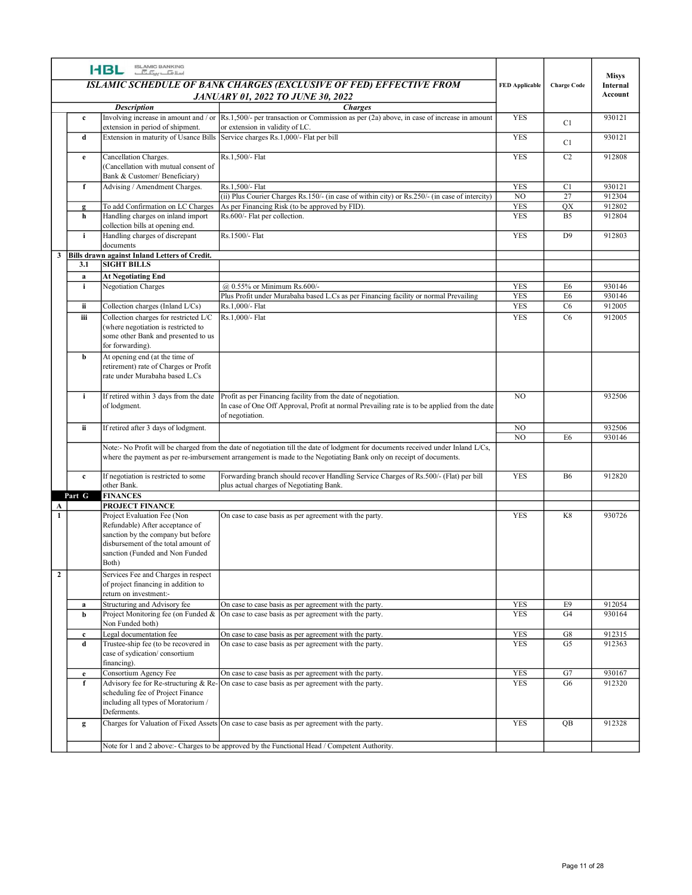|                   | <b>I-BL ISLAMIC BANKING</b>                                                                                                                                                             |                                                                                                                                                                                                                                                        |                           |                      |                                     |
|-------------------|-----------------------------------------------------------------------------------------------------------------------------------------------------------------------------------------|--------------------------------------------------------------------------------------------------------------------------------------------------------------------------------------------------------------------------------------------------------|---------------------------|----------------------|-------------------------------------|
|                   |                                                                                                                                                                                         | ISLAMIC SCHEDULE OF BANK CHARGES (EXCLUSIVE OF FED) EFFECTIVE FROM<br><b>JANUARY 01, 2022 TO JUNE 30, 2022</b>                                                                                                                                         | <b>FED Applicable</b>     | <b>Charge Code</b>   | <b>Misys</b><br>Internal<br>Account |
|                   | <b>Description</b>                                                                                                                                                                      | <b>Charges</b><br>Involving increase in amount and / or $\left  \text{Rs.1,500/} \right $ per transaction or Commission as per (2a) above, in case of increase in amount                                                                               | <b>YES</b>                |                      | 930121                              |
| $\mathbf{c}$      | extension in period of shipment.                                                                                                                                                        | or extension in validity of LC.                                                                                                                                                                                                                        |                           | C1                   |                                     |
| d                 |                                                                                                                                                                                         | Extension in maturity of Usance Bills Service charges Rs.1,000/- Flat per bill                                                                                                                                                                         | <b>YES</b>                | C1                   | 930121                              |
| e                 | Cancellation Charges.<br>(Cancellation with mutual consent of                                                                                                                           | Rs.1,500/- Flat                                                                                                                                                                                                                                        | <b>YES</b>                | C2                   | 912808                              |
|                   | Bank & Customer/Beneficiary)                                                                                                                                                            |                                                                                                                                                                                                                                                        |                           |                      |                                     |
| $\mathbf{f}$      | Advising / Amendment Charges.                                                                                                                                                           | Rs.1,500/- Flat                                                                                                                                                                                                                                        | <b>YES</b>                | C1                   | 930121                              |
| $\mathbf{g}$      | To add Confirmation on LC Charges                                                                                                                                                       | (ii) Plus Courier Charges Rs.150/- (in case of within city) or Rs.250/- (in case of intercity)<br>As per Financing Risk (to be approved by FID).                                                                                                       | $_{\rm NO}$<br><b>YES</b> | 27<br>QX             | 912304<br>912802                    |
| h                 | Handling charges on inland import                                                                                                                                                       | Rs.600/- Flat per collection.                                                                                                                                                                                                                          | <b>YES</b>                | <b>B5</b>            | 912804                              |
| i.                | collection bills at opening end.<br>Handling charges of discrepant                                                                                                                      | Rs.1500/- Flat                                                                                                                                                                                                                                         | <b>YES</b>                | D <sub>9</sub>       | 912803                              |
|                   | documents                                                                                                                                                                               |                                                                                                                                                                                                                                                        |                           |                      |                                     |
| 3.1               | Bills drawn against Inland Letters of Credit.<br><b>SIGHT BILLS</b>                                                                                                                     |                                                                                                                                                                                                                                                        |                           |                      |                                     |
| a                 | <b>At Negotiating End</b>                                                                                                                                                               |                                                                                                                                                                                                                                                        |                           |                      |                                     |
| i.                | <b>Negotiation Charges</b>                                                                                                                                                              | @ 0.55% or Minimum Rs.600/-                                                                                                                                                                                                                            | <b>YES</b>                | E6                   | 930146                              |
| ii.               | Collection charges (Inland L/Cs)                                                                                                                                                        | Plus Profit under Murabaha based L.Cs as per Financing facility or normal Prevailing<br>Rs.1,000/- Flat                                                                                                                                                | <b>YES</b><br><b>YES</b>  | E <sub>6</sub><br>C6 | 930146<br>912005                    |
| iii               | Collection charges for restricted L/C                                                                                                                                                   | Rs.1,000/- Flat                                                                                                                                                                                                                                        | <b>YES</b>                | C6                   | 912005                              |
|                   | (where negotiation is restricted to<br>some other Bank and presented to us<br>for forwarding).                                                                                          |                                                                                                                                                                                                                                                        |                           |                      |                                     |
| b                 | At opening end (at the time of<br>retirement) rate of Charges or Profit<br>rate under Murabaha based L.Cs                                                                               |                                                                                                                                                                                                                                                        |                           |                      |                                     |
| $\mathbf{i}$      | of lodgment.                                                                                                                                                                            | If retired within $3$ days from the date Profit as per Financing facility from the date of negotiation.<br>In case of One Off Approval, Profit at normal Prevailing rate is to be applied from the date<br>of negotiation.                             | NO.                       |                      | 932506                              |
| ii.               | If retired after 3 days of lodgment.                                                                                                                                                    |                                                                                                                                                                                                                                                        | NO                        |                      | 932506                              |
|                   |                                                                                                                                                                                         | Note:- No Profit will be charged from the date of negotiation till the date of lodgment for documents received under Inland L/Cs,<br>where the payment as per re-imbursement arrangement is made to the Negotiating Bank only on receipt of documents. | $_{\rm NO}$               | E <sub>6</sub>       | 930146                              |
| $\mathbf{c}$      | If negotiation is restricted to some<br>other Bank.                                                                                                                                     | Forwarding branch should recover Handling Service Charges of Rs.500/- (Flat) per bill<br>plus actual charges of Negotiating Bank.                                                                                                                      | <b>YES</b>                | <b>B6</b>            | 912820                              |
| Part G            | <b>FINANCES</b><br><b>PROJECT FINANCE</b>                                                                                                                                               |                                                                                                                                                                                                                                                        |                           |                      |                                     |
|                   | Project Evaluation Fee (Non<br>Refundable) After acceptance of<br>sanction by the company but before<br>disbursement of the total amount of<br>sanction (Funded and Non Funded<br>Both) | On case to case basis as per agreement with the party.                                                                                                                                                                                                 | <b>YES</b>                | K8                   | 930726                              |
|                   | Services Fee and Charges in respect<br>of project financing in addition to<br>return on investment:-                                                                                    |                                                                                                                                                                                                                                                        |                           |                      |                                     |
| a                 | Structuring and Advisory fee                                                                                                                                                            | On case to case basis as per agreement with the party.                                                                                                                                                                                                 | <b>YES</b>                | E9                   | 912054                              |
| b                 | Non Funded both)                                                                                                                                                                        | Project Monitoring fee (on Funded $\&$  On case to case basis as per agreement with the party.                                                                                                                                                         | <b>YES</b>                | G4                   | 930164                              |
| $\mathbf{c}$<br>d | Legal documentation fee<br>Trustee-ship fee (to be recovered in<br>case of sydication/consortium<br>financing).                                                                         | On case to case basis as per agreement with the party.<br>On case to case basis as per agreement with the party.                                                                                                                                       | <b>YES</b><br><b>YES</b>  | ${\rm G}8$<br>G5     | 912315<br>912363                    |
| e                 | Consortium Agency Fee                                                                                                                                                                   | On case to case basis as per agreement with the party.                                                                                                                                                                                                 | <b>YES</b>                | G7                   | 930167                              |
|                   | Advisory fee for Re-structuring & Re-<br>scheduling fee of Project Finance<br>including all types of Moratorium /                                                                       | -On case to case basis as per agreement with the party.                                                                                                                                                                                                | <b>YES</b>                | G6                   | 912320                              |
| $\mathbf{g}$      | Deferments.                                                                                                                                                                             | Charges for Valuation of Fixed Assets On case to case basis as per agreement with the party.                                                                                                                                                           | YES                       | QB                   | 912328                              |
|                   |                                                                                                                                                                                         |                                                                                                                                                                                                                                                        |                           |                      |                                     |
|                   |                                                                                                                                                                                         | Note for 1 and 2 above:- Charges to be approved by the Functional Head / Competent Authority.                                                                                                                                                          |                           |                      |                                     |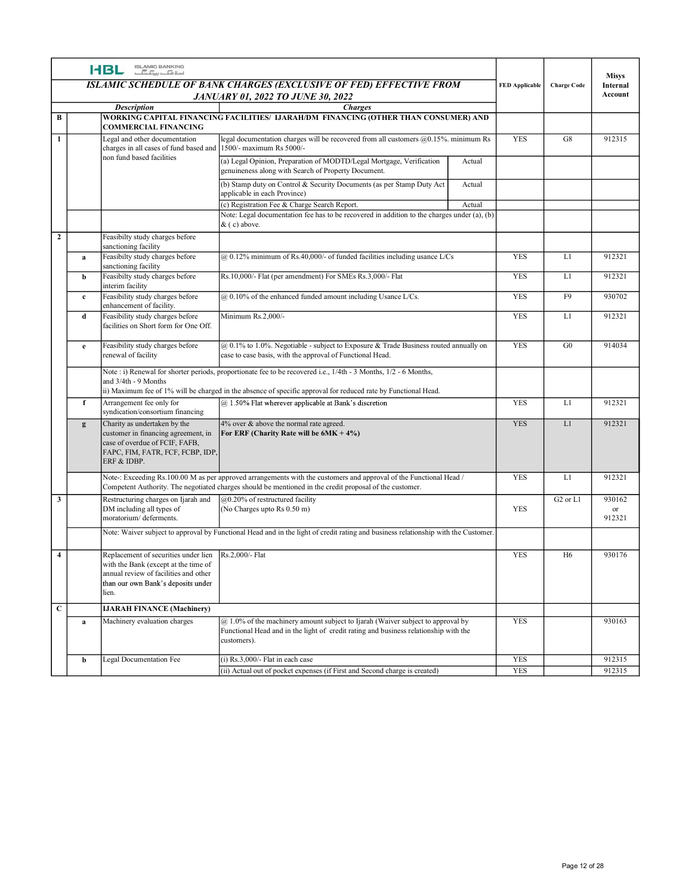|                         |              | ISLAMIC BANKING<br>اسلافیا ہے کہ اسلام<br><b>HBL</b>                                                                                                                 | ISLAMIC SCHEDULE OF BANK CHARGES (EXCLUSIVE OF FED) EFFECTIVE FROM<br><b>JANUARY 01, 2022 TO JUNE 30, 2022</b>                                                                                                                |        | <b>FED Applicable</b> | <b>Charge Code</b>               | <b>Misys</b><br>Internal<br>Account |
|-------------------------|--------------|----------------------------------------------------------------------------------------------------------------------------------------------------------------------|-------------------------------------------------------------------------------------------------------------------------------------------------------------------------------------------------------------------------------|--------|-----------------------|----------------------------------|-------------------------------------|
| B                       |              | <b>Description</b>                                                                                                                                                   | <b>Charges</b><br>WORKING CAPITAL FINANCING FACILITIES/ IJARAH/DM FINANCING (OTHER THAN CONSUMER) AND                                                                                                                         |        |                       |                                  |                                     |
|                         |              | <b>COMMERCIAL FINANCING</b>                                                                                                                                          |                                                                                                                                                                                                                               |        |                       |                                  |                                     |
| $\mathbf{1}$            |              | Legal and other documentation<br>charges in all cases of fund based and  1500/- maximum Rs 5000/-<br>non fund based facilities                                       | legal documentation charges will be recovered from all customers $@0.15\%$ . minimum Rs                                                                                                                                       |        | YES                   | G8                               | 912315                              |
|                         |              |                                                                                                                                                                      | (a) Legal Opinion, Preparation of MODTD/Legal Mortgage, Verification<br>genuineness along with Search of Property Document.                                                                                                   | Actual |                       |                                  |                                     |
|                         |              |                                                                                                                                                                      | (b) Stamp duty on Control & Security Documents (as per Stamp Duty Act<br>applicable in each Province)                                                                                                                         | Actual |                       |                                  |                                     |
|                         |              |                                                                                                                                                                      | (c) Registration Fee & Charge Search Report.<br>Note: Legal documentation fee has to be recovered in addition to the charges under (a), (b)                                                                                   | Actual |                       |                                  |                                     |
|                         |              |                                                                                                                                                                      | & (c) above.                                                                                                                                                                                                                  |        |                       |                                  |                                     |
| $\overline{2}$          |              | Feasibilty study charges before<br>sanctioning facility                                                                                                              |                                                                                                                                                                                                                               |        |                       |                                  |                                     |
|                         | a            | Feasibilty study charges before<br>sanctioning facility                                                                                                              | $@$ 0.12% minimum of Rs.40,000/- of funded facilities including usance L/Cs                                                                                                                                                   |        | <b>YES</b>            | L1                               | 912321                              |
|                         | b            | Feasibilty study charges before<br>interim facility                                                                                                                  | Rs.10,000/- Flat (per amendment) For SMEs Rs.3,000/- Flat                                                                                                                                                                     |        | <b>YES</b>            | L1                               | 912321                              |
|                         | $\mathbf{c}$ | Feasibility study charges before<br>enhancement of facility.                                                                                                         | $@0.10\%$ of the enhanced funded amount including Usance L/Cs.                                                                                                                                                                |        | <b>YES</b>            | F9                               | 930702                              |
|                         | d            | Feasibility study charges before<br>facilities on Short form for One Off.                                                                                            | Minimum Rs.2,000/-                                                                                                                                                                                                            |        | <b>YES</b>            | L1                               | 912321                              |
|                         | e            | Feasibility study charges before                                                                                                                                     | @ 0.1% to 1.0%. Negotiable - subject to Exposure & Trade Business routed annually on                                                                                                                                          |        | <b>YES</b>            | G0                               | 914034                              |
|                         |              | renewal of facility                                                                                                                                                  | case to case basis, with the approval of Functional Head.                                                                                                                                                                     |        |                       |                                  |                                     |
|                         |              | and 3/4th - 9 Months                                                                                                                                                 | Note : i) Renewal for shorter periods, proportionate fee to be recovered i.e., 1/4th - 3 Months, 1/2 - 6 Months,                                                                                                              |        |                       |                                  |                                     |
|                         |              | Arrangement fee only for                                                                                                                                             | ii) Maximum fee of 1% will be charged in the absence of specific approval for reduced rate by Functional Head.<br>@ 1.50% Flat wherever applicable at Bank's discretion                                                       |        | <b>YES</b>            | L1                               | 912321                              |
|                         |              | syndication/consortium financing                                                                                                                                     |                                                                                                                                                                                                                               |        | <b>YES</b>            | L1                               | 912321                              |
|                         | $\mathbf{g}$ | Charity as undertaken by the<br>customer in financing agreement, in<br>case of overdue of FCIF, FAFB,<br>FAPC, FIM, FATR, FCF, FCBP, IDP,<br>ERF & IDBP.             | 4% over & above the normal rate agreed.<br>For ERF (Charity Rate will be $6MK + 4\%$ )                                                                                                                                        |        |                       |                                  |                                     |
|                         |              |                                                                                                                                                                      | Note-: Exceeding Rs.100.00 M as per approved arrangements with the customers and approval of the Functional Head /<br>Competent Authority. The negotiated charges should be mentioned in the credit proposal of the customer. |        | <b>YES</b>            | L1                               | 912321                              |
| $\overline{\mathbf{3}}$ |              | Restructuring charges on Ijarah and<br>DM including all types of                                                                                                     | @0.20% of restructured facility<br>(No Charges upto Rs $0.50 \text{ m}$ )                                                                                                                                                     |        | YES                   | G <sub>2</sub> or L <sub>1</sub> | 930162<br>or                        |
|                         |              | moratorium/deferments.                                                                                                                                               | Note: Waiver subject to approval by Functional Head and in the light of credit rating and business relationship with the Customer.                                                                                            |        |                       |                                  | 912321                              |
|                         |              |                                                                                                                                                                      |                                                                                                                                                                                                                               |        |                       |                                  |                                     |
| $\overline{\mathbf{4}}$ |              | Replacement of securities under lien<br>with the Bank (except at the time of<br>annual review of facilities and other<br>than our own Bank's deposits under<br>lien. | Rs.2,000/- Flat                                                                                                                                                                                                               |        | <b>YES</b>            | H <sub>6</sub>                   | 930176                              |
| $\overline{c}$          |              | <b>IJARAH FINANCE (Machinery)</b>                                                                                                                                    |                                                                                                                                                                                                                               |        |                       |                                  |                                     |
|                         | a            | Machinery evaluation charges                                                                                                                                         | $@1.0\%$ of the machinery amount subject to Ijarah (Waiver subject to approval by<br>Functional Head and in the light of credit rating and business relationship with the<br>customers).                                      |        | <b>YES</b>            |                                  | 930163                              |
|                         | b            | Legal Documentation Fee                                                                                                                                              | $(i)$ Rs.3,000/- Flat in each case                                                                                                                                                                                            |        | <b>YES</b>            |                                  | 912315                              |
|                         |              |                                                                                                                                                                      | (ii) Actual out of pocket expenses (if First and Second charge is created)                                                                                                                                                    |        | <b>YES</b>            |                                  | 912315                              |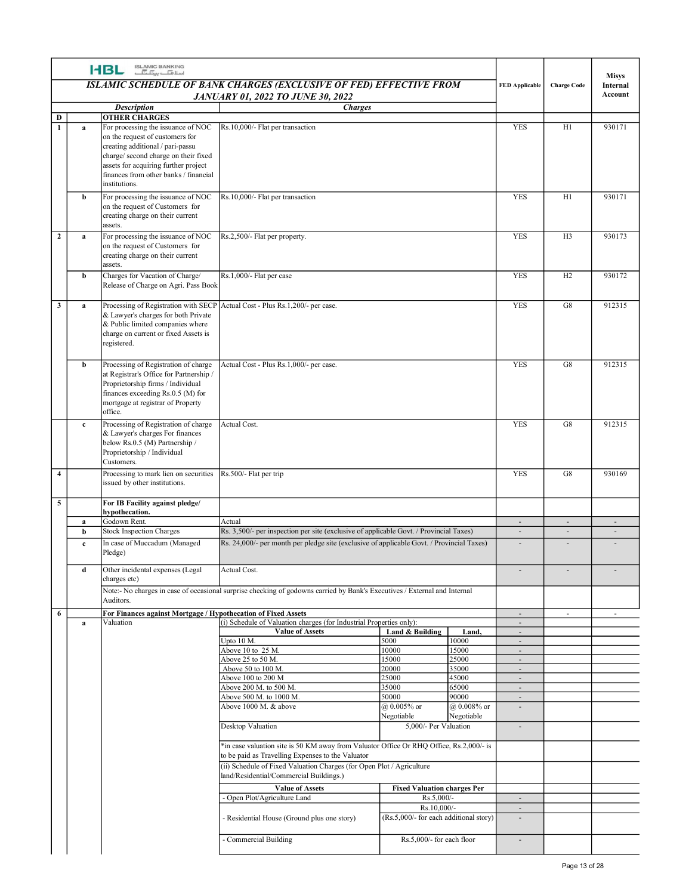| $\mathbf{D}$<br>$\blacksquare$ |                   |                                                                                                                                                                                                                |                                                                                                                                                                                     |                 |                                                                     |                            |                                                      |                     |
|--------------------------------|-------------------|----------------------------------------------------------------------------------------------------------------------------------------------------------------------------------------------------------------|-------------------------------------------------------------------------------------------------------------------------------------------------------------------------------------|-----------------|---------------------------------------------------------------------|----------------------------|------------------------------------------------------|---------------------|
|                                |                   | <b>I-BL ISLAMIC BANKING</b>                                                                                                                                                                                    | ISLAMIC SCHEDULE OF BANK CHARGES (EXCLUSIVE OF FED) EFFECTIVE FROM                                                                                                                  |                 |                                                                     |                            |                                                      | <b>Misys</b>        |
|                                |                   |                                                                                                                                                                                                                | <b>JANUARY 01, 2022 TO JUNE 30, 2022</b>                                                                                                                                            |                 |                                                                     | <b>FED Applicable</b>      | <b>Charge Code</b>                                   | Internal<br>Account |
|                                |                   | <b>Description</b><br><b>OTHER CHARGES</b>                                                                                                                                                                     | <b>Charges</b>                                                                                                                                                                      |                 |                                                                     |                            |                                                      |                     |
|                                | a                 | For processing the issuance of NOC<br>on the request of customers for<br>creating additional / pari-passu<br>charge/second charge on their fixed<br>assets for acquiring further project                       | Rs.10,000/- Flat per transaction                                                                                                                                                    |                 |                                                                     | YES                        | H1                                                   | 930171              |
|                                |                   | finances from other banks / financial<br>institutions.                                                                                                                                                         |                                                                                                                                                                                     |                 |                                                                     |                            |                                                      |                     |
|                                | b                 | For processing the issuance of NOC<br>on the request of Customers for<br>creating charge on their current<br>assets.                                                                                           | Rs.10,000/- Flat per transaction                                                                                                                                                    |                 |                                                                     | YES                        | H1                                                   | 930171              |
| $\overline{2}$                 | $\mathbf{a}$      | For processing the issuance of NOC<br>on the request of Customers for<br>creating charge on their current<br>assets.                                                                                           | Rs.2,500/- Flat per property.                                                                                                                                                       |                 |                                                                     | YES                        | H <sub>3</sub>                                       | 930173              |
|                                | b                 | Charges for Vacation of Charge/<br>Release of Charge on Agri. Pass Book                                                                                                                                        | Rs.1,000/- Flat per case                                                                                                                                                            |                 |                                                                     | YES                        | H2                                                   | 930172              |
| $\overline{\mathbf{3}}$        | a                 | Processing of Registration with SECP Actual Cost - Plus Rs.1,200/- per case.<br>& Lawyer's charges for both Private<br>& Public limited companies where<br>charge on current or fixed Assets is<br>registered. |                                                                                                                                                                                     |                 |                                                                     | YES                        | G8                                                   | 912315              |
|                                | b                 | Processing of Registration of charge<br>at Registrar's Office for Partnership /<br>Proprietorship firms / Individual<br>finances exceeding Rs.0.5 (M) for<br>mortgage at registrar of Property<br>office.      | Actual Cost - Plus Rs.1,000/- per case.                                                                                                                                             |                 |                                                                     | YES                        | G8                                                   | 912315              |
|                                | $\mathbf{c}$      | Processing of Registration of charge<br>& Lawyer's charges For finances<br>below Rs.0.5 (M) Partnership /<br>Proprietorship / Individual<br>Customers.                                                         | Actual Cost.                                                                                                                                                                        |                 |                                                                     | YES                        | G8                                                   | 912315              |
| $\overline{4}$                 |                   | Processing to mark lien on securities<br>issued by other institutions.                                                                                                                                         | Rs.500/- Flat per trip                                                                                                                                                              |                 |                                                                     | YES                        | G8                                                   | 930169              |
| $\overline{5}$                 | a                 | For IB Facility against pledge/<br>hypothecation.<br>Godown Rent.                                                                                                                                              | Actual                                                                                                                                                                              |                 |                                                                     | $\sim$                     | $\sim$                                               | $\sim$              |
|                                | b<br>$\mathbf{c}$ | Stock Inspection Charges<br>In case of Muccadum (Managed<br>Pledge)                                                                                                                                            | Rs. 3,500/- per inspection per site (exclusive of applicable Govt. / Provincial Taxes)<br>Rs. 24,000/- per month per pledge site (exclusive of applicable Govt. / Provincial Taxes) |                 |                                                                     | $\sim$<br>$\sim$           | $\overline{\phantom{a}}$<br>$\overline{\phantom{a}}$ | $\sim$<br>$\sim$    |
|                                | d                 | Other incidental expenses (Legal<br>charges etc)                                                                                                                                                               | Actual Cost.                                                                                                                                                                        |                 |                                                                     | $\sim$                     | $\sim$                                               | $\sim$              |
|                                |                   | Auditors.                                                                                                                                                                                                      | Note:- No charges in case of occasional surprise checking of godowns carried by Bank's Executives / External and Internal                                                           |                 |                                                                     |                            |                                                      |                     |
| - 6                            |                   | For Finances against Mortgage / Hypothecation of Fixed Assets                                                                                                                                                  |                                                                                                                                                                                     |                 |                                                                     | $\sim$                     | $\sim$                                               | $\sim$              |
|                                | a                 | Valuation                                                                                                                                                                                                      | (i) Schedule of Valuation charges (for Industrial Properties only):<br><b>Value of Assets</b>                                                                                       | Land & Building | Land,                                                               | $\sim$<br>$\sim$           |                                                      |                     |
|                                |                   |                                                                                                                                                                                                                | Upto 10 M.<br>Above 10 to 25 M.                                                                                                                                                     | 5000<br>10000   | 10000<br>15000                                                      | $\sim$<br>$\sim$           |                                                      |                     |
|                                |                   |                                                                                                                                                                                                                | Above 25 to 50 M.                                                                                                                                                                   | 15000           | 25000                                                               | $\sim$                     |                                                      |                     |
|                                |                   |                                                                                                                                                                                                                | Above 50 to 100 M.<br>Above 100 to 200 M                                                                                                                                            | 20000<br>25000  | 35000<br>45000                                                      | $\sim$<br>$\sim$           |                                                      |                     |
|                                |                   |                                                                                                                                                                                                                | Above 200 M. to 500 M.                                                                                                                                                              | 35000<br>50000  | 65000<br>90000                                                      | $\sim$                     |                                                      |                     |
|                                |                   |                                                                                                                                                                                                                | Above 500 M. to 1000 M.<br>Above 1000 M. & above                                                                                                                                    | @ 0.005% or     | @ 0.008% or                                                         | ٠<br>$\sim$                |                                                      |                     |
|                                |                   |                                                                                                                                                                                                                | Desktop Valuation                                                                                                                                                                   | Negotiable      | Negotiable<br>5,000/- Per Valuation                                 | $\sim$                     |                                                      |                     |
|                                |                   |                                                                                                                                                                                                                | *in case valuation site is 50 KM away from Valuator Office Or RHQ Office, Rs.2,000/- is                                                                                             |                 |                                                                     |                            |                                                      |                     |
|                                |                   |                                                                                                                                                                                                                | to be paid as Travelling Expenses to the Valuator<br>(ii) Schedule of Fixed Valuation Charges (for Open Plot / Agriculture<br>land/Residential/Commercial Buildings.)               |                 |                                                                     |                            |                                                      |                     |
|                                |                   |                                                                                                                                                                                                                | <b>Value of Assets</b>                                                                                                                                                              |                 | <b>Fixed Valuation charges Per</b>                                  |                            |                                                      |                     |
|                                |                   |                                                                                                                                                                                                                | - Open Plot/Agriculture Land<br>Residential House (Ground plus one story)                                                                                                           |                 | Rs.5,000/-<br>Rs.10,000/-<br>(Rs.5,000/- for each additional story) | $\sim$<br>$\sim$<br>$\sim$ |                                                      |                     |
|                                |                   |                                                                                                                                                                                                                |                                                                                                                                                                                     |                 |                                                                     |                            |                                                      |                     |
|                                |                   |                                                                                                                                                                                                                | - Commercial Building                                                                                                                                                               |                 | Rs.5,000/- for each floor                                           | $\overline{\phantom{a}}$   |                                                      |                     |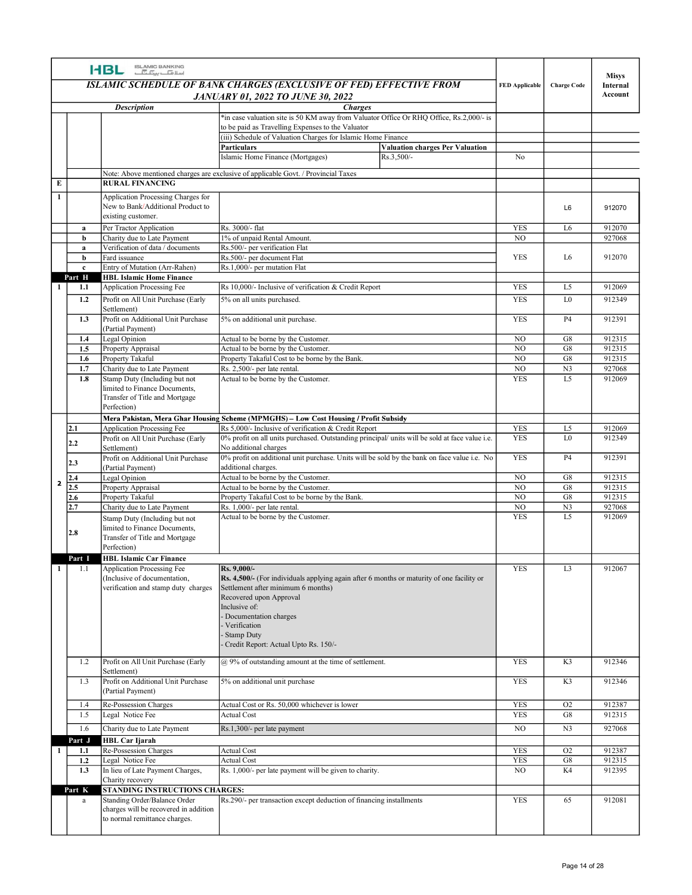|                        | <b>HBL</b> | ISLAMIC BANKING<br>اسلافیا ہیں۔                                         |                                                                                                                                                        |                                  |                      | <b>Misys</b>        |
|------------------------|------------|-------------------------------------------------------------------------|--------------------------------------------------------------------------------------------------------------------------------------------------------|----------------------------------|----------------------|---------------------|
|                        |            |                                                                         | ISLAMIC SCHEDULE OF BANK CHARGES (EXCLUSIVE OF FED) EFFECTIVE FROM                                                                                     | <b>FED Applicable</b>            | <b>Charge Code</b>   | Internal<br>Account |
|                        |            | <b>Description</b>                                                      | <b>JANUARY 01, 2022 TO JUNE 30, 2022</b><br><i>Charges</i>                                                                                             |                                  |                      |                     |
|                        |            |                                                                         | *in case valuation site is 50 KM away from Valuator Office Or RHQ Office, Rs.2,000/- is<br>to be paid as Travelling Expenses to the Valuator           |                                  |                      |                     |
|                        |            |                                                                         | (iii) Schedule of Valuation Charges for Islamic Home Finance<br><b>Valuation charges Per Valuation</b><br>Particulars                                  |                                  |                      |                     |
|                        |            |                                                                         | Islamic Home Finance (Mortgages)<br>Rs.3,500/-                                                                                                         | No                               |                      |                     |
| $\bf{E}$               |            | <b>RURAL FINANCING</b>                                                  | Note: Above mentioned charges are exclusive of applicable Govt. / Provincial Taxes                                                                     |                                  |                      |                     |
| -1                     |            | Application Processing Charges for                                      |                                                                                                                                                        |                                  |                      |                     |
|                        |            | New to Bank/Additional Product to<br>existing customer.                 |                                                                                                                                                        |                                  | L6                   | 912070              |
| a<br>b                 |            | Per Tractor Application<br>Charity due to Late Payment                  | Rs. 3000/- flat<br>1% of unpaid Rental Amount.                                                                                                         | <b>YES</b><br>NO.                | L6                   | 912070<br>927068    |
| a<br>b                 |            | Verification of data / documents<br>Fard issuance                       | Rs.500/- per verification Flat<br>Rs.500/- per document Flat                                                                                           | YES                              | L6                   | 912070              |
| $\mathbf{c}$<br>Part H |            | Entry of Mutation (Arr-Rahen)<br><b>HBL Islamic Home Finance</b>        | Rs.1,000/- per mutation Flat                                                                                                                           |                                  |                      |                     |
| 1.1<br>-1              |            | Application Processing Fee                                              | Rs 10,000/- Inclusive of verification & Credit Report                                                                                                  | <b>YES</b>                       | L <sub>5</sub>       | 912069              |
| 1.2                    |            | Profit on All Unit Purchase (Early<br>Settlement)                       | 5% on all units purchased.                                                                                                                             | <b>YES</b>                       | L0                   | 912349              |
|                        | 1.3        | Profit on Additional Unit Purchase<br>(Partial Payment)                 | 5% on additional unit purchase.                                                                                                                        | <b>YES</b>                       | P4                   | 912391              |
| 1.4<br>1.5             |            | Legal Opinion<br>Property Appraisal                                     | Actual to be borne by the Customer.<br>Actual to be borne by the Customer.                                                                             | NO<br>$_{\rm NO}$                | G8<br>G8             | 912315<br>912315    |
| 1.6<br>1.7             |            | Property Takaful<br>Charity due to Late Payment                         | Property Takaful Cost to be borne by the Bank.<br>Rs. 2,500/- per late rental.                                                                         | N <sub>O</sub><br>N <sub>O</sub> | G8<br>N <sub>3</sub> | 912315<br>927068    |
| 1.8                    |            | Stamp Duty (Including but not<br>limited to Finance Documents,          | Actual to be borne by the Customer.                                                                                                                    | <b>YES</b>                       | L5                   | 912069              |
|                        |            | Transfer of Title and Mortgage                                          |                                                                                                                                                        |                                  |                      |                     |
|                        |            | Perfection)                                                             | Mera Pakistan, Mera Ghar Housing Scheme (MPMGHS) - Low Cost Housing / Profit Subsidy                                                                   |                                  |                      |                     |
| 2.1                    |            | <b>Application Processing Fee</b><br>Profit on All Unit Purchase (Early | Rs 5,000/- Inclusive of verification & Credit Report<br>0% profit on all units purchased. Outstanding principal/ units will be sold at face value i.e. | <b>YES</b><br><b>YES</b>         | L5<br>L0             | 912069<br>912349    |
| 2.2                    |            | Settlement)<br>Profit on Additional Unit Purchase                       | No additional charges<br>0% profit on additional unit purchase. Units will be sold by the bank on face value i.e. No                                   | <b>YES</b>                       | <b>P4</b>            | 912391              |
| 2.3<br>2.4             |            | (Partial Payment)<br>Legal Opinion                                      | additional charges.<br>Actual to be borne by the Customer.                                                                                             | $_{\rm NO}$                      | G8                   | 912315              |
| 2<br>2.5               |            | Property Appraisal                                                      | Actual to be borne by the Customer.                                                                                                                    | N <sub>O</sub><br>NO.            | G8<br>G8             | 912315<br>912315    |
| 2.6<br>2.7             |            | Property Takaful<br>Charity due to Late Payment                         | Property Takaful Cost to be borne by the Bank.<br>Rs. 1,000/- per late rental.                                                                         | NO                               | N <sub>3</sub>       | 927068              |
|                        |            | Stamp Duty (Including but not<br>limited to Finance Documents,          | Actual to be borne by the Customer.                                                                                                                    | <b>YES</b>                       | L <sub>5</sub>       | 912069              |
| 2.8                    |            | Transfer of Title and Mortgage<br>Perfection)                           |                                                                                                                                                        |                                  |                      |                     |
| Part I                 |            | <b>HBL Islamic Car Finance</b><br>Application Processing Fee            | Rs. 9,000/-                                                                                                                                            | <b>YES</b>                       | L <sub>3</sub>       | 912067              |
| 1.1<br>-1              |            | (Inclusive of documentation,                                            | Rs. 4,500/- (For individuals applying again after 6 months or maturity of one facility or                                                              |                                  |                      |                     |
|                        |            | verification and stamp duty charges                                     | Settlement after minimum 6 months)<br>Recovered upon Approval                                                                                          |                                  |                      |                     |
|                        |            |                                                                         | Inclusive of:<br>Documentation charges                                                                                                                 |                                  |                      |                     |
|                        |            |                                                                         | Verification<br><b>Stamp Duty</b>                                                                                                                      |                                  |                      |                     |
|                        |            |                                                                         | Credit Report: Actual Upto Rs. 150/-                                                                                                                   |                                  |                      |                     |
| 1.2                    |            | Profit on All Unit Purchase (Early<br>Settlement)                       | @ 9% of outstanding amount at the time of settlement.                                                                                                  | YES                              | K3                   | 912346              |
| 1.3                    |            | Profit on Additional Unit Purchase<br>(Partial Payment)                 | 5% on additional unit purchase                                                                                                                         | <b>YES</b>                       | K3                   | 912346              |
| 1.4<br>1.5             |            | Re-Possession Charges<br>Legal Notice Fee                               | Actual Cost or Rs. 50,000 whichever is lower<br><b>Actual Cost</b>                                                                                     | YES<br><b>YES</b>                | O2<br>G8             | 912387<br>912315    |
| 1.6                    |            | Charity due to Late Payment                                             | Rs.1,300/- per late payment                                                                                                                            | NO                               | N <sub>3</sub>       | 927068              |
| Part J<br>1.1          |            | <b>HBL Car Ijarah</b><br>Re-Possession Charges                          | <b>Actual Cost</b>                                                                                                                                     | <b>YES</b>                       | O2                   | 912387              |
| 1.2                    |            | Legal Notice Fee                                                        | <b>Actual Cost</b>                                                                                                                                     | <b>YES</b>                       | G8                   | 912315              |
| 1.3                    |            | In lieu of Late Payment Charges,<br>Charity recovery                    | Rs. 1,000/- per late payment will be given to charity.                                                                                                 | NO                               | K4                   | 912395              |
| Part K<br>a            |            | STANDING INSTRUCTIONS CHARGES:<br>Standing Order/Balance Order          | Rs.290/- per transaction except deduction of financing installments                                                                                    | <b>YES</b>                       | 65                   | 912081              |
|                        |            | charges will be recovered in addition<br>to normal remittance charges.  |                                                                                                                                                        |                                  |                      |                     |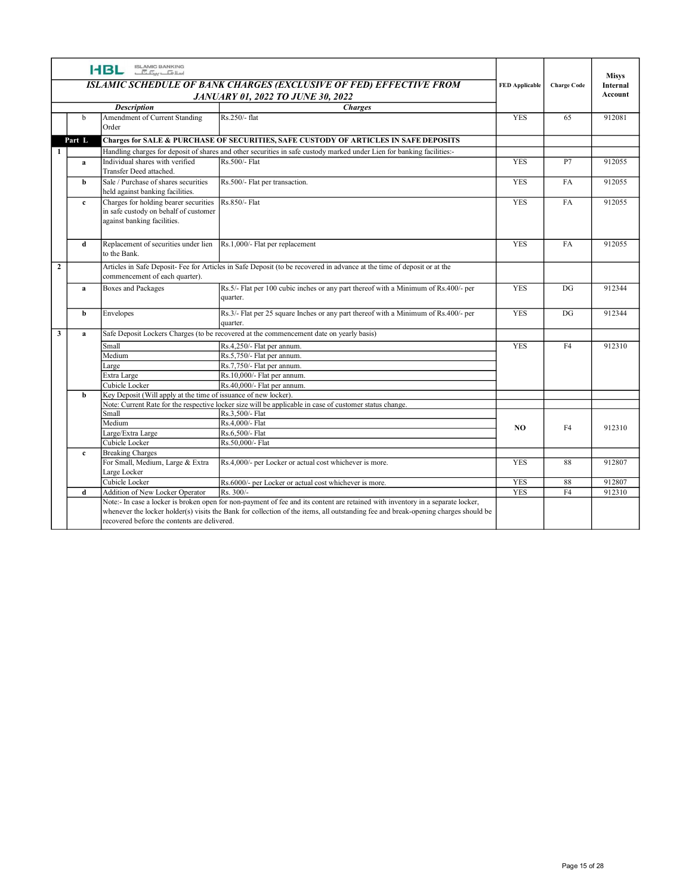|                |              | ISLAMIC BANKING<br>اسلافیا سیک اسلا<br><b>HBL</b>                                           |                                                                                                                                                                                                                                                                       |                       |                    |                          |
|----------------|--------------|---------------------------------------------------------------------------------------------|-----------------------------------------------------------------------------------------------------------------------------------------------------------------------------------------------------------------------------------------------------------------------|-----------------------|--------------------|--------------------------|
|                |              |                                                                                             | ISLAMIC SCHEDULE OF BANK CHARGES (EXCLUSIVE OF FED) EFFECTIVE FROM                                                                                                                                                                                                    | <b>FED Applicable</b> | <b>Charge Code</b> | <b>Misys</b><br>Internal |
|                |              |                                                                                             | <b>JANUARY 01, 2022 TO JUNE 30, 2022</b>                                                                                                                                                                                                                              |                       |                    | Account                  |
|                |              | <b>Description</b>                                                                          | <b>Charges</b>                                                                                                                                                                                                                                                        |                       |                    |                          |
|                | b            | Amendment of Current Standing                                                               | Rs.250/- flat                                                                                                                                                                                                                                                         | YES                   | 65                 | 912081                   |
|                |              | Order                                                                                       |                                                                                                                                                                                                                                                                       |                       |                    |                          |
|                | Part L       |                                                                                             | <b>Charges for SALE &amp; PURCHASE OF SECURITIES, SAFE CUSTODY OF ARTICLES IN SAFE DEPOSITS</b>                                                                                                                                                                       |                       |                    |                          |
|                | $\mathbf{a}$ | Individual shares with verified                                                             | Handling charges for deposit of shares and other securities in safe custody marked under Lien for banking facilities:-<br>Rs.500/- Flat                                                                                                                               | <b>YES</b>            | P7                 | 912055                   |
|                |              | Transfer Deed attached.                                                                     |                                                                                                                                                                                                                                                                       |                       |                    |                          |
|                | b            | Sale / Purchase of shares securities                                                        | Rs.500/- Flat per transaction.                                                                                                                                                                                                                                        | <b>YES</b>            | FA                 | 912055                   |
|                |              | held against banking facilities.                                                            |                                                                                                                                                                                                                                                                       |                       |                    |                          |
|                | $\mathbf{c}$ | Charges for holding bearer securities<br>in safe custody on behalf of customer              | Rs.850/- Flat                                                                                                                                                                                                                                                         | YES                   | FA                 | 912055                   |
|                |              | against banking facilities.                                                                 |                                                                                                                                                                                                                                                                       |                       |                    |                          |
|                |              |                                                                                             |                                                                                                                                                                                                                                                                       |                       |                    |                          |
|                | d            | Replacement of securities under lien $\left  \text{Rs.1,000/} \right $ Flat per replacement |                                                                                                                                                                                                                                                                       | <b>YES</b>            | FA                 | 912055                   |
|                |              | to the Bank.                                                                                |                                                                                                                                                                                                                                                                       |                       |                    |                          |
| $\overline{2}$ |              |                                                                                             | Articles in Safe Deposit- Fee for Articles in Safe Deposit (to be recovered in advance at the time of deposit or at the                                                                                                                                               |                       |                    |                          |
|                | a            | commencement of each quarter).<br><b>Boxes and Packages</b>                                 | Rs.5/- Flat per 100 cubic inches or any part thereof with a Minimum of Rs.400/- per                                                                                                                                                                                   | YES                   | DG                 | 912344                   |
|                |              |                                                                                             | quarter.                                                                                                                                                                                                                                                              |                       |                    |                          |
|                |              |                                                                                             | Rs.3/- Flat per 25 square Inches or any part thereof with a Minimum of Rs.400/- per                                                                                                                                                                                   | YES                   | DG                 | 912344                   |
|                | b            | Envelopes                                                                                   | quarter.                                                                                                                                                                                                                                                              |                       |                    |                          |
| $\mathbf{3}$   | a            |                                                                                             | Safe Deposit Lockers Charges (to be recovered at the commencement date on yearly basis)                                                                                                                                                                               |                       |                    |                          |
|                |              | Small                                                                                       | Rs.4,250/- Flat per annum.                                                                                                                                                                                                                                            | <b>YES</b>            | F4                 | 912310                   |
|                |              | Medium                                                                                      | Rs.5,750/- Flat per annum.                                                                                                                                                                                                                                            |                       |                    |                          |
|                |              | Large                                                                                       | Rs.7,750/- Flat per annum.                                                                                                                                                                                                                                            |                       |                    |                          |
|                |              | Extra Large                                                                                 | Rs.10,000/- Flat per annum.                                                                                                                                                                                                                                           |                       |                    |                          |
|                | b            | Cubicle Locker<br>Key Deposit (Will apply at the time of issuance of new locker).           | Rs.40,000/- Flat per annum.                                                                                                                                                                                                                                           |                       |                    |                          |
|                |              |                                                                                             | Note: Current Rate for the respective locker size will be applicable in case of customer status change.                                                                                                                                                               |                       |                    |                          |
|                |              | Small                                                                                       | Rs.3,500/- Flat                                                                                                                                                                                                                                                       |                       |                    |                          |
|                |              | Medium                                                                                      | Rs.4,000/- Flat                                                                                                                                                                                                                                                       | NO                    | F4                 | 912310                   |
|                |              | Large/Extra Large                                                                           | Rs.6,500/- Flat                                                                                                                                                                                                                                                       |                       |                    |                          |
|                | $\mathbf{c}$ | Cubicle Locker<br><b>Breaking Charges</b>                                                   | Rs.50,000/- Flat                                                                                                                                                                                                                                                      |                       |                    |                          |
|                |              | For Small, Medium, Large & Extra                                                            | Rs.4,000/- per Locker or actual cost whichever is more.                                                                                                                                                                                                               | <b>YES</b>            | 88                 | 912807                   |
|                |              | Large Locker                                                                                |                                                                                                                                                                                                                                                                       |                       |                    |                          |
|                |              | Cubicle Locker                                                                              | Rs.6000/- per Locker or actual cost whichever is more.                                                                                                                                                                                                                | YES                   | 88                 | 912807                   |
|                | d            | Addition of New Locker Operator                                                             | Rs. 300/-                                                                                                                                                                                                                                                             | <b>YES</b>            | F4                 | 912310                   |
|                |              |                                                                                             | Note:- In case a locker is broken open for non-payment of fee and its content are retained with inventory in a separate locker,<br>whenever the locker holder(s) visits the Bank for collection of the items, all outstanding fee and break-opening charges should be |                       |                    |                          |
|                |              | recovered before the contents are delivered.                                                |                                                                                                                                                                                                                                                                       |                       |                    |                          |
|                |              |                                                                                             |                                                                                                                                                                                                                                                                       |                       |                    |                          |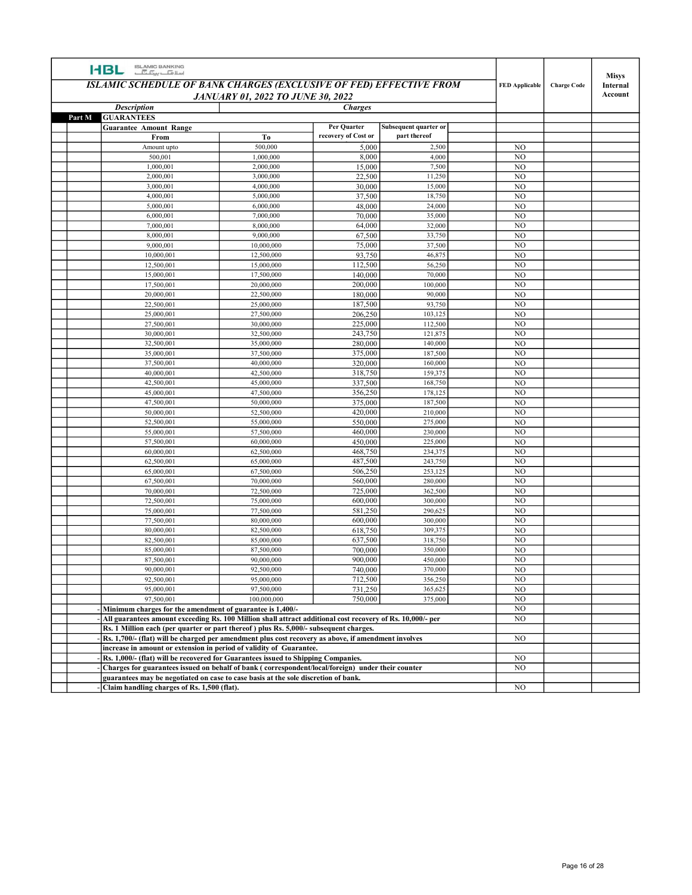| <b>HBL</b>                                                                                                                        |                                                                     |                     |                       |                                  |                    |                                     |
|-----------------------------------------------------------------------------------------------------------------------------------|---------------------------------------------------------------------|---------------------|-----------------------|----------------------------------|--------------------|-------------------------------------|
| ISLAMIC BANKING<br>اسلافیا ہے کہ اسلام<br><b>ISLAMIC SCHEDULE OF BANK CHARGES (EXCLUSIVE OF FED) EFFECTIVE FROM</b>               | <b>JANUARY 01, 2022 TO JUNE 30, 2022</b>                            |                     |                       | <b>FED Applicable</b>            | <b>Charge Code</b> | <b>Misys</b><br>Internal<br>Account |
| <b>Description</b>                                                                                                                |                                                                     | <b>Charges</b>      |                       |                                  |                    |                                     |
| Part M<br><b>GUARANTEES</b><br><b>Guarantee Amount Range</b>                                                                      |                                                                     | Per Quarter         | Subsequent quarter or |                                  |                    |                                     |
| From                                                                                                                              | To                                                                  | recovery of Cost or | part thereof          |                                  |                    |                                     |
| Amount upto<br>500,001                                                                                                            | 500,000<br>1,000,000                                                | 5,000<br>8,000      | 2,500<br>4,000        | NO<br>NO                         |                    |                                     |
| 1,000,001                                                                                                                         | 2,000,000                                                           | 15,000              | 7,500                 | N <sub>O</sub>                   |                    |                                     |
| 2,000,001                                                                                                                         | 3,000,000                                                           | 22,500              | 11,250                | N <sub>O</sub>                   |                    |                                     |
| 3,000,001                                                                                                                         | 4,000,000                                                           | 30,000              | 15,000                | NO<br>NO                         |                    |                                     |
| 4,000,001<br>5,000,001                                                                                                            | 5,000,000<br>6,000,000                                              | 37,500<br>48,000    | 18,750<br>24,000      | NO                               |                    |                                     |
| 6,000,001                                                                                                                         | 7,000,000                                                           | 70,000              | 35,000                | N <sub>O</sub>                   |                    |                                     |
| 7,000,001                                                                                                                         | 8,000,000                                                           | 64,000              | 32,000                | N <sub>O</sub>                   |                    |                                     |
| 8,000,001<br>9,000,001                                                                                                            | 9,000,000<br>10,000,000                                             | 67,500<br>75,000    | 33,750<br>37,500      | NO<br>NO                         |                    |                                     |
| 10,000,001                                                                                                                        | 12,500,000                                                          | 93,750              | 46,875                | NO                               |                    |                                     |
| 12,500,001                                                                                                                        | 15,000,000                                                          | 112,500             | 56,250                | NO                               |                    |                                     |
| 15,000,001<br>17,500,001                                                                                                          | 17,500,000<br>20,000,000                                            | 140,000<br>200,000  | 70,000<br>100,000     | N <sub>O</sub><br>NO             |                    |                                     |
| 20,000,001                                                                                                                        | 22,500,000                                                          | 180,000             | 90,000                | NO                               |                    |                                     |
| 22,500,001                                                                                                                        | 25,000,000                                                          | 187,500             | 93,750                | NO                               |                    |                                     |
| 25,000,001<br>27,500,001                                                                                                          | 27,500,000<br>30,000,000                                            | 206,250<br>225,000  | 103,125<br>112,500    | N <sub>O</sub><br>$_{\rm NO}$    |                    |                                     |
| 30,000,001                                                                                                                        | 32,500,000                                                          | 243,750             | 121,875               | NO                               |                    |                                     |
| 32,500,001                                                                                                                        | 35,000,000                                                          | 280,000             | 140,000               | $_{\rm NO}$                      |                    |                                     |
| 35,000,001<br>37,500,001                                                                                                          | 37,500,000<br>40,000,000                                            | 375,000<br>320,000  | 187,500<br>160,000    | N <sub>O</sub><br>$_{\rm NO}$    |                    |                                     |
| 40,000,001                                                                                                                        | 42,500,000                                                          | 318,750             | 159,375               | NO                               |                    |                                     |
| 42,500,001                                                                                                                        | 45,000,000                                                          | 337,500             | 168,750               | NO                               |                    |                                     |
| 45,000,001<br>47,500,001                                                                                                          | 47,500,000<br>50,000,000                                            | 356,250<br>375,000  | 178,125<br>187,500    | N <sub>0</sub><br>N <sub>O</sub> |                    |                                     |
| 50,000,001                                                                                                                        | 52,500,000                                                          | 420,000             | 210,000               | NO                               |                    |                                     |
| 52,500,001                                                                                                                        | 55,000,000                                                          | 550,000             | 275,000               | NO                               |                    |                                     |
| 55,000,001<br>57,500,001                                                                                                          | 57,500,000<br>60,000,000                                            | 460,000<br>450,000  | 230,000<br>225,000    | $_{\rm NO}$<br>N <sub>0</sub>    |                    |                                     |
| 60,000,001                                                                                                                        | 62,500,000                                                          | 468,750             | 234,375               | N <sub>O</sub>                   |                    |                                     |
| 62,500,001                                                                                                                        | 65,000,000                                                          | 487,500             | 243,750               | $_{\rm NO}$                      |                    |                                     |
| 65,000,001<br>67,500,001                                                                                                          | 67,500,000<br>70,000,000                                            | 506,250<br>560,000  | 253,125<br>280,000    | $_{\rm NO}$<br>N <sub>O</sub>    |                    |                                     |
| 70,000,001                                                                                                                        | 72,500,000                                                          | 725,000             | 362,500               | $_{\rm NO}$                      |                    |                                     |
| 72,500,001                                                                                                                        | 75,000,000                                                          | 600,000             | 300,000               | N <sub>0</sub>                   |                    |                                     |
| 75,000,001<br>77,500,001                                                                                                          | 77,500,000<br>80,000,000                                            | 581,250<br>600,000  | 290,625<br>300,000    | $_{\rm NO}$<br>NO                |                    |                                     |
| 80,000,001                                                                                                                        | 82,500,000                                                          | 618,750             | 309,375               | NO                               |                    |                                     |
| 82,500,001                                                                                                                        | 85,000,000                                                          | 637,500             | 318,750               | $_{\rm NO}$                      |                    |                                     |
| 85,000,001<br>87,500,001                                                                                                          | 87,500,000<br>90,000,000                                            | 700,000<br>900,000  | 350,000<br>450,000    | N <sub>0</sub><br>$_{\rm NO}$    |                    |                                     |
| 90,000,001                                                                                                                        | 92,500,000                                                          | 740,000             | 370,000               | N <sub>O</sub>                   |                    |                                     |
| 92,500,001                                                                                                                        | 95,000,000                                                          | 712,500             | 356,250               | NO                               |                    |                                     |
| 95,000,001                                                                                                                        | 97,500,000                                                          | 731,250<br>750,000  | 365,625               | $\overline{NO}$<br>NO            |                    |                                     |
| 97,500,001<br>Minimum charges for the amendment of guarantee is 1,400/-                                                           | 100,000,000                                                         |                     | 375,000               | NO                               |                    |                                     |
| All guarantees amount exceeding Rs. 100 Million shall attract additional cost recovery of Rs. 10,000/- per                        |                                                                     |                     |                       | NO                               |                    |                                     |
| Rs. 1 Million each (per quarter or part thereof) plus Rs. 5,000/- subsequent charges.                                             |                                                                     |                     |                       |                                  |                    |                                     |
| Rs. 1,700/- (flat) will be charged per amendment plus cost recovery as above, if amendment involves                               | increase in amount or extension in period of validity of Guarantee. |                     |                       | $_{\rm NO}$                      |                    |                                     |
|                                                                                                                                   |                                                                     |                     |                       | NO                               |                    |                                     |
| Rs. 1,000/- (flat) will be recovered for Guarantees issued to Shipping Companies.                                                 |                                                                     |                     |                       |                                  |                    |                                     |
| Charges for guarantees issued on behalf of bank (correspondent/local/foreign) under their counter                                 |                                                                     |                     |                       | NO                               |                    |                                     |
| guarantees may be negotiated on case to case basis at the sole discretion of bank.<br>Claim handling charges of Rs. 1,500 (flat). |                                                                     |                     |                       | NO                               |                    |                                     |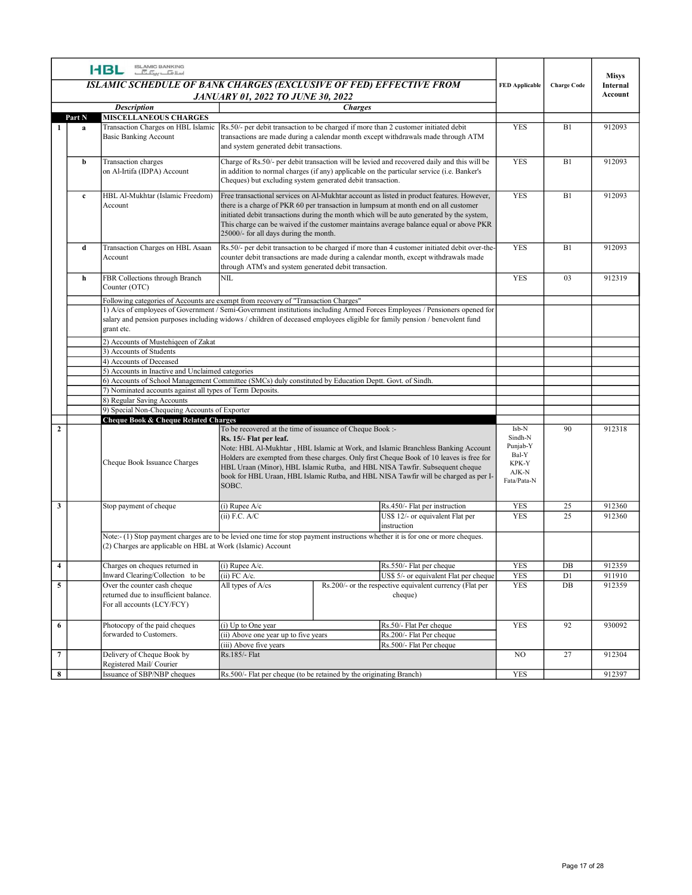|                |              | ISLAMIC BANKING<br>اسلا <del>مات بیٹا گ</del><br><b>HBL</b>                                         |                                                                                      |                                                                                                                                                                                                                                                                                                                                                                                                                    |                                                                        |                    | <b>Misys</b>     |
|----------------|--------------|-----------------------------------------------------------------------------------------------------|--------------------------------------------------------------------------------------|--------------------------------------------------------------------------------------------------------------------------------------------------------------------------------------------------------------------------------------------------------------------------------------------------------------------------------------------------------------------------------------------------------------------|------------------------------------------------------------------------|--------------------|------------------|
|                |              |                                                                                                     |                                                                                      | ISLAMIC SCHEDULE OF BANK CHARGES (EXCLUSIVE OF FED) EFFECTIVE FROM                                                                                                                                                                                                                                                                                                                                                 | <b>FED</b> Applicable                                                  | <b>Charge Code</b> | Internal         |
|                |              | <b>Description</b>                                                                                  | <b>JANUARY 01, 2022 TO JUNE 30, 2022</b>                                             | <b>Charges</b>                                                                                                                                                                                                                                                                                                                                                                                                     |                                                                        |                    | Account          |
|                | Part N       | <b>MISCELLANEOUS CHARGES</b>                                                                        |                                                                                      |                                                                                                                                                                                                                                                                                                                                                                                                                    |                                                                        |                    |                  |
|                | a            | <b>Basic Banking Account</b>                                                                        | and system generated debit transactions.                                             | Transaction Charges on HBL Islamic Rs.50/- per debit transaction to be charged if more than 2 customer initiated debit<br>transactions are made during a calendar month except withdrawals made through ATM                                                                                                                                                                                                        | <b>YES</b>                                                             | B1                 | 912093           |
|                | b            | Transaction charges<br>on Al-Irtifa (IDPA) Account                                                  |                                                                                      | Charge of Rs.50/- per debit transaction will be levied and recovered daily and this will be<br>in addition to normal charges (if any) applicable on the particular service (i.e. Banker's<br>Cheques) but excluding system generated debit transaction.                                                                                                                                                            | YES                                                                    | B1                 | 912093           |
|                | $\mathbf{c}$ | HBL Al-Mukhtar (Islamic Freedom)<br>Account                                                         | 25000/- for all days during the month.                                               | Free transactional services on Al-Mukhtar account as listed in product features. However,<br>there is a charge of PKR 60 per transaction in lumpsum at month end on all customer<br>initiated debit transactions during the month which will be auto generated by the system,<br>This charge can be waived if the customer maintains average balance equal or above PKR                                            | YES                                                                    | B1                 | 912093           |
|                | d            | Transaction Charges on HBL Asaan<br>Account                                                         | through ATM's and system generated debit transaction.                                | Rs.50/- per debit transaction to be charged if more than 4 customer initiated debit over-the<br>counter debit transactions are made during a calendar month, except withdrawals made                                                                                                                                                                                                                               | YES                                                                    | B1                 | 912093           |
|                | h            | FBR Collections through Branch                                                                      | NIL                                                                                  |                                                                                                                                                                                                                                                                                                                                                                                                                    | YES                                                                    | 03                 | 912319           |
|                |              | Counter (OTC)<br>Following categories of Accounts are exempt from recovery of "Transaction Charges" |                                                                                      | 1) A/cs of employees of Government / Semi-Government institutions including Armed Forces Employees / Pensioners opened for<br>salary and pension purposes including widows / children of deceased employees eligible for family pension / benevolent fund                                                                                                                                                          |                                                                        |                    |                  |
|                |              | grant etc.                                                                                          |                                                                                      |                                                                                                                                                                                                                                                                                                                                                                                                                    |                                                                        |                    |                  |
|                |              | 2) Accounts of Mustehigeen of Zakat<br>3) Accounts of Students                                      |                                                                                      |                                                                                                                                                                                                                                                                                                                                                                                                                    |                                                                        |                    |                  |
|                |              | 4) Accounts of Deceased                                                                             |                                                                                      |                                                                                                                                                                                                                                                                                                                                                                                                                    |                                                                        |                    |                  |
|                |              | 5) Accounts in Inactive and Unclaimed categories                                                    |                                                                                      | 6) Accounts of School Management Committee (SMCs) duly constituted by Education Deptt. Govt. of Sindh.                                                                                                                                                                                                                                                                                                             |                                                                        |                    |                  |
|                |              | 7) Nominated accounts against all types of Term Deposits.                                           |                                                                                      |                                                                                                                                                                                                                                                                                                                                                                                                                    |                                                                        |                    |                  |
|                |              | 8) Regular Saving Accounts<br>9) Special Non-Chequeing Accounts of Exporter                         |                                                                                      |                                                                                                                                                                                                                                                                                                                                                                                                                    |                                                                        |                    |                  |
|                |              | <b>Cheque Book &amp; Cheque Related Charges</b>                                                     |                                                                                      |                                                                                                                                                                                                                                                                                                                                                                                                                    |                                                                        |                    |                  |
| $\overline{2}$ |              | Cheque Book Issuance Charges                                                                        | Rs. 15/- Flat per leaf.<br>SOBC.                                                     | To be recovered at the time of issuance of Cheque Book :-<br>Note: HBL Al-Mukhtar, HBL Islamic at Work, and Islamic Branchless Banking Account<br>Holders are exempted from these charges. Only first Cheque Book of 10 leaves is free for<br>HBL Uraan (Minor), HBL Islamic Rutba, and HBL NISA Tawfir. Subsequent cheque<br>book for HBL Uraan, HBL Islamic Rutba, and HBL NISA Tawfir will be charged as per I- | Isb-N<br>Sindh-N<br>Punjab-Y<br>Bal-Y<br>KPK-Y<br>AJK-N<br>Fata/Pata-N | 90                 | 912318           |
| $\mathbf{3}$   |              | Stop payment of cheque                                                                              | $(i)$ Rupee A/c                                                                      | Rs.450/- Flat per instruction                                                                                                                                                                                                                                                                                                                                                                                      | <b>YES</b>                                                             | 25                 | 912360           |
|                |              | (2) Charges are applicable on HBL at Work (Islamic) Account                                         | $(ii)$ F.C. A/C                                                                      | US\$ 12/- or equivalent Flat per<br>instruction<br>Note:- (1) Stop payment charges are to be levied one time for stop payment instructions whether it is for one or more cheques.                                                                                                                                                                                                                                  | <b>YES</b>                                                             | 25                 | 912360           |
|                |              |                                                                                                     |                                                                                      |                                                                                                                                                                                                                                                                                                                                                                                                                    |                                                                        |                    |                  |
| $\overline{4}$ |              | Charges on cheques returned in<br>Inward Clearing/Collection to be                                  | $(i)$ Rupee A/c.<br>$(ii)$ FC A/c.                                                   | Rs.550/- Flat per cheque<br>US\$ 5/- or equivalent Flat per cheque                                                                                                                                                                                                                                                                                                                                                 | YES<br><b>YES</b>                                                      | DB<br>D1           | 912359<br>911910 |
| 5              |              | Over the counter cash cheque<br>returned due to insufficient balance.<br>For all accounts (LCY/FCY) | All types of A/cs                                                                    | Rs.200/- or the respective equivalent currency (Flat per<br>cheque)                                                                                                                                                                                                                                                                                                                                                | YES                                                                    | DB                 | 912359           |
| 6              |              | Photocopy of the paid cheques<br>forwarded to Customers.                                            | (i) Up to One year<br>(ii) Above one year up to five years<br>(iii) Above five years | Rs.50/- Flat Per cheque<br>Rs.200/- Flat Per cheque<br>Rs.500/- Flat Per cheque                                                                                                                                                                                                                                                                                                                                    | <b>YES</b>                                                             | 92                 | 930092           |
| $\overline{7}$ |              | Delivery of Cheque Book by<br>Registered Mail/Courier                                               | Rs.185/- Flat                                                                        |                                                                                                                                                                                                                                                                                                                                                                                                                    | NO                                                                     | 27                 | 912304           |
| 8              |              | Issuance of SBP/NBP cheques                                                                         | Rs.500/- Flat per cheque (to be retained by the originating Branch)                  |                                                                                                                                                                                                                                                                                                                                                                                                                    | YES                                                                    |                    | 912397           |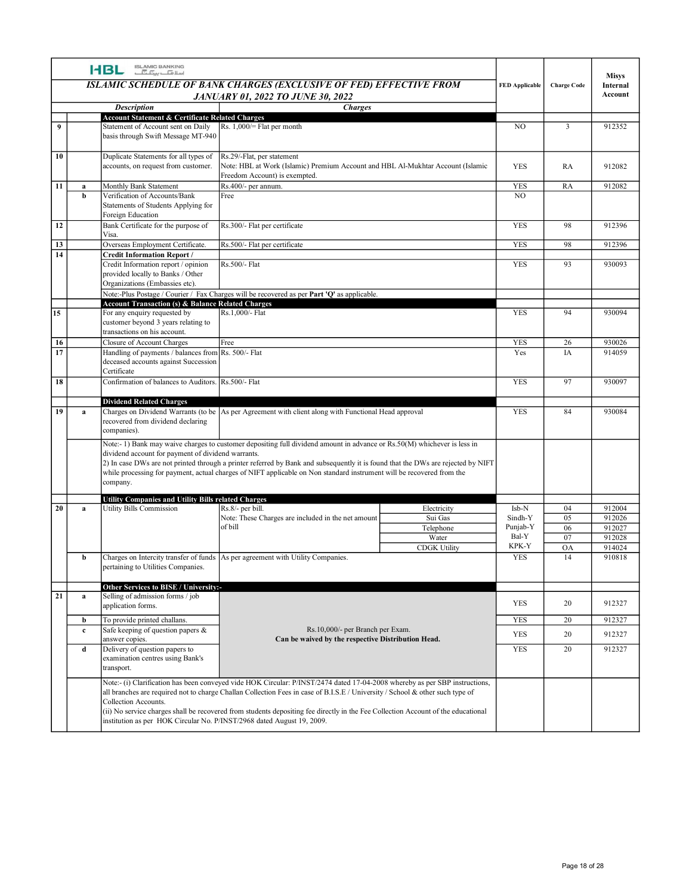| ISLAMIC BANKING<br>اسلافیا ہے کہ اسلام<br><b>HBL</b><br><b>Misys</b><br>ISLAMIC SCHEDULE OF BANK CHARGES (EXCLUSIVE OF FED) EFFECTIVE FROM<br><b>FED Applicable</b><br><b>Charge Code</b><br>Internal<br>Account<br><b>JANUARY 01, 2022 TO JUNE 30, 2022</b><br><b>Description</b><br><b>Charges</b><br><b>Account Statement &amp; Certificate Related Charges</b><br>$\overline{9}$<br>Statement of Account sent on Daily<br>Rs. $1,000$ = Flat per month<br>NO.<br>912352<br>3<br>basis through Swift Message MT-940<br>$\boxed{10}$<br>Rs.29/-Flat, per statement<br>Duplicate Statements for all types of<br>accounts, on request from customer.<br>Note: HBL at Work (Islamic) Premium Account and HBL Al-Mukhtar Account (Islamic<br><b>YES</b><br>RA<br>912082<br>Freedom Account) is exempted.<br>$\overline{11}$<br>Monthly Bank Statement<br>Rs.400/- per annum.<br>YES<br>RA<br>912082<br>a<br>Verification of Accounts/Bank<br>NO.<br>Free<br>b<br>Statements of Students Applying for<br>Foreign Education<br>Rs.300/- Flat per certificate<br>12<br>Bank Certificate for the purpose of<br>98<br>912396<br><b>YES</b><br>Visa.<br>13<br>Overseas Employment Certificate.<br>Rs.500/- Flat per certificate<br><b>YES</b><br>98<br>912396<br>14<br><b>Credit Information Report /</b><br>Credit Information report / opinion<br>Rs.500/- Flat<br><b>YES</b><br>93<br>930093<br>provided locally to Banks / Other<br>Organizations (Embassies etc).<br>Note:-Plus Postage / Courier / Fax Charges will be recovered as per Part 'Q' as applicable.<br><b>Account Transaction (s) &amp; Balance Related Charges</b><br>15<br>Rs.1,000/- Flat<br>For any enquiry requested by<br><b>YES</b><br>94<br>930094<br>customer beyond 3 years relating to<br>transactions on his account.<br>16<br><b>Closure of Account Charges</b><br><b>YES</b><br>930026<br>26<br>Free<br>$\overline{17}$<br>Handling of payments / balances from Rs. 500/- Flat<br>Yes<br>914059<br>IA<br>deceased accounts against Succession<br>Certificate<br>18<br>Confirmation of balances to Auditors. Rs.500/- Flat<br><b>YES</b><br>97<br>930097<br><b>Dividend Related Charges</b><br>Charges on Dividend Warrants (to be As per Agreement with client along with Functional Head approval<br>19<br><b>YES</b><br>84<br>930084<br>a<br>recovered from dividend declaring<br>companies).<br>Note:-1) Bank may waive charges to customer depositing full dividend amount in advance or Rs.50(M) whichever is less in<br>dividend account for payment of dividend warrants.<br>2) In case DWs are not printed through a printer referred by Bank and subsequently it is found that the DWs are rejected by NIFT<br>while processing for payment, actual charges of NIFT applicable on Non standard instrument will be recovered from the<br>company.<br><b>Utility Companies and Utility Bills related Charges</b><br>$\overline{20}$<br><b>Utility Bills Commission</b><br>Rs.8/- per bill.<br>Isb-N<br>04<br>912004<br>Electricity<br>a<br>Note: These Charges are included in the net amount<br>Sui Gas<br>Sindh-Y<br>05<br>912026<br>of bill<br>Punjab-Y<br>912027<br>Telephone<br>06<br>Bal-Y<br>Water<br>07<br>912028<br>KPK-Y<br><b>CDGK Utility</b><br><b>OA</b><br>914024<br>Charges on Intercity transfer of funds As per agreement with Utility Companies.<br>910818<br><b>YES</b><br>14<br>b<br>pertaining to Utilities Companies.<br>Other Services to BISE / University:-<br>$\boxed{21}$<br>Selling of admission forms / job<br>a<br>YES<br>912327<br>20<br>application forms.<br>To provide printed challans.<br><b>YES</b><br>20<br>912327<br>b<br>Safe keeping of question papers &<br>Rs.10,000/- per Branch per Exam.<br>$\mathbf c$<br>20<br>YES<br>912327<br>Can be waived by the respective Distribution Head.<br>answer copies.<br>Delivery of question papers to<br>20<br>912327<br><b>YES</b><br>d<br>examination centres using Bank's<br>transport.<br>Note:- (i) Clarification has been conveyed vide HOK Circular: P/INST/2474 dated 17-04-2008 whereby as per SBP instructions,<br>all branches are required not to charge Challan Collection Fees in case of B.I.S.E / University / School & other such type of<br>Collection Accounts.<br>(ii) No service charges shall be recovered from students depositing fee directly in the Fee Collection Account of the educational |  |  |  |  |
|------------------------------------------------------------------------------------------------------------------------------------------------------------------------------------------------------------------------------------------------------------------------------------------------------------------------------------------------------------------------------------------------------------------------------------------------------------------------------------------------------------------------------------------------------------------------------------------------------------------------------------------------------------------------------------------------------------------------------------------------------------------------------------------------------------------------------------------------------------------------------------------------------------------------------------------------------------------------------------------------------------------------------------------------------------------------------------------------------------------------------------------------------------------------------------------------------------------------------------------------------------------------------------------------------------------------------------------------------------------------------------------------------------------------------------------------------------------------------------------------------------------------------------------------------------------------------------------------------------------------------------------------------------------------------------------------------------------------------------------------------------------------------------------------------------------------------------------------------------------------------------------------------------------------------------------------------------------------------------------------------------------------------------------------------------------------------------------------------------------------------------------------------------------------------------------------------------------------------------------------------------------------------------------------------------------------------------------------------------------------------------------------------------------------------------------------------------------------------------------------------------------------------------------------------------------------------------------------------------------------------------------------------------------------------------------------------------------------------------------------------------------------------------------------------------------------------------------------------------------------------------------------------------------------------------------------------------------------------------------------------------------------------------------------------------------------------------------------------------------------------------------------------------------------------------------------------------------------------------------------------------------------------------------------------------------------------------------------------------------------------------------------------------------------------------------------------------------------------------------------------------------------------------------------------------------------------------------------------------------------------------------------------------------------------------------------------------------------------------------------------------------------------------------------------------------------------------------------------------------------------------------------------------------------------------------------------------------------------------------------------------------------------------------------------------------------------------------------------------------------------------------------------------------------------------------------------------------------------------------------------------------------------------------------------------------------------------------------------------------------------------------|--|--|--|--|
|                                                                                                                                                                                                                                                                                                                                                                                                                                                                                                                                                                                                                                                                                                                                                                                                                                                                                                                                                                                                                                                                                                                                                                                                                                                                                                                                                                                                                                                                                                                                                                                                                                                                                                                                                                                                                                                                                                                                                                                                                                                                                                                                                                                                                                                                                                                                                                                                                                                                                                                                                                                                                                                                                                                                                                                                                                                                                                                                                                                                                                                                                                                                                                                                                                                                                                                                                                                                                                                                                                                                                                                                                                                                                                                                                                                                                                                                                                                                                                                                                                                                                                                                                                                                                                                                                                                                                                                          |  |  |  |  |
|                                                                                                                                                                                                                                                                                                                                                                                                                                                                                                                                                                                                                                                                                                                                                                                                                                                                                                                                                                                                                                                                                                                                                                                                                                                                                                                                                                                                                                                                                                                                                                                                                                                                                                                                                                                                                                                                                                                                                                                                                                                                                                                                                                                                                                                                                                                                                                                                                                                                                                                                                                                                                                                                                                                                                                                                                                                                                                                                                                                                                                                                                                                                                                                                                                                                                                                                                                                                                                                                                                                                                                                                                                                                                                                                                                                                                                                                                                                                                                                                                                                                                                                                                                                                                                                                                                                                                                                          |  |  |  |  |
|                                                                                                                                                                                                                                                                                                                                                                                                                                                                                                                                                                                                                                                                                                                                                                                                                                                                                                                                                                                                                                                                                                                                                                                                                                                                                                                                                                                                                                                                                                                                                                                                                                                                                                                                                                                                                                                                                                                                                                                                                                                                                                                                                                                                                                                                                                                                                                                                                                                                                                                                                                                                                                                                                                                                                                                                                                                                                                                                                                                                                                                                                                                                                                                                                                                                                                                                                                                                                                                                                                                                                                                                                                                                                                                                                                                                                                                                                                                                                                                                                                                                                                                                                                                                                                                                                                                                                                                          |  |  |  |  |
|                                                                                                                                                                                                                                                                                                                                                                                                                                                                                                                                                                                                                                                                                                                                                                                                                                                                                                                                                                                                                                                                                                                                                                                                                                                                                                                                                                                                                                                                                                                                                                                                                                                                                                                                                                                                                                                                                                                                                                                                                                                                                                                                                                                                                                                                                                                                                                                                                                                                                                                                                                                                                                                                                                                                                                                                                                                                                                                                                                                                                                                                                                                                                                                                                                                                                                                                                                                                                                                                                                                                                                                                                                                                                                                                                                                                                                                                                                                                                                                                                                                                                                                                                                                                                                                                                                                                                                                          |  |  |  |  |
|                                                                                                                                                                                                                                                                                                                                                                                                                                                                                                                                                                                                                                                                                                                                                                                                                                                                                                                                                                                                                                                                                                                                                                                                                                                                                                                                                                                                                                                                                                                                                                                                                                                                                                                                                                                                                                                                                                                                                                                                                                                                                                                                                                                                                                                                                                                                                                                                                                                                                                                                                                                                                                                                                                                                                                                                                                                                                                                                                                                                                                                                                                                                                                                                                                                                                                                                                                                                                                                                                                                                                                                                                                                                                                                                                                                                                                                                                                                                                                                                                                                                                                                                                                                                                                                                                                                                                                                          |  |  |  |  |
|                                                                                                                                                                                                                                                                                                                                                                                                                                                                                                                                                                                                                                                                                                                                                                                                                                                                                                                                                                                                                                                                                                                                                                                                                                                                                                                                                                                                                                                                                                                                                                                                                                                                                                                                                                                                                                                                                                                                                                                                                                                                                                                                                                                                                                                                                                                                                                                                                                                                                                                                                                                                                                                                                                                                                                                                                                                                                                                                                                                                                                                                                                                                                                                                                                                                                                                                                                                                                                                                                                                                                                                                                                                                                                                                                                                                                                                                                                                                                                                                                                                                                                                                                                                                                                                                                                                                                                                          |  |  |  |  |
|                                                                                                                                                                                                                                                                                                                                                                                                                                                                                                                                                                                                                                                                                                                                                                                                                                                                                                                                                                                                                                                                                                                                                                                                                                                                                                                                                                                                                                                                                                                                                                                                                                                                                                                                                                                                                                                                                                                                                                                                                                                                                                                                                                                                                                                                                                                                                                                                                                                                                                                                                                                                                                                                                                                                                                                                                                                                                                                                                                                                                                                                                                                                                                                                                                                                                                                                                                                                                                                                                                                                                                                                                                                                                                                                                                                                                                                                                                                                                                                                                                                                                                                                                                                                                                                                                                                                                                                          |  |  |  |  |
|                                                                                                                                                                                                                                                                                                                                                                                                                                                                                                                                                                                                                                                                                                                                                                                                                                                                                                                                                                                                                                                                                                                                                                                                                                                                                                                                                                                                                                                                                                                                                                                                                                                                                                                                                                                                                                                                                                                                                                                                                                                                                                                                                                                                                                                                                                                                                                                                                                                                                                                                                                                                                                                                                                                                                                                                                                                                                                                                                                                                                                                                                                                                                                                                                                                                                                                                                                                                                                                                                                                                                                                                                                                                                                                                                                                                                                                                                                                                                                                                                                                                                                                                                                                                                                                                                                                                                                                          |  |  |  |  |
|                                                                                                                                                                                                                                                                                                                                                                                                                                                                                                                                                                                                                                                                                                                                                                                                                                                                                                                                                                                                                                                                                                                                                                                                                                                                                                                                                                                                                                                                                                                                                                                                                                                                                                                                                                                                                                                                                                                                                                                                                                                                                                                                                                                                                                                                                                                                                                                                                                                                                                                                                                                                                                                                                                                                                                                                                                                                                                                                                                                                                                                                                                                                                                                                                                                                                                                                                                                                                                                                                                                                                                                                                                                                                                                                                                                                                                                                                                                                                                                                                                                                                                                                                                                                                                                                                                                                                                                          |  |  |  |  |
|                                                                                                                                                                                                                                                                                                                                                                                                                                                                                                                                                                                                                                                                                                                                                                                                                                                                                                                                                                                                                                                                                                                                                                                                                                                                                                                                                                                                                                                                                                                                                                                                                                                                                                                                                                                                                                                                                                                                                                                                                                                                                                                                                                                                                                                                                                                                                                                                                                                                                                                                                                                                                                                                                                                                                                                                                                                                                                                                                                                                                                                                                                                                                                                                                                                                                                                                                                                                                                                                                                                                                                                                                                                                                                                                                                                                                                                                                                                                                                                                                                                                                                                                                                                                                                                                                                                                                                                          |  |  |  |  |
|                                                                                                                                                                                                                                                                                                                                                                                                                                                                                                                                                                                                                                                                                                                                                                                                                                                                                                                                                                                                                                                                                                                                                                                                                                                                                                                                                                                                                                                                                                                                                                                                                                                                                                                                                                                                                                                                                                                                                                                                                                                                                                                                                                                                                                                                                                                                                                                                                                                                                                                                                                                                                                                                                                                                                                                                                                                                                                                                                                                                                                                                                                                                                                                                                                                                                                                                                                                                                                                                                                                                                                                                                                                                                                                                                                                                                                                                                                                                                                                                                                                                                                                                                                                                                                                                                                                                                                                          |  |  |  |  |
|                                                                                                                                                                                                                                                                                                                                                                                                                                                                                                                                                                                                                                                                                                                                                                                                                                                                                                                                                                                                                                                                                                                                                                                                                                                                                                                                                                                                                                                                                                                                                                                                                                                                                                                                                                                                                                                                                                                                                                                                                                                                                                                                                                                                                                                                                                                                                                                                                                                                                                                                                                                                                                                                                                                                                                                                                                                                                                                                                                                                                                                                                                                                                                                                                                                                                                                                                                                                                                                                                                                                                                                                                                                                                                                                                                                                                                                                                                                                                                                                                                                                                                                                                                                                                                                                                                                                                                                          |  |  |  |  |
|                                                                                                                                                                                                                                                                                                                                                                                                                                                                                                                                                                                                                                                                                                                                                                                                                                                                                                                                                                                                                                                                                                                                                                                                                                                                                                                                                                                                                                                                                                                                                                                                                                                                                                                                                                                                                                                                                                                                                                                                                                                                                                                                                                                                                                                                                                                                                                                                                                                                                                                                                                                                                                                                                                                                                                                                                                                                                                                                                                                                                                                                                                                                                                                                                                                                                                                                                                                                                                                                                                                                                                                                                                                                                                                                                                                                                                                                                                                                                                                                                                                                                                                                                                                                                                                                                                                                                                                          |  |  |  |  |
|                                                                                                                                                                                                                                                                                                                                                                                                                                                                                                                                                                                                                                                                                                                                                                                                                                                                                                                                                                                                                                                                                                                                                                                                                                                                                                                                                                                                                                                                                                                                                                                                                                                                                                                                                                                                                                                                                                                                                                                                                                                                                                                                                                                                                                                                                                                                                                                                                                                                                                                                                                                                                                                                                                                                                                                                                                                                                                                                                                                                                                                                                                                                                                                                                                                                                                                                                                                                                                                                                                                                                                                                                                                                                                                                                                                                                                                                                                                                                                                                                                                                                                                                                                                                                                                                                                                                                                                          |  |  |  |  |
|                                                                                                                                                                                                                                                                                                                                                                                                                                                                                                                                                                                                                                                                                                                                                                                                                                                                                                                                                                                                                                                                                                                                                                                                                                                                                                                                                                                                                                                                                                                                                                                                                                                                                                                                                                                                                                                                                                                                                                                                                                                                                                                                                                                                                                                                                                                                                                                                                                                                                                                                                                                                                                                                                                                                                                                                                                                                                                                                                                                                                                                                                                                                                                                                                                                                                                                                                                                                                                                                                                                                                                                                                                                                                                                                                                                                                                                                                                                                                                                                                                                                                                                                                                                                                                                                                                                                                                                          |  |  |  |  |
|                                                                                                                                                                                                                                                                                                                                                                                                                                                                                                                                                                                                                                                                                                                                                                                                                                                                                                                                                                                                                                                                                                                                                                                                                                                                                                                                                                                                                                                                                                                                                                                                                                                                                                                                                                                                                                                                                                                                                                                                                                                                                                                                                                                                                                                                                                                                                                                                                                                                                                                                                                                                                                                                                                                                                                                                                                                                                                                                                                                                                                                                                                                                                                                                                                                                                                                                                                                                                                                                                                                                                                                                                                                                                                                                                                                                                                                                                                                                                                                                                                                                                                                                                                                                                                                                                                                                                                                          |  |  |  |  |
|                                                                                                                                                                                                                                                                                                                                                                                                                                                                                                                                                                                                                                                                                                                                                                                                                                                                                                                                                                                                                                                                                                                                                                                                                                                                                                                                                                                                                                                                                                                                                                                                                                                                                                                                                                                                                                                                                                                                                                                                                                                                                                                                                                                                                                                                                                                                                                                                                                                                                                                                                                                                                                                                                                                                                                                                                                                                                                                                                                                                                                                                                                                                                                                                                                                                                                                                                                                                                                                                                                                                                                                                                                                                                                                                                                                                                                                                                                                                                                                                                                                                                                                                                                                                                                                                                                                                                                                          |  |  |  |  |
|                                                                                                                                                                                                                                                                                                                                                                                                                                                                                                                                                                                                                                                                                                                                                                                                                                                                                                                                                                                                                                                                                                                                                                                                                                                                                                                                                                                                                                                                                                                                                                                                                                                                                                                                                                                                                                                                                                                                                                                                                                                                                                                                                                                                                                                                                                                                                                                                                                                                                                                                                                                                                                                                                                                                                                                                                                                                                                                                                                                                                                                                                                                                                                                                                                                                                                                                                                                                                                                                                                                                                                                                                                                                                                                                                                                                                                                                                                                                                                                                                                                                                                                                                                                                                                                                                                                                                                                          |  |  |  |  |
|                                                                                                                                                                                                                                                                                                                                                                                                                                                                                                                                                                                                                                                                                                                                                                                                                                                                                                                                                                                                                                                                                                                                                                                                                                                                                                                                                                                                                                                                                                                                                                                                                                                                                                                                                                                                                                                                                                                                                                                                                                                                                                                                                                                                                                                                                                                                                                                                                                                                                                                                                                                                                                                                                                                                                                                                                                                                                                                                                                                                                                                                                                                                                                                                                                                                                                                                                                                                                                                                                                                                                                                                                                                                                                                                                                                                                                                                                                                                                                                                                                                                                                                                                                                                                                                                                                                                                                                          |  |  |  |  |
|                                                                                                                                                                                                                                                                                                                                                                                                                                                                                                                                                                                                                                                                                                                                                                                                                                                                                                                                                                                                                                                                                                                                                                                                                                                                                                                                                                                                                                                                                                                                                                                                                                                                                                                                                                                                                                                                                                                                                                                                                                                                                                                                                                                                                                                                                                                                                                                                                                                                                                                                                                                                                                                                                                                                                                                                                                                                                                                                                                                                                                                                                                                                                                                                                                                                                                                                                                                                                                                                                                                                                                                                                                                                                                                                                                                                                                                                                                                                                                                                                                                                                                                                                                                                                                                                                                                                                                                          |  |  |  |  |
|                                                                                                                                                                                                                                                                                                                                                                                                                                                                                                                                                                                                                                                                                                                                                                                                                                                                                                                                                                                                                                                                                                                                                                                                                                                                                                                                                                                                                                                                                                                                                                                                                                                                                                                                                                                                                                                                                                                                                                                                                                                                                                                                                                                                                                                                                                                                                                                                                                                                                                                                                                                                                                                                                                                                                                                                                                                                                                                                                                                                                                                                                                                                                                                                                                                                                                                                                                                                                                                                                                                                                                                                                                                                                                                                                                                                                                                                                                                                                                                                                                                                                                                                                                                                                                                                                                                                                                                          |  |  |  |  |
|                                                                                                                                                                                                                                                                                                                                                                                                                                                                                                                                                                                                                                                                                                                                                                                                                                                                                                                                                                                                                                                                                                                                                                                                                                                                                                                                                                                                                                                                                                                                                                                                                                                                                                                                                                                                                                                                                                                                                                                                                                                                                                                                                                                                                                                                                                                                                                                                                                                                                                                                                                                                                                                                                                                                                                                                                                                                                                                                                                                                                                                                                                                                                                                                                                                                                                                                                                                                                                                                                                                                                                                                                                                                                                                                                                                                                                                                                                                                                                                                                                                                                                                                                                                                                                                                                                                                                                                          |  |  |  |  |
|                                                                                                                                                                                                                                                                                                                                                                                                                                                                                                                                                                                                                                                                                                                                                                                                                                                                                                                                                                                                                                                                                                                                                                                                                                                                                                                                                                                                                                                                                                                                                                                                                                                                                                                                                                                                                                                                                                                                                                                                                                                                                                                                                                                                                                                                                                                                                                                                                                                                                                                                                                                                                                                                                                                                                                                                                                                                                                                                                                                                                                                                                                                                                                                                                                                                                                                                                                                                                                                                                                                                                                                                                                                                                                                                                                                                                                                                                                                                                                                                                                                                                                                                                                                                                                                                                                                                                                                          |  |  |  |  |
|                                                                                                                                                                                                                                                                                                                                                                                                                                                                                                                                                                                                                                                                                                                                                                                                                                                                                                                                                                                                                                                                                                                                                                                                                                                                                                                                                                                                                                                                                                                                                                                                                                                                                                                                                                                                                                                                                                                                                                                                                                                                                                                                                                                                                                                                                                                                                                                                                                                                                                                                                                                                                                                                                                                                                                                                                                                                                                                                                                                                                                                                                                                                                                                                                                                                                                                                                                                                                                                                                                                                                                                                                                                                                                                                                                                                                                                                                                                                                                                                                                                                                                                                                                                                                                                                                                                                                                                          |  |  |  |  |
|                                                                                                                                                                                                                                                                                                                                                                                                                                                                                                                                                                                                                                                                                                                                                                                                                                                                                                                                                                                                                                                                                                                                                                                                                                                                                                                                                                                                                                                                                                                                                                                                                                                                                                                                                                                                                                                                                                                                                                                                                                                                                                                                                                                                                                                                                                                                                                                                                                                                                                                                                                                                                                                                                                                                                                                                                                                                                                                                                                                                                                                                                                                                                                                                                                                                                                                                                                                                                                                                                                                                                                                                                                                                                                                                                                                                                                                                                                                                                                                                                                                                                                                                                                                                                                                                                                                                                                                          |  |  |  |  |
|                                                                                                                                                                                                                                                                                                                                                                                                                                                                                                                                                                                                                                                                                                                                                                                                                                                                                                                                                                                                                                                                                                                                                                                                                                                                                                                                                                                                                                                                                                                                                                                                                                                                                                                                                                                                                                                                                                                                                                                                                                                                                                                                                                                                                                                                                                                                                                                                                                                                                                                                                                                                                                                                                                                                                                                                                                                                                                                                                                                                                                                                                                                                                                                                                                                                                                                                                                                                                                                                                                                                                                                                                                                                                                                                                                                                                                                                                                                                                                                                                                                                                                                                                                                                                                                                                                                                                                                          |  |  |  |  |
|                                                                                                                                                                                                                                                                                                                                                                                                                                                                                                                                                                                                                                                                                                                                                                                                                                                                                                                                                                                                                                                                                                                                                                                                                                                                                                                                                                                                                                                                                                                                                                                                                                                                                                                                                                                                                                                                                                                                                                                                                                                                                                                                                                                                                                                                                                                                                                                                                                                                                                                                                                                                                                                                                                                                                                                                                                                                                                                                                                                                                                                                                                                                                                                                                                                                                                                                                                                                                                                                                                                                                                                                                                                                                                                                                                                                                                                                                                                                                                                                                                                                                                                                                                                                                                                                                                                                                                                          |  |  |  |  |
|                                                                                                                                                                                                                                                                                                                                                                                                                                                                                                                                                                                                                                                                                                                                                                                                                                                                                                                                                                                                                                                                                                                                                                                                                                                                                                                                                                                                                                                                                                                                                                                                                                                                                                                                                                                                                                                                                                                                                                                                                                                                                                                                                                                                                                                                                                                                                                                                                                                                                                                                                                                                                                                                                                                                                                                                                                                                                                                                                                                                                                                                                                                                                                                                                                                                                                                                                                                                                                                                                                                                                                                                                                                                                                                                                                                                                                                                                                                                                                                                                                                                                                                                                                                                                                                                                                                                                                                          |  |  |  |  |
| institution as per HOK Circular No. P/INST/2968 dated August 19, 2009.                                                                                                                                                                                                                                                                                                                                                                                                                                                                                                                                                                                                                                                                                                                                                                                                                                                                                                                                                                                                                                                                                                                                                                                                                                                                                                                                                                                                                                                                                                                                                                                                                                                                                                                                                                                                                                                                                                                                                                                                                                                                                                                                                                                                                                                                                                                                                                                                                                                                                                                                                                                                                                                                                                                                                                                                                                                                                                                                                                                                                                                                                                                                                                                                                                                                                                                                                                                                                                                                                                                                                                                                                                                                                                                                                                                                                                                                                                                                                                                                                                                                                                                                                                                                                                                                                                                   |  |  |  |  |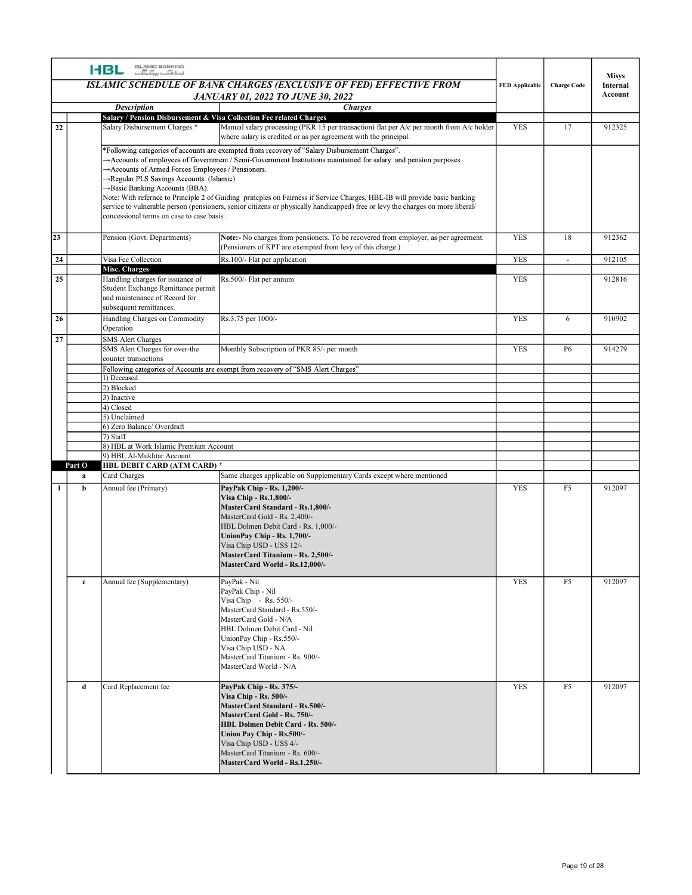|          |             | ISLAMIC BANKING<br>اسلافیا ہے کہ اسلا<br><b>HBL</b>                                                                                                                         | ISLAMIC SCHEDULE OF BANK CHARGES (EXCLUSIVE OF FED) EFFECTIVE FROM<br><b>JANUARY 01, 2022 TO JUNE 30, 2022</b>                                                                                                                                                                                                                                                                                                                                                                                                                                      | <b>FED Applicable</b> | <b>Charge Code</b> | Misys<br>Internal<br>Account |
|----------|-------------|-----------------------------------------------------------------------------------------------------------------------------------------------------------------------------|-----------------------------------------------------------------------------------------------------------------------------------------------------------------------------------------------------------------------------------------------------------------------------------------------------------------------------------------------------------------------------------------------------------------------------------------------------------------------------------------------------------------------------------------------------|-----------------------|--------------------|------------------------------|
| 22       |             | <b>Description</b><br>Salary / Pension Disbursement & Visa Collection Fee related Charges<br>Salary Disbursement Charges.*                                                  | <b>Charges</b><br>Manual salary processing (PKR 15 per transaction) flat per A/c per month from A/c holder                                                                                                                                                                                                                                                                                                                                                                                                                                          | <b>YES</b>            | 17                 | 912325                       |
|          |             | Accounts of Armed Forces Employees / Pensioners.<br>→Regular PLS Savings Accounts. (Islamic)<br>→ Basic Banking Accounts (BBA).<br>concessional terms on case to case basis | where salary is credited or as per agreement with the principal.<br>*Following categories of accounts are exempted from recovery of "Salary Disbursement Charges".<br>Accounts of employees of Government / Semi-Government Institutions maintained for salary and pension purposes.<br>Note: With refernce to Principle 2 of Guiding princples on Fairness if Service Charges, HBL-IB will provide basic banking<br>service to vulnerable person (pensioners, senior citizens or physically handicapped) free or levy the charges on more liberal/ |                       |                    |                              |
| 23       |             | Pension (Govt. Departments)                                                                                                                                                 | Note:- No charges from pensioners. To be recovered from employer, as per agreement.<br>(Pensioners of KPT are exempted from levy of this charge.)                                                                                                                                                                                                                                                                                                                                                                                                   | YES                   | 18                 | 912362                       |
| 24       |             | Visa Fee Collection<br><b>Misc. Charges</b>                                                                                                                                 | Rs.100/- Flat per application                                                                                                                                                                                                                                                                                                                                                                                                                                                                                                                       | YES                   | $\sim$             | 912105                       |
| 25       |             | Handling charges for issuance of<br>Student Exchange Remittance permit<br>and maintenance of Record for<br>subsequent remittances.                                          | Rs.500/- Flat per annum                                                                                                                                                                                                                                                                                                                                                                                                                                                                                                                             | YES                   |                    | 912816                       |
| 26<br>27 |             | Handling Charges on Commodity Rs.3.75 per 1000/-<br>Operation<br><b>SMS Alert Charges</b>                                                                                   |                                                                                                                                                                                                                                                                                                                                                                                                                                                                                                                                                     | YES                   | 6                  | 910902                       |
|          |             | SMS Alert Charges for over-the<br>counter transactions                                                                                                                      | Monthly Subscription of PKR 85/- per month<br>Following categories of Accounts are exempt from recovery of "SMS Alert Charges"                                                                                                                                                                                                                                                                                                                                                                                                                      | <b>YES</b>            | <b>P6</b>          | 914279                       |
|          |             | 1) Deceased<br>2) Blocked                                                                                                                                                   |                                                                                                                                                                                                                                                                                                                                                                                                                                                                                                                                                     |                       |                    |                              |
|          |             | 3) Inactive<br>4) Closed                                                                                                                                                    |                                                                                                                                                                                                                                                                                                                                                                                                                                                                                                                                                     |                       |                    |                              |
|          |             | 5) Unclaimed                                                                                                                                                                |                                                                                                                                                                                                                                                                                                                                                                                                                                                                                                                                                     |                       |                    |                              |
|          |             | 6) Zero Balance/Overdraft<br>7) Staff                                                                                                                                       |                                                                                                                                                                                                                                                                                                                                                                                                                                                                                                                                                     |                       |                    |                              |
|          |             | 8) HBL at Work Islamic Premium Account<br>9) HBL Al-Mukhtar Account                                                                                                         |                                                                                                                                                                                                                                                                                                                                                                                                                                                                                                                                                     |                       |                    |                              |
|          | Part O<br>a | HBL DEBIT CARD (ATM CARD) *<br>Card Charges                                                                                                                                 | Same charges applicable on Supplementary Cards except where mentioned                                                                                                                                                                                                                                                                                                                                                                                                                                                                               |                       |                    |                              |
| -1       | $\mathbf b$ | Annual fee (Primary)                                                                                                                                                        | PayPak Chip - Rs. 1,200/-<br>Visa Chip - Rs.1,800/-<br>MasterCard Standard - Rs.1,800/-<br>MasterCard Gold - Rs. 2,400/-<br>HBL Dolmen Debit Card - Rs. 1,000/-<br>UnionPay Chip - Rs. 1,700/-<br>Visa Chip USD - US\$ 12/-<br>MasterCard Titanium - Rs. 2,500/-<br>MasterCard World - Rs.12,000/-                                                                                                                                                                                                                                                  | YES                   | F <sub>5</sub>     | 912097                       |
|          | $\bf c$     | Annual fee (Supplementary)                                                                                                                                                  | PayPak - Nil<br>PayPak Chip - Nil<br>Visa Chip - Rs. 550/-<br>MasterCard Standard - Rs.550/-<br>MasterCard Gold - N/A<br>HBL Dolmen Debit Card - Nil<br>UnionPay Chip - Rs.550/-<br>Visa Chip USD - NA<br>MasterCard Titanium - Rs. 900/-<br>MasterCard World - N/A                                                                                                                                                                                                                                                                                 | YES                   | F <sub>5</sub>     | 912097                       |
|          | d           | Card Replacement fee                                                                                                                                                        | PayPak Chip - Rs. 375/-<br><b>Visa Chip - Rs. 500/-</b><br>MasterCard Standard - Rs.500/-<br>MasterCard Gold - Rs. 750/-<br>HBL Dolmen Debit Card - Rs. 500/-<br>Union Pay Chip - Rs.500/-<br>Visa Chip USD - US\$ 4/-<br>MasterCard Titanium - Rs. 600/-<br>MasterCard World - Rs.1,250/-                                                                                                                                                                                                                                                          | <b>YES</b>            | F <sub>5</sub>     | 912097                       |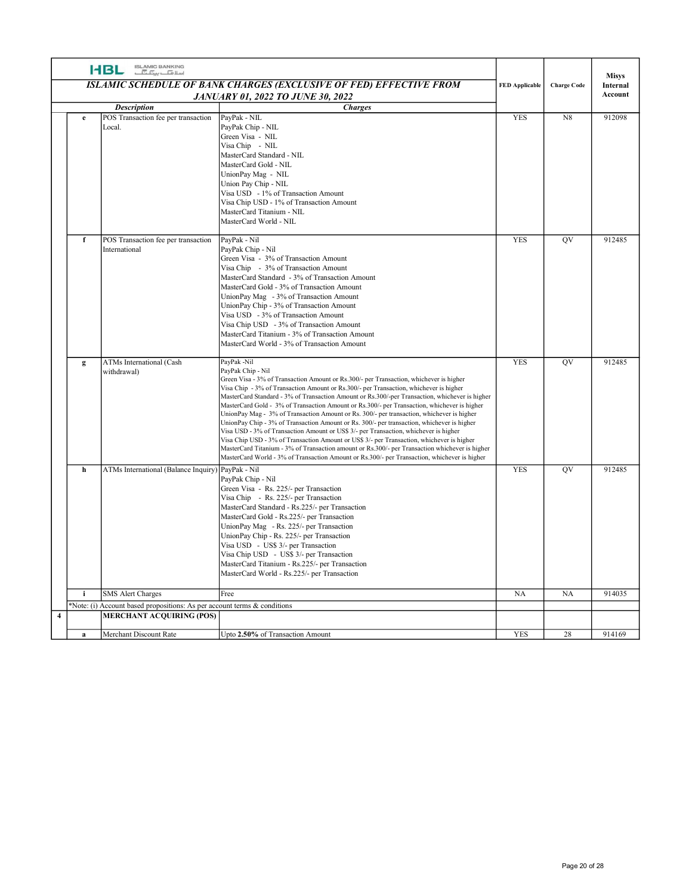|                |             | ISLAMIC BANKING<br>اسلا <del>مات پینا گ</del><br><b>HBL</b>                                                 | ISLAMIC SCHEDULE OF BANK CHARGES (EXCLUSIVE OF FED) EFFECTIVE FROM<br><b>JANUARY 01, 2022 TO JUNE 30, 2022</b>                                                                                                                                                                                                                                                                                                                                                                                                                                                                                                                                                                                                                                                                                                                                                                                                                                                                                         | <b>FED Applicable</b> | <b>Charge Code</b> | <b>Misys</b><br>Internal<br>Account |
|----------------|-------------|-------------------------------------------------------------------------------------------------------------|--------------------------------------------------------------------------------------------------------------------------------------------------------------------------------------------------------------------------------------------------------------------------------------------------------------------------------------------------------------------------------------------------------------------------------------------------------------------------------------------------------------------------------------------------------------------------------------------------------------------------------------------------------------------------------------------------------------------------------------------------------------------------------------------------------------------------------------------------------------------------------------------------------------------------------------------------------------------------------------------------------|-----------------------|--------------------|-------------------------------------|
|                | e           | <b>Description</b><br>POS Transaction fee per transaction<br>Local.                                         | <b>Charges</b><br>PayPak - NIL<br>PayPak Chip - NIL<br>Green Visa - NIL<br>Visa Chip - NIL<br>MasterCard Standard - NIL<br>MasterCard Gold - NIL<br>UnionPay Mag - NIL<br>Union Pay Chip - NIL<br>Visa USD - 1% of Transaction Amount<br>Visa Chip USD - 1% of Transaction Amount<br>MasterCard Titanium - NIL<br>MasterCard World - NIL                                                                                                                                                                                                                                                                                                                                                                                                                                                                                                                                                                                                                                                               | <b>YES</b>            | N8                 | 912098                              |
|                | $\mathbf f$ | POS Transaction fee per transaction<br>International                                                        | PayPak - Nil<br>PayPak Chip - Nil<br>Green Visa - 3% of Transaction Amount<br>Visa Chip - 3% of Transaction Amount<br>MasterCard Standard - 3% of Transaction Amount<br>MasterCard Gold - 3% of Transaction Amount<br>UnionPay Mag - 3% of Transaction Amount<br>UnionPay Chip - 3% of Transaction Amount<br>Visa USD - 3% of Transaction Amount<br>Visa Chip USD - 3% of Transaction Amount<br>MasterCard Titanium - 3% of Transaction Amount<br>MasterCard World - 3% of Transaction Amount                                                                                                                                                                                                                                                                                                                                                                                                                                                                                                          | <b>YES</b>            | <b>OV</b>          | 912485                              |
|                | g           | ATMs International (Cash<br>withdrawal)                                                                     | PayPak -Nil<br>PayPak Chip - Nil<br>Green Visa - 3% of Transaction Amount or Rs.300/- per Transaction, whichever is higher<br>Visa Chip - 3% of Transaction Amount or Rs.300/- per Transaction, whichever is higher<br>MasterCard Standard - 3% of Transaction Amount or Rs.300/-per Transaction, whichever is higher<br>MasterCard Gold - 3% of Transaction Amount or Rs.300/- per Transaction, whichever is higher<br>UnionPay Mag - 3% of Transaction Amount or Rs. 300/- per transaction, whichever is higher<br>UnionPay Chip - 3% of Transaction Amount or Rs. 300/- per transaction, whichever is higher<br>Visa USD - 3% of Transaction Amount or US\$ 3/- per Transaction, whichever is higher<br>Visa Chip USD - 3% of Transaction Amount or US\$ 3/- per Transaction, whichever is higher<br>MasterCard Titanium - 3% of Transaction amount or Rs.300/- per Transaction whichever is higher<br>MasterCard World - 3% of Transaction Amount or Rs.300/- per Transaction, whichever is higher | YES                   | QV                 | 912485                              |
|                | h           | ATMs International (Balance Inquiry) PayPak - Nil                                                           | PayPak Chip - Nil<br>Green Visa - Rs. 225/- per Transaction<br>Visa Chip - Rs. 225/- per Transaction<br>MasterCard Standard - Rs.225/- per Transaction<br>MasterCard Gold - Rs.225/- per Transaction<br>UnionPay Mag - Rs. 225/- per Transaction<br>UnionPay Chip - Rs. 225/- per Transaction<br>Visa USD - US\$ 3/- per Transaction<br>Visa Chip USD - US\$ 3/- per Transaction<br>MasterCard Titanium - Rs.225/- per Transaction<br>MasterCard World - Rs.225/- per Transaction                                                                                                                                                                                                                                                                                                                                                                                                                                                                                                                      | YES                   | QV                 | 912485                              |
|                | j.          | <b>SMS Alert Charges</b>                                                                                    | Free                                                                                                                                                                                                                                                                                                                                                                                                                                                                                                                                                                                                                                                                                                                                                                                                                                                                                                                                                                                                   | <b>NA</b>             | NA                 | 914035                              |
| $\overline{4}$ |             | *Note: (i) Account based propositions: As per account terms & conditions<br><b>MERCHANT ACQUIRING (POS)</b> |                                                                                                                                                                                                                                                                                                                                                                                                                                                                                                                                                                                                                                                                                                                                                                                                                                                                                                                                                                                                        |                       |                    |                                     |
|                | a           | Merchant Discount Rate                                                                                      | Upto 2.50% of Transaction Amount                                                                                                                                                                                                                                                                                                                                                                                                                                                                                                                                                                                                                                                                                                                                                                                                                                                                                                                                                                       | YES                   | 28                 | 914169                              |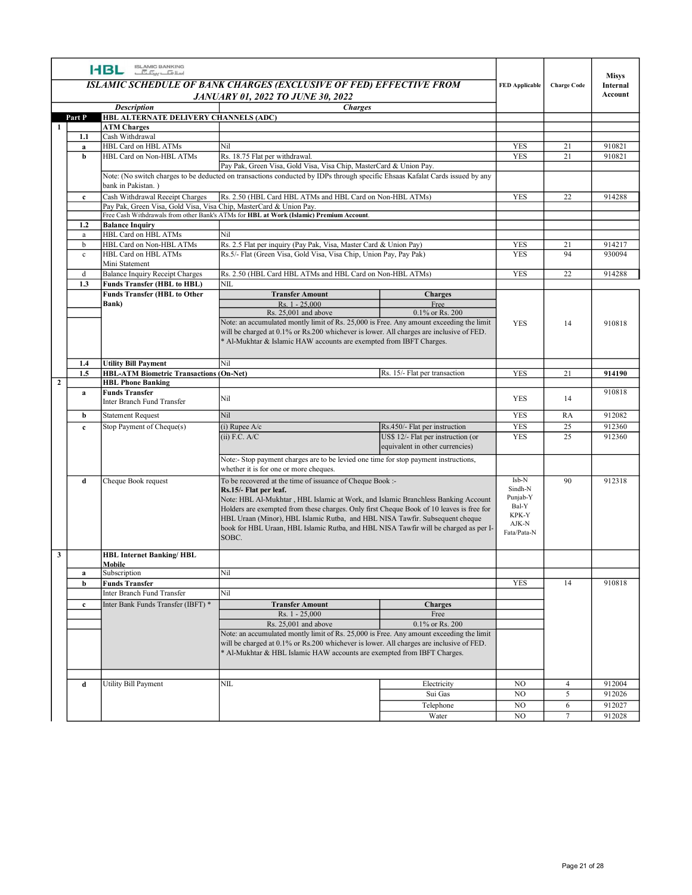|                         |              | <b>HBL ISLAMIC BANKING</b>                                                 | ISLAMIC SCHEDULE OF BANK CHARGES (EXCLUSIVE OF FED) EFFECTIVE FROM<br><b>JANUARY 01, 2022 TO JUNE 30, 2022</b>                                                                                                                                                                                                                   | <b>FED Applicable</b>                          | <b>Charge Code</b>  | <b>Misys</b><br>Internal<br>Account |
|-------------------------|--------------|----------------------------------------------------------------------------|----------------------------------------------------------------------------------------------------------------------------------------------------------------------------------------------------------------------------------------------------------------------------------------------------------------------------------|------------------------------------------------|---------------------|-------------------------------------|
|                         |              | <b>Description</b>                                                         | <b>Charges</b>                                                                                                                                                                                                                                                                                                                   |                                                |                     |                                     |
|                         |              | Part P HBL ALTERNATE DELIVERY CHANNELS (ADC)<br><b>ATM Charges</b>         |                                                                                                                                                                                                                                                                                                                                  |                                                |                     |                                     |
|                         | 1.1<br>a     | Cash Withdrawal<br>HBL Card on HBL ATMs                                    | Nil                                                                                                                                                                                                                                                                                                                              | YES                                            | 21                  | 910821                              |
|                         | b            | HBL Card on Non-HBL ATMs                                                   | Rs. 18.75 Flat per withdrawal.<br>Pay Pak, Green Visa, Gold Visa, Visa Chip, MasterCard & Union Pay.                                                                                                                                                                                                                             | <b>YES</b>                                     | 21                  | 910821                              |
|                         |              | bank in Pakistan.)                                                         | Note: (No switch charges to be deducted on transactions conducted by IDPs through specific Ehsaas Kafalat Cards issued by any                                                                                                                                                                                                    |                                                |                     |                                     |
|                         | $\mathbf{c}$ | Cash Withdrawal Receipt Charges                                            | Rs. 2.50 (HBL Card HBL ATMs and HBL Card on Non-HBL ATMs)                                                                                                                                                                                                                                                                        | YES                                            | 22                  | 914288                              |
|                         |              | Pay Pak, Green Visa, Gold Visa, Visa Chip, MasterCard & Union Pay.         | Free Cash Withdrawals from other Bank's ATMs for HBL at Work (Islamic) Premium Account.                                                                                                                                                                                                                                          |                                                |                     |                                     |
|                         | 1.2<br>a     | <b>Balance Inquiry</b><br>HBL Card on HBL ATMs                             | Nil                                                                                                                                                                                                                                                                                                                              |                                                |                     |                                     |
|                         | b            | HBL Card on Non-HBL ATMs<br>HBL Card on HBL ATMs                           | Rs. 2.5 Flat per inquiry (Pay Pak, Visa, Master Card & Union Pay)                                                                                                                                                                                                                                                                | <b>YES</b><br><b>YES</b>                       | 21<br>94            | 914217<br>930094                    |
|                         | $\mathbf{c}$ | Mini Statement                                                             | Rs.5/- Flat (Green Visa, Gold Visa, Visa Chip, Union Pay, Pay Pak)                                                                                                                                                                                                                                                               |                                                |                     |                                     |
|                         | d<br>1.3     | Balance Inquiry Receipt Charges<br><b>Funds Transfer (HBL to HBL)</b>      | Rs. 2.50 (HBL Card HBL ATMs and HBL Card on Non-HBL ATMs)<br>NIL                                                                                                                                                                                                                                                                 | YES                                            | 22                  | 914288                              |
|                         |              | <b>Funds Transfer (HBL to Other</b>                                        | <b>Transfer Amount</b><br>Charges                                                                                                                                                                                                                                                                                                |                                                |                     |                                     |
|                         |              | Bank)                                                                      | $Rs. 1 - 25,000$<br>Free<br>Rs. 25,001 and above<br>0.1% or Rs. 200<br>Note: an accumulated montly limit of Rs. 25,000 is Free. Any amount exceeding the limit<br>will be charged at 0.1% or Rs.200 whichever is lower. All charges are inclusive of FED.<br>* Al-Mukhtar & Islamic HAW accounts are exempted from IBFT Charges. | YES                                            | 14                  | 910818                              |
|                         | 1.4          | <b>Utility Bill Payment</b>                                                | Nil                                                                                                                                                                                                                                                                                                                              |                                                |                     |                                     |
|                         | 1.5          | <b>HBL-ATM Biometric Transactions (On-Net)</b><br><b>HBL Phone Banking</b> | Rs. 15/- Flat per transaction                                                                                                                                                                                                                                                                                                    | YES                                            | 21                  | 914190                              |
| $\overline{2}$          | a            | <b>Funds Transfer</b><br>Inter Branch Fund Transfer                        | Nil                                                                                                                                                                                                                                                                                                                              | YES                                            | 14                  | 910818                              |
|                         | b            | <b>Statement Request</b>                                                   | Nil                                                                                                                                                                                                                                                                                                                              | YES                                            | RA                  | 912082                              |
|                         | $\mathbf{c}$ | Stop Payment of Cheque(s)                                                  | $(i)$ Rupee A/c<br>Rs.450/- Flat per instruction                                                                                                                                                                                                                                                                                 | YES                                            | 25                  | 912360                              |
|                         |              |                                                                            | US\$ 12/- Flat per instruction (or<br>$(ii)$ F.C. A/C<br>equivalent in other currencies)<br>Note:- Stop payment charges are to be levied one time for stop payment instructions,                                                                                                                                                 | <b>YES</b>                                     | 25                  | 912360                              |
|                         | d            | Cheque Book request                                                        | whether it is for one or more cheques.<br>To be recovered at the time of issuance of Cheque Book :-<br>Rs.15/- Flat per leaf.<br>Note: HBL Al-Mukhtar, HBL Islamic at Work, and Islamic Branchless Banking Account<br>Holders are exempted from these charges. Only first Cheque Book of 10 leaves is free for                   | Isb-N<br>Sindh-N<br>Punjab-Y<br>Bal-Y<br>KPK-Y | 90                  | 912318                              |
|                         |              |                                                                            | HBL Uraan (Minor), HBL Islamic Rutba, and HBL NISA Tawfir. Subsequent cheque<br>book for HBL Uraan, HBL Islamic Rutba, and HBL NISA Tawfir will be charged as per I-<br>SOBC.                                                                                                                                                    | $AJK-N$<br>Fata/Pata-N                         |                     |                                     |
| $\overline{\mathbf{3}}$ |              | <b>HBL Internet Banking/HBL</b><br>Mobile                                  |                                                                                                                                                                                                                                                                                                                                  |                                                |                     |                                     |
|                         | a<br>b       | Subscription<br><b>Funds Transfer</b>                                      | Nil                                                                                                                                                                                                                                                                                                                              | YES                                            | 14                  | 910818                              |
|                         |              | Inter Branch Fund Transfer                                                 | Nil                                                                                                                                                                                                                                                                                                                              |                                                |                     |                                     |
|                         | $\mathbf{c}$ | Inter Bank Funds Transfer (IBFT) *                                         | <b>Transfer Amount</b><br>Charges<br>Rs. 1 - 25,000<br>Free                                                                                                                                                                                                                                                                      |                                                |                     |                                     |
|                         |              |                                                                            | 0.1% or Rs. 200<br>Rs. 25,001 and above<br>Note: an accumulated montly limit of Rs. 25,000 is Free. Any amount exceeding the limit<br>will be charged at 0.1% or Rs.200 whichever is lower. All charges are inclusive of FED.<br>* Al-Mukhtar & HBL Islamic HAW accounts are exempted from IBFT Charges.                         |                                                |                     |                                     |
|                         | d            | Utility Bill Payment                                                       | NIL<br>Electricity                                                                                                                                                                                                                                                                                                               | NO                                             | $\overline{4}$      | 912004                              |
|                         |              |                                                                            | Sui Gas<br>Telephone                                                                                                                                                                                                                                                                                                             | NO<br>$_{\rm NO}$                              | $\overline{5}$<br>6 | 912026<br>912027                    |
|                         |              |                                                                            | Water                                                                                                                                                                                                                                                                                                                            | NO                                             | $7\overline{ }$     | 912028                              |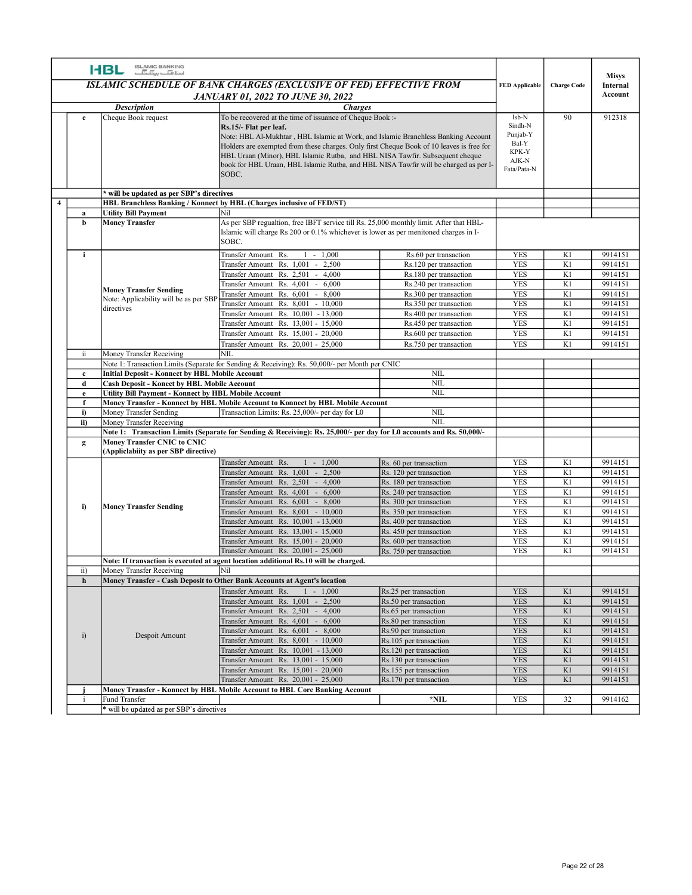|                |              | ISLAMIC BANKING<br>اسلا <del>مات پیٹا گ</del> ا<br><b>HBL</b>                                              |                                                                                                                                                                                                                                                                                                                                                                                                                                                       |                                                    |                                                                        |                    |                    |
|----------------|--------------|------------------------------------------------------------------------------------------------------------|-------------------------------------------------------------------------------------------------------------------------------------------------------------------------------------------------------------------------------------------------------------------------------------------------------------------------------------------------------------------------------------------------------------------------------------------------------|----------------------------------------------------|------------------------------------------------------------------------|--------------------|--------------------|
|                |              |                                                                                                            | <b>ISLAMIC SCHEDULE OF BANK CHARGES (EXCLUSIVE OF FED) EFFECTIVE FROM</b>                                                                                                                                                                                                                                                                                                                                                                             |                                                    | <b>FED Applicable</b>                                                  | <b>Charge Code</b> | Misys<br>Internal  |
|                |              |                                                                                                            | <b>JANUARY 01, 2022 TO JUNE 30, 2022</b>                                                                                                                                                                                                                                                                                                                                                                                                              |                                                    |                                                                        |                    | Account            |
|                |              | <b>Description</b>                                                                                         | <b>Charges</b>                                                                                                                                                                                                                                                                                                                                                                                                                                        |                                                    |                                                                        |                    |                    |
|                | e            | Cheque Book request                                                                                        | To be recovered at the time of issuance of Cheque Book :-<br>Rs.15/- Flat per leaf.<br>Note: HBL Al-Mukhtar, HBL Islamic at Work, and Islamic Branchless Banking Account<br>Holders are exempted from these charges. Only first Cheque Book of 10 leaves is free for<br>HBL Uraan (Minor), HBL Islamic Rutba, and HBL NISA Tawfir. Subsequent cheque<br>book for HBL Uraan, HBL Islamic Rutba, and HBL NISA Tawfir will be charged as per I-<br>SOBC. |                                                    | Isb-N<br>Sindh-N<br>Punjab-Y<br>Bal-Y<br>KPK-Y<br>AJK-N<br>Fata/Pata-N | 90                 | 912318             |
|                |              | will be updated as per SBP's directives                                                                    |                                                                                                                                                                                                                                                                                                                                                                                                                                                       |                                                    |                                                                        |                    |                    |
| $\overline{4}$ |              |                                                                                                            | HBL Branchless Banking / Konnect by HBL (Charges inclusive of FED/ST)                                                                                                                                                                                                                                                                                                                                                                                 |                                                    |                                                                        |                    |                    |
|                | a            | <b>Utility Bill Payment</b>                                                                                | Nil                                                                                                                                                                                                                                                                                                                                                                                                                                                   |                                                    |                                                                        |                    |                    |
|                | h            | <b>Money Transfer</b>                                                                                      | As per SBP regualtion, free IBFT service till Rs. 25,000 monthly limit. After that HBL-<br>Islamic will charge Rs 200 or 0.1% whichever is lower as per menitoned charges in I-<br>SOBC.                                                                                                                                                                                                                                                              |                                                    |                                                                        |                    |                    |
|                | i.           |                                                                                                            | $1 - 1,000$<br>Transfer Amount Rs.                                                                                                                                                                                                                                                                                                                                                                                                                    | Rs.60 per transaction                              | <b>YES</b>                                                             | K1                 | 9914151            |
|                |              |                                                                                                            | Transfer Amount Rs. 1.001 - 2.500<br>Transfer Amount Rs. 2,501 - 4,000                                                                                                                                                                                                                                                                                                                                                                                | Rs.120 per transaction<br>Rs.180 per transaction   | <b>YES</b><br><b>YES</b>                                               | K1<br>K1           | 9914151<br>9914151 |
|                |              |                                                                                                            | Transfer Amount Rs. 4,001 - 6,000                                                                                                                                                                                                                                                                                                                                                                                                                     | Rs.240 per transaction                             | <b>YES</b>                                                             | K1                 | 9914151            |
|                |              | <b>Money Transfer Sending</b><br>Note: Applicability will be as per SB                                     | $-8,000$<br>Transfer Amount Rs. 6,001                                                                                                                                                                                                                                                                                                                                                                                                                 | Rs.300 per transaction                             | <b>YES</b>                                                             | K1                 | 9914151            |
|                |              | directives                                                                                                 | Transfer Amount Rs. 8,001<br>$-10,000$<br>Transfer Amount Rs. 10,001 - 13,000                                                                                                                                                                                                                                                                                                                                                                         | Rs.350 per transaction<br>Rs.400 per transaction   | <b>YES</b><br><b>YES</b>                                               | K1<br>K1           | 9914151<br>9914151 |
|                |              |                                                                                                            | Transfer Amount Rs. 13,001 - 15,000                                                                                                                                                                                                                                                                                                                                                                                                                   | Rs.450 per transaction                             | YES                                                                    | K1                 | 9914151            |
|                |              |                                                                                                            | Transfer Amount Rs. 15,001 - 20,000                                                                                                                                                                                                                                                                                                                                                                                                                   | Rs.600 per transaction                             | <b>YES</b>                                                             | K1                 | 9914151            |
|                | ii.          | Money Transfer Receiving                                                                                   | Transfer Amount Rs. 20,001 - 25,000<br> NIL                                                                                                                                                                                                                                                                                                                                                                                                           | Rs.750 per transaction                             | <b>YES</b>                                                             | K1                 | 9914151            |
|                |              |                                                                                                            | Note 1: Transaction Limits (Separate for Sending & Receiving): Rs. 50,000/- per Month per CNIC                                                                                                                                                                                                                                                                                                                                                        |                                                    |                                                                        |                    |                    |
|                | $\bf c$      | <b>Initial Deposit - Konnect by HBL Mobile Account</b>                                                     |                                                                                                                                                                                                                                                                                                                                                                                                                                                       | NIL                                                |                                                                        |                    |                    |
|                | d<br>e       | <b>Cash Deposit - Konect by HBL Mobile Account</b><br>Utility Bill Payment - Konnect by HBL Mobile Account |                                                                                                                                                                                                                                                                                                                                                                                                                                                       | $\mbox{NIL}$<br>$\overline{\text{NIL}}$            |                                                                        |                    |                    |
|                | f            |                                                                                                            | Money Transfer - Konnect by HBL Mobile Account to Konnect by HBL Mobile Account                                                                                                                                                                                                                                                                                                                                                                       |                                                    |                                                                        |                    |                    |
|                | i)           | Money Transfer Sending                                                                                     | Transaction Limits: Rs. 25,000/- per day for L0                                                                                                                                                                                                                                                                                                                                                                                                       | $\mbox{NIL}$                                       |                                                                        |                    |                    |
|                | ii)          | Money Transfer Receiving                                                                                   | Note 1: Transaction Limits (Separate for Sending & Receiving): Rs. 25,000/- per day for L0 accounts and Rs. 50,000/-                                                                                                                                                                                                                                                                                                                                  | $\mbox{NIL}$                                       |                                                                        |                    |                    |
|                | $\mathbf{g}$ | <b>Money Transfer CNIC to CNIC</b>                                                                         |                                                                                                                                                                                                                                                                                                                                                                                                                                                       |                                                    |                                                                        |                    |                    |
|                |              | (Appliclabiity as per SBP directive)                                                                       |                                                                                                                                                                                                                                                                                                                                                                                                                                                       |                                                    |                                                                        |                    |                    |
|                |              |                                                                                                            | $1 - 1,000$<br>Transfer Amount Rs.<br>Transfer Amount Rs. 1,001 - 2,500                                                                                                                                                                                                                                                                                                                                                                               | Rs. 60 per transaction<br>Rs. 120 per transaction  | <b>YES</b><br><b>YES</b>                                               | K1<br>K1           | 9914151<br>9914151 |
|                |              |                                                                                                            | Transfer Amount Rs. 2,501 - 4,000                                                                                                                                                                                                                                                                                                                                                                                                                     | Rs. 180 per transaction                            | <b>YES</b>                                                             | K1                 | 9914151            |
|                |              |                                                                                                            | Transfer Amount Rs. 4,001 - 6,000                                                                                                                                                                                                                                                                                                                                                                                                                     | Rs. 240 per transaction                            | YES                                                                    | K1                 | 9914151            |
|                | i)           | <b>Money Transfer Sending</b>                                                                              | Transfer Amount Rs. 6,001 - 8,000<br>Transfer Amount Rs. 8,001 - 10,000                                                                                                                                                                                                                                                                                                                                                                               | Rs. 300 per transaction<br>Rs. 350 per transaction | <b>YES</b><br><b>YES</b>                                               | K1<br>K1           | 9914151<br>9914151 |
|                |              |                                                                                                            | Transfer Amount Rs. 10,001 - 13,000                                                                                                                                                                                                                                                                                                                                                                                                                   | Rs. 400 per transaction                            | <b>YES</b>                                                             | K1                 | 9914151            |
|                |              |                                                                                                            | Transfer Amount Rs. 13,001 - 15,000                                                                                                                                                                                                                                                                                                                                                                                                                   | Rs. 450 per transaction                            | <b>YES</b>                                                             | K1                 | 9914151            |
|                |              |                                                                                                            | Transfer Amount Rs. 15,001 - 20,000<br>Transfer Amount Rs. 20,001 - 25,000                                                                                                                                                                                                                                                                                                                                                                            | Rs. 600 per transaction<br>Rs. 750 per transaction | <b>YES</b><br><b>YES</b>                                               | K1<br>K1           | 9914151<br>9914151 |
|                |              |                                                                                                            | Note: If transaction is executed at agent location additional Rs.10 will be charged.                                                                                                                                                                                                                                                                                                                                                                  |                                                    |                                                                        |                    |                    |
|                | ii)          | Money Transfer Receiving                                                                                   | Nil                                                                                                                                                                                                                                                                                                                                                                                                                                                   |                                                    |                                                                        |                    |                    |
|                | h            |                                                                                                            | Money Transfer - Cash Deposit to Other Bank Accounts at Agent's location<br>Transfer Amount Rs. 1 - 1,000                                                                                                                                                                                                                                                                                                                                             | Rs.25 per transaction                              | <b>YES</b>                                                             | K1                 | 9914151            |
|                |              |                                                                                                            | Transfer Amount Rs. 1,001 - 2,500                                                                                                                                                                                                                                                                                                                                                                                                                     | Rs.50 per transaction                              | <b>YES</b>                                                             | K1                 | 9914151            |
|                |              |                                                                                                            | Transfer Amount Rs. 2,501 - 4,000                                                                                                                                                                                                                                                                                                                                                                                                                     | Rs.65 per transaction                              | <b>YES</b>                                                             | K1                 | 9914151            |
|                |              |                                                                                                            | Transfer Amount Rs. 4,001 - 6,000<br>Transfer Amount Rs. 6,001 - 8,000                                                                                                                                                                                                                                                                                                                                                                                | Rs.80 per transaction<br>Rs.90 per transaction     | <b>YES</b><br><b>YES</b>                                               | K1<br>K1           | 9914151<br>9914151 |
|                | i)           | Despoit Amount                                                                                             | Transfer Amount Rs. 8,001 - 10,000                                                                                                                                                                                                                                                                                                                                                                                                                    | Rs.105 per transaction                             | <b>YES</b>                                                             | K1                 | 9914151            |
|                |              |                                                                                                            | Transfer Amount Rs. 10,001 - 13,000                                                                                                                                                                                                                                                                                                                                                                                                                   | Rs.120 per transaction                             | <b>YES</b>                                                             | K1                 | 9914151            |
|                |              |                                                                                                            | Transfer Amount Rs. 13,001 - 15,000<br>Transfer Amount Rs. 15,001 - 20,000                                                                                                                                                                                                                                                                                                                                                                            | Rs.130 per transaction<br>Rs.155 per transaction   | <b>YES</b><br><b>YES</b>                                               | K1<br>K1           | 9914151<br>9914151 |
|                |              |                                                                                                            | Transfer Amount Rs. 20,001 - 25,000                                                                                                                                                                                                                                                                                                                                                                                                                   | Rs.170 per transaction                             | <b>YES</b>                                                             | K1                 | 9914151            |
|                |              |                                                                                                            | Money Transfer - Konnect by HBL Mobile Account to HBL Core Banking Account                                                                                                                                                                                                                                                                                                                                                                            |                                                    |                                                                        |                    |                    |
|                | $\mathbf{1}$ | Fund Transfer<br>* will be updated as per SBP's directives                                                 |                                                                                                                                                                                                                                                                                                                                                                                                                                                       | *NIL                                               | YES                                                                    | 32                 | 9914162            |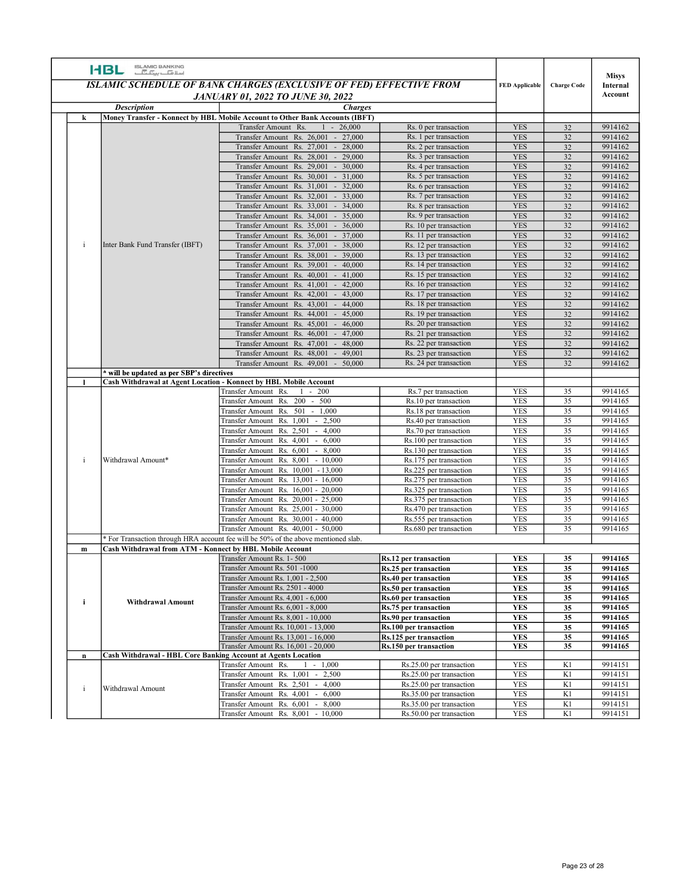|              | <b>ISLAMIC BANKING</b><br>اسلا <del>ما</del> سی <del>نگ</del><br><b>HBL</b> |                                                                                                                  |                                                              |                          |                       |                          |
|--------------|-----------------------------------------------------------------------------|------------------------------------------------------------------------------------------------------------------|--------------------------------------------------------------|--------------------------|-----------------------|--------------------------|
|              |                                                                             | <b>ISLAMIC SCHEDULE OF BANK CHARGES (EXCLUSIVE OF FED) EFFECTIVE FROM</b>                                        |                                                              | <b>FED Applicable</b>    | <b>Charge Code</b>    | <b>Misys</b><br>Internal |
|              | <b>Description</b>                                                          | <b>JANUARY 01, 2022 TO JUNE 30, 2022</b><br><b>Charges</b>                                                       |                                                              |                          |                       | Account                  |
| k            |                                                                             | Money Transfer - Konnect by HBL Mobile Account to Other Bank Accounts (IBFT)<br>$-26,000$<br>Transfer Amount Rs. | Rs. 0 per transaction                                        | <b>YES</b>               | 32                    | 9914162                  |
|              |                                                                             | Transfer Amount Rs. 26,001 - 27,000                                                                              | Rs. 1 per transaction                                        | <b>YES</b>               | 32                    | 9914162                  |
|              |                                                                             | Transfer Amount Rs. 27,001 - 28,000<br>$-29,000$<br>Transfer Amount Rs. 28,001                                   | Rs. 2 per transaction<br>Rs. 3 per transaction               | <b>YES</b><br><b>YES</b> | 32<br>32              | 9914162<br>9914162       |
|              |                                                                             | Transfer Amount Rs. 29,001 - 30,000                                                                              | Rs. 4 per transaction                                        | <b>YES</b>               | 32                    | 9914162                  |
|              |                                                                             | Transfer Amount Rs. 30,001 - 31,000                                                                              | Rs. 5 per transaction                                        | <b>YES</b>               | 32                    | 9914162                  |
|              |                                                                             | Transfer Amount Rs. 31,001 - 32,000<br>Transfer Amount Rs. 32,001 - 33,000                                       | Rs. 6 per transaction<br>Rs. 7 per transaction               | <b>YES</b><br><b>YES</b> | 32<br>32              | 9914162<br>9914162       |
|              |                                                                             | Transfer Amount Rs. 33,001 - 34,000                                                                              | Rs. 8 per transaction                                        | <b>YES</b>               | 32                    | 9914162                  |
|              |                                                                             | Transfer Amount Rs. 34,001 - 35,000<br>Transfer Amount Rs. 35,001 - 36,000                                       | Rs. 9 per transaction<br>Rs. 10 per transaction              | <b>YES</b><br><b>YES</b> | 32<br>32              | 9914162<br>9914162       |
|              |                                                                             | Transfer Amount Rs. 36,001 - 37,000                                                                              | Rs. 11 per transaction                                       | <b>YES</b>               | 32                    | 9914162                  |
| $\mathbf{I}$ | Inter Bank Fund Transfer (IBFT)                                             | $-38,000$<br>Transfer Amount Rs. 37,001<br>$-39,000$<br>Transfer Amount Rs. 38,001                               | Rs. 12 per transaction<br>Rs. 13 per transaction             | <b>YES</b><br><b>YES</b> | 32<br>32              | 9914162<br>9914162       |
|              |                                                                             | Transfer Amount Rs. 39,001 - 40,000                                                                              | Rs. 14 per transaction                                       | <b>YES</b>               | 32                    | 9914162                  |
|              |                                                                             | Transfer Amount Rs. 40,001 - 41,000<br>Transfer Amount Rs. 41,001 - 42,000                                       | Rs. 15 per transaction<br>Rs. 16 per transaction             | <b>YES</b><br><b>YES</b> | 32<br>32              | 9914162<br>9914162       |
|              |                                                                             | Transfer Amount Rs. 42,001 - 43,000                                                                              | Rs. 17 per transaction                                       | <b>YES</b>               | 32                    | 9914162                  |
|              |                                                                             | Transfer Amount Rs. 43,001 - 44,000                                                                              | Rs. 18 per transaction                                       | <b>YES</b>               | 32                    | 9914162                  |
|              |                                                                             | Transfer Amount Rs. 44,001 - 45,000<br>Transfer Amount Rs. 45,001 - 46,000                                       | Rs. 19 per transaction<br>Rs. 20 per transaction             | <b>YES</b><br><b>YES</b> | 32<br>32              | 9914162<br>9914162       |
|              |                                                                             | Transfer Amount Rs. 46,001 - 47,000                                                                              | Rs. 21 per transaction                                       | <b>YES</b>               | 32                    | 9914162                  |
|              |                                                                             | Transfer Amount Rs. 47,001 - 48,000<br>Transfer Amount Rs. 48,001 - 49,001                                       | Rs. 22 per transaction<br>Rs. 23 per transaction             | <b>YES</b><br><b>YES</b> | 32<br>32              | 9914162<br>9914162       |
|              |                                                                             | Transfer Amount Rs. 49,001 - 50,000                                                                              | Rs. 24 per transaction                                       | <b>YES</b>               | 32                    | 9914162                  |
|              | * will be updated as per SBP's directives                                   | Cash Withdrawal at Agent Location - Konnect by HBL Mobile Account                                                |                                                              |                          |                       |                          |
|              |                                                                             | Transfer Amount Rs. 1 - 200                                                                                      | Rs.7 per transaction                                         | <b>YES</b>               | 35                    | 9914165                  |
|              |                                                                             | Transfer Amount Rs. 200 - 500<br>Transfer Amount Rs. 501 - 1,000                                                 | Rs.10 per transaction<br>Rs.18 per transaction               | <b>YES</b><br><b>YES</b> | 35<br>$\overline{35}$ | 9914165<br>9914165       |
|              |                                                                             | Transfer Amount Rs. 1,001 - 2,500                                                                                | Rs.40 per transaction                                        | <b>YES</b>               | 35                    | 9914165                  |
|              |                                                                             | Transfer Amount Rs. 2,501 - 4,000<br>Transfer Amount Rs. 4,001 - 6,000                                           | Rs.70 per transaction<br>Rs.100 per transaction              | <b>YES</b><br><b>YES</b> | 35<br>35              | 9914165<br>9914165       |
|              |                                                                             | Transfer Amount Rs. 6,001 - 8,000                                                                                | Rs.130 per transaction                                       | <b>YES</b>               | 35                    | 9914165                  |
|              | Withdrawal Amount*                                                          | Transfer Amount Rs. 8,001 - 10,000                                                                               | Rs.175 per transaction                                       | <b>YES</b>               | 35                    | 9914165                  |
|              |                                                                             | Transfer Amount Rs. 10,001 - 13,000<br>Transfer Amount Rs. 13,001 - 16,000                                       | Rs.225 per transaction<br>Rs.275 per transaction             | <b>YES</b><br><b>YES</b> | 35<br>35              | 9914165<br>9914165       |
|              |                                                                             | Transfer Amount Rs. 16,001 - 20,000                                                                              | Rs.325 per transaction                                       | <b>YES</b>               | 35                    | 9914165                  |
|              |                                                                             | Transfer Amount Rs. 20,001 - 25,000                                                                              | Rs.375 per transaction                                       | <b>YES</b><br><b>YES</b> | 35<br>35              | 9914165                  |
|              |                                                                             | Transfer Amount Rs. 25,001 - 30,000<br>Transfer Amount Rs. 30,001 - 40,000                                       | Rs.470 per transaction<br>Rs.555 per transaction             | <b>YES</b>               | 35                    | 9914165<br>9914165       |
|              |                                                                             | Transfer Amount Rs. 40,001 - 50,000                                                                              | Rs.680 per transaction                                       | <b>YES</b>               | 35                    | 9914165                  |
| $\mathbf{m}$ | Cash Withdrawal from ATM - Konnect by HBL Mobile Account                    | * For Transaction through HRA account fee will be 50% of the above mentioned slab.                               |                                                              |                          |                       |                          |
|              |                                                                             | Transfer Amount Rs. 1-500                                                                                        | Rs.12 per transaction                                        | <b>YES</b>               | 35                    | 9914165                  |
|              |                                                                             | Transfer Amount Rs. 501 -1000                                                                                    | Rs.25 per transaction                                        | <b>YES</b>               | 35                    | 9914165                  |
|              |                                                                             | Transfer Amount Rs. 1,001 - 2,500<br>Transfer Amount Rs. 2501 - 4000                                             | <b>Rs.40 per transaction</b><br><b>Rs.50 per transaction</b> | <b>YES</b><br><b>YES</b> | 35<br>35              | 9914165<br>9914165       |
|              | <b>Withdrawal Amount</b>                                                    | Transfer Amount Rs. 4,001 - 6,000                                                                                | <b>Rs.60 per transaction</b>                                 | <b>YES</b>               | 35                    | 9914165                  |
|              |                                                                             | Transfer Amount Rs. 6,001 - 8,000<br>Transfer Amount Rs. 8,001 - 10,000                                          | Rs.75 per transaction<br><b>Rs.90 per transaction</b>        | <b>YES</b><br>YES        | 35<br>35              | 9914165<br>9914165       |
|              |                                                                             | Transfer Amount Rs. 10,001 - 13,000                                                                              | Rs.100 per transaction                                       | <b>YES</b>               | 35                    | 9914165                  |
|              |                                                                             | Transfer Amount Rs. 13,001 - 16,000                                                                              | Rs.125 per transaction                                       | <b>YES</b>               | 35                    | 9914165                  |
| $\mathbf{n}$ | <b>Cash Withdrawal - HBL Core Banking Account at Agents Location</b>        | Transfer Amount Rs. 16,001 - 20,000                                                                              | Rs.150 per transaction                                       | <b>YES</b>               | 35                    | 9914165                  |
|              |                                                                             | Transfer Amount Rs.<br>$1 - 1,000$                                                                               | Rs.25.00 per transaction                                     | <b>YES</b>               | K1                    | 9914151                  |
|              |                                                                             | Transfer Amount Rs. 1,001 - 2,500<br>Transfer Amount Rs. 2,501 - 4,000                                           | Rs.25.00 per transaction<br>Rs.25.00 per transaction         | <b>YES</b><br><b>YES</b> | K1<br>K1              | 9914151<br>9914151       |
|              | Withdrawal Amount                                                           | Transfer Amount Rs. 4,001 - 6,000                                                                                | Rs.35.00 per transaction                                     | <b>YES</b>               | K1                    | 9914151                  |
|              |                                                                             | Transfer Amount Rs. 6,001 - 8,000                                                                                | Rs.35.00 per transaction<br>Rs.50.00 per transaction         | <b>YES</b><br><b>YES</b> | K1<br>K1              | 9914151<br>9914151       |
|              |                                                                             | Transfer Amount Rs. 8,001 - 10,000                                                                               |                                                              |                          |                       |                          |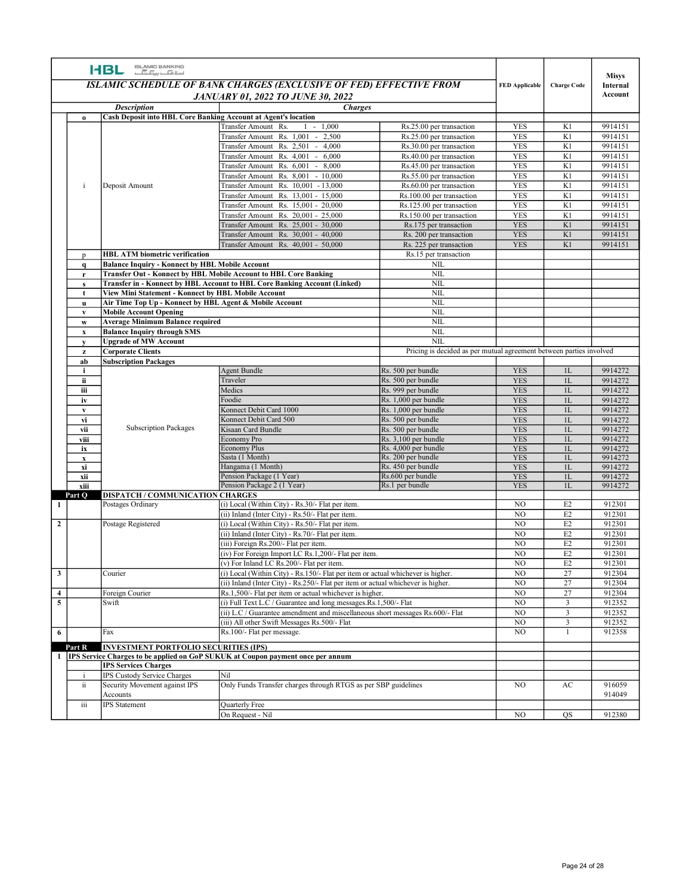|                          | ISLAMIC BANKING<br>اسلا <del>مان بن آب</del><br><b>HBL</b>                                                     |                                                                                                                                                  |                                                                     |                          |                                           | <b>Misys</b>        |
|--------------------------|----------------------------------------------------------------------------------------------------------------|--------------------------------------------------------------------------------------------------------------------------------------------------|---------------------------------------------------------------------|--------------------------|-------------------------------------------|---------------------|
|                          |                                                                                                                | <b>ISLAMIC SCHEDULE OF BANK CHARGES (EXCLUSIVE OF FED) EFFECTIVE FROM</b><br><b>JANUARY 01, 2022 TO JUNE 30, 2022</b>                            |                                                                     | <b>FED Applicable</b>    | <b>Charge Code</b>                        | Internal<br>Account |
|                          | <b>Description</b>                                                                                             | <b>Charges</b>                                                                                                                                   |                                                                     |                          |                                           |                     |
| $\bf{0}$                 | Cash Deposit into HBL Core Banking Account at Agent's location                                                 | Transfer Amount Rs.<br>$1 - 1,000$                                                                                                               | Rs.25.00 per transaction                                            | <b>YES</b>               | K1                                        | 9914151             |
|                          |                                                                                                                | Transfer Amount Rs. 1,001 - 2,500                                                                                                                | Rs.25.00 per transaction                                            | <b>YES</b>               | K1                                        | 9914151             |
|                          |                                                                                                                | Transfer Amount Rs. 2,501 - 4,000<br>Transfer Amount Rs. 4,001 - 6,000                                                                           | Rs.30.00 per transaction<br>Rs.40.00 per transaction                | <b>YES</b><br><b>YES</b> | K1<br>K1                                  | 9914151<br>9914151  |
|                          |                                                                                                                | Transfer Amount Rs. 6,001 - 8,000                                                                                                                | Rs.45.00 per transaction                                            | <b>YES</b>               | K1                                        | 9914151             |
|                          |                                                                                                                | Transfer Amount Rs. 8,001 - 10,000                                                                                                               | Rs.55.00 per transaction                                            | YES                      | K1                                        | 9914151             |
| i                        | Deposit Amount                                                                                                 | Transfer Amount Rs. 10,001 - 13,000<br>Transfer Amount Rs. 13,001 - 15,000                                                                       | Rs.60.00 per transaction<br>Rs.100.00 per transaction               | <b>YES</b><br><b>YES</b> | K1<br>K1                                  | 9914151<br>9914151  |
|                          |                                                                                                                | Transfer Amount Rs. 15,001 - 20,000                                                                                                              | Rs.125.00 per transaction                                           | <b>YES</b>               | K1                                        | 9914151             |
|                          |                                                                                                                | Transfer Amount Rs. 20,001 - 25,000                                                                                                              | Rs.150.00 per transaction                                           | <b>YES</b>               | K1                                        | 9914151             |
|                          |                                                                                                                | Transfer Amount Rs. 25,001 - 30,000<br>Transfer Amount Rs. 30,001 - 40,000                                                                       | Rs.175 per transaction<br>Rs. 200 per transaction                   | <b>YES</b><br><b>YES</b> | K1<br>K1                                  | 9914151<br>9914151  |
|                          |                                                                                                                | Transfer Amount Rs. 40,001 - 50,000                                                                                                              | Rs. 225 per transaction                                             | <b>YES</b>               | K1                                        | 9914151             |
| $\mathbf{p}$             | <b>HBL ATM biometric verification</b>                                                                          |                                                                                                                                                  | Rs.15 per transaction<br>NIL                                        |                          |                                           |                     |
| <b>a</b><br>$\mathbf{r}$ | <b>Balance Inquiry - Konnect by HBL Mobile Account</b>                                                         | <b>Transfer Out - Konnect by HBL Mobile Account to HBL Core Banking</b>                                                                          | <b>NIL</b>                                                          |                          |                                           |                     |
| <b>s</b>                 |                                                                                                                | Transfer in - Konnect by HBL Account to HBL Core Banking Account (Linked)                                                                        | NIL                                                                 |                          |                                           |                     |
| t<br><b>u</b>            | View Mini Statement - Konnect by HBL Mobile Account<br>Air Time Top Up - Konnect by HBL Agent & Mobile Account |                                                                                                                                                  | NIL<br>NIL                                                          |                          |                                           |                     |
| $\mathbf{v}$             | <b>Mobile Account Opening</b>                                                                                  |                                                                                                                                                  | <b>NIL</b>                                                          |                          |                                           |                     |
| W<br>$\mathbf x$         | Average Minimum Balance required<br><b>Balance Inquiry through SMS</b>                                         |                                                                                                                                                  | NIL<br>NIL                                                          |                          |                                           |                     |
| $\mathbf{v}$             | <b>Upgrade of MW Account</b>                                                                                   |                                                                                                                                                  | NIL                                                                 |                          |                                           |                     |
| $\mathbf{z}$             | <b>Corporate Clients</b>                                                                                       |                                                                                                                                                  | Pricing is decided as per mutual agreement between parties involved |                          |                                           |                     |
| ab<br>i.                 | <b>Subscription Packages</b>                                                                                   | Agent Bundle                                                                                                                                     | Rs. 500 per bundle                                                  | <b>YES</b>               | 1L                                        | 9914272             |
| ii                       |                                                                                                                | Traveler                                                                                                                                         | Rs. 500 per bundle                                                  | <b>YES</b>               | $1\mathrm{L}$                             | 9914272             |
| iii<br>iv                |                                                                                                                | Medics<br>Foodie                                                                                                                                 | Rs. 999 per bundle<br>Rs. 1,000 per bundle                          | <b>YES</b><br><b>YES</b> | 1L<br>1L                                  | 9914272<br>9914272  |
| $\mathbf{v}$             |                                                                                                                | Konnect Debit Card 1000                                                                                                                          | Rs. 1,000 per bundle                                                | <b>YES</b>               | $1\mathbf{L}$                             | 9914272             |
| vi                       | <b>Subscription Packages</b>                                                                                   | Konnect Debit Card 500                                                                                                                           | Rs. 500 per bundle                                                  | <b>YES</b>               | 1L                                        | 9914272             |
| vii<br>viii              |                                                                                                                | Kisaan Card Bundle<br>Economy Pro                                                                                                                | Rs. 500 per bundle<br>Rs. 3,100 per bundle                          | <b>YES</b><br><b>YES</b> | $1\mathrm{L}$<br>1L                       | 9914272<br>9914272  |
| ix                       |                                                                                                                | <b>Economy Plus</b>                                                                                                                              | Rs. 4,000 per bundle                                                | <b>YES</b>               | 1L                                        | 9914272             |
| $\mathbf{x}$<br>xi       |                                                                                                                | Sasta (1 Month)<br>Hangama (1 Month)                                                                                                             | Rs. 200 per bundle<br>Rs. 450 per bundle                            | <b>YES</b><br><b>YES</b> | 1L<br>1L                                  | 9914272<br>9914272  |
| xii                      |                                                                                                                | Pension Package (1 Year)                                                                                                                         | Rs.600 per bundle                                                   | <b>YES</b>               | $1\mathrm{L}$                             | 9914272             |
| xiii                     | DISPATCH / COMMUNICATION CHARGES                                                                               | Pension Package 2 (1 Year)                                                                                                                       | Rs.1 per bundle                                                     | <b>YES</b>               | 1L                                        | 9914272             |
| Part Q                   | Postages Ordinary                                                                                              | (i) Local (Within City) - Rs.30/- Flat per item.                                                                                                 |                                                                     | N <sub>O</sub>           | E2                                        | 912301              |
|                          |                                                                                                                | (ii) Inland (Inter City) - Rs.50/- Flat per item.                                                                                                |                                                                     | NO                       | E2                                        | 912301              |
|                          | Postage Registered                                                                                             | (i) Local (Within City) - Rs.50/- Flat per item.<br>(ii) Inland (Inter City) - Rs.70/- Flat per item.                                            |                                                                     | NO<br>NO                 | E <sub>2</sub><br>E2                      | 912301<br>912301    |
|                          |                                                                                                                | (iii) Foreign Rs.200/- Flat per item.                                                                                                            |                                                                     | $\overline{NO}$          | E2                                        | 912301              |
|                          |                                                                                                                | (iv) For Foreign Import LC Rs.1,200/- Flat per item.                                                                                             |                                                                     | N <sub>O</sub>           | $\rm E2$                                  | 912301              |
| $\overline{\mathbf{3}}$  | Courier                                                                                                        | (v) For Inland LC Rs.200/- Flat per item.<br>$(i)$ Local (Within City) - Rs.150/- Flat per item or actual whichever is higher.                   |                                                                     | NO<br>NO                 | E2<br>27                                  | 912301<br>912304    |
|                          |                                                                                                                | (ii) Inland (Inter City) - Rs.250/- Flat per item or actual whichever is higher.                                                                 |                                                                     | NO                       | 27                                        | 912304              |
| $\overline{4}$           | Foreign Courier                                                                                                | Rs.1,500/- Flat per item or actual whichever is higher.                                                                                          |                                                                     | NO                       | 27                                        | 912304              |
| $\overline{\phantom{0}}$ | Swift                                                                                                          | (i) Full Text L.C / Guarantee and long messages.Rs.1,500/- Flat<br>(ii) L.C / Guarantee amendment and miscellaneous short messages Rs.600/- Flat |                                                                     | NO<br>NO                 | $\overline{3}$<br>$\overline{\mathbf{3}}$ | 912352<br>912352    |
|                          |                                                                                                                | (iii) All other Swift Messages Rs.500/- Flat                                                                                                     |                                                                     | NO                       | $\overline{\mathbf{3}}$                   | 912352              |
| 6                        | Fax                                                                                                            | Rs.100/- Flat per message.                                                                                                                       |                                                                     | NO                       |                                           | 912358              |
| Part R                   | <b>INVESTMENT PORTFOLIO SECURITIES (IPS)</b>                                                                   |                                                                                                                                                  |                                                                     |                          |                                           |                     |
|                          | <b>IPS Services Charges</b>                                                                                    | IPS Service Charges to be applied on GoP SUKUK at Coupon payment once per annum                                                                  |                                                                     |                          |                                           |                     |
| ÷i<br>ii.                | IPS Custody Service Charges<br>Security Movement against IPS                                                   | Nil<br>Only Funds Transfer charges through RTGS as per SBP guidelines                                                                            |                                                                     | NO                       | AC                                        | 916059              |
| iii                      | Accounts<br><b>IPS</b> Statement                                                                               | Quarterly Free                                                                                                                                   |                                                                     |                          |                                           | 914049              |
|                          |                                                                                                                | On Request - Nil                                                                                                                                 |                                                                     | NO                       | $\overline{QS}$                           | 912380              |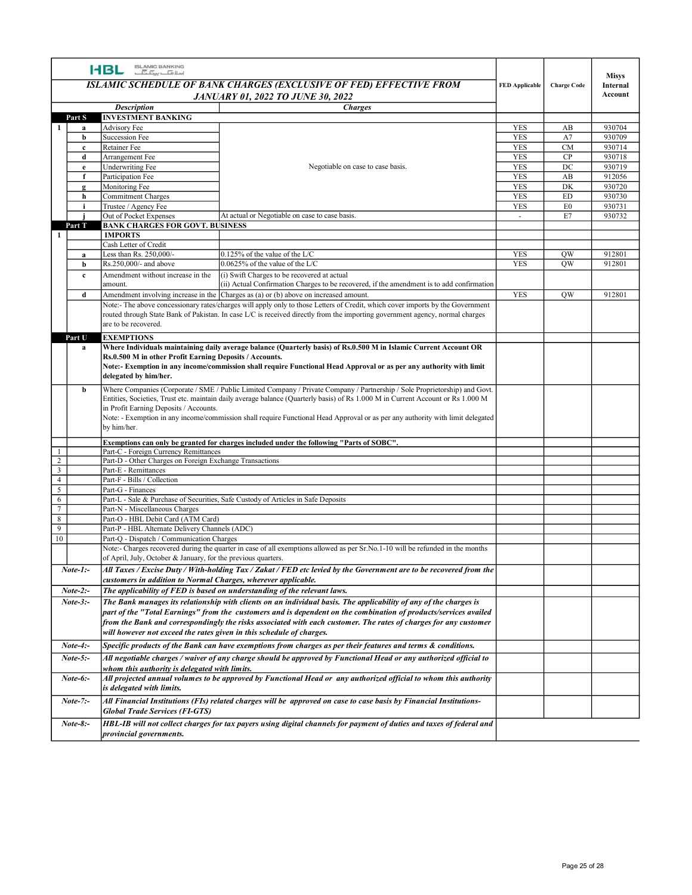|                | ISLAMIC BANKING<br>اسلا <del>مات پیک آب</del><br><b>HBL</b>                                 |                                                                                                                                                                                                                                                                                                                                                                                                 |                       |                    |                                     |
|----------------|---------------------------------------------------------------------------------------------|-------------------------------------------------------------------------------------------------------------------------------------------------------------------------------------------------------------------------------------------------------------------------------------------------------------------------------------------------------------------------------------------------|-----------------------|--------------------|-------------------------------------|
|                |                                                                                             | <b>ISLAMIC SCHEDULE OF BANK CHARGES (EXCLUSIVE OF FED) EFFECTIVE FROM</b><br><b>JANUARY 01, 2022 TO JUNE 30, 2022</b>                                                                                                                                                                                                                                                                           | <b>FED Applicable</b> | <b>Charge Code</b> | <b>Misys</b><br>Internal<br>Account |
|                | <b>Description</b>                                                                          |                                                                                                                                                                                                                                                                                                                                                                                                 |                       |                    |                                     |
| Part S         | <b>INVESTMENT BANKING</b>                                                                   | <b>Charges</b>                                                                                                                                                                                                                                                                                                                                                                                  |                       |                    |                                     |
| я              | Advisory Fee                                                                                |                                                                                                                                                                                                                                                                                                                                                                                                 | <b>YES</b>            | AB                 | 930704                              |
| b              | <b>Succession Fee</b>                                                                       |                                                                                                                                                                                                                                                                                                                                                                                                 | YES                   | A7                 | 930709                              |
| $\mathbf{c}$   | Retainer Fee                                                                                |                                                                                                                                                                                                                                                                                                                                                                                                 | <b>YES</b>            | CM                 | 930714                              |
| d              | Arrangement Fee                                                                             |                                                                                                                                                                                                                                                                                                                                                                                                 | <b>YES</b>            | CP                 | 930718                              |
| $\mathbf{e}$   | <b>Underwriting Fee</b>                                                                     | Negotiable on case to case basis.                                                                                                                                                                                                                                                                                                                                                               | <b>YES</b>            | $_{\mathrm{DC}}$   | 930719                              |
|                | Participation Fee                                                                           |                                                                                                                                                                                                                                                                                                                                                                                                 | YES                   | AB                 | 912056                              |
|                | Monitoring Fee                                                                              |                                                                                                                                                                                                                                                                                                                                                                                                 | <b>YES</b>            | DK                 | 930720                              |
| h              | <b>Commitment Charges</b>                                                                   |                                                                                                                                                                                                                                                                                                                                                                                                 | <b>YES</b>            | <b>ED</b>          | 930730                              |
|                | Trustee / Agency Fee                                                                        |                                                                                                                                                                                                                                                                                                                                                                                                 | <b>YES</b>            | E <sub>0</sub>     | 930731                              |
| Part T         | Out of Pocket Expenses<br><b>BANK CHARGES FOR GOVT. BUSINESS</b>                            | At actual or Negotiable on case to case basis.                                                                                                                                                                                                                                                                                                                                                  | $\sim$                | E7                 | 930732                              |
| -1             | <b>IMPORTS</b>                                                                              |                                                                                                                                                                                                                                                                                                                                                                                                 |                       |                    |                                     |
|                | Cash Letter of Credit                                                                       |                                                                                                                                                                                                                                                                                                                                                                                                 |                       |                    |                                     |
| $\mathbf{a}$   | Less than Rs. 250,000/-                                                                     | $0.125\%$ of the value of the L/C                                                                                                                                                                                                                                                                                                                                                               | YES                   | <b>OW</b>          | 912801                              |
| b              | Rs.250,000/- and above                                                                      | $0.0625\%$ of the value of the L/C                                                                                                                                                                                                                                                                                                                                                              | YES                   | <b>OW</b>          | 912801                              |
| $\mathbf{c}$   | Amendment without increase in the                                                           | (i) Swift Charges to be recovered at actual                                                                                                                                                                                                                                                                                                                                                     |                       |                    |                                     |
|                | amount.                                                                                     | (ii) Actual Confirmation Charges to be recovered, if the amendment is to add confirmation                                                                                                                                                                                                                                                                                                       |                       |                    |                                     |
| d              |                                                                                             | Amendment involving increase in the $ Chargest$ as (a) or (b) above on increased amount.                                                                                                                                                                                                                                                                                                        | YES                   | <b>OW</b>          | 912801                              |
|                | are to be recovered.                                                                        | Note:- The above concessionary rates/charges will apply only to those Letters of Credit, which cover imports by the Government<br>routed through State Bank of Pakistan. In case L/C is received directly from the importing government agency, normal charges                                                                                                                                  |                       |                    |                                     |
| Part U         | <b>EXEMPTIONS</b>                                                                           |                                                                                                                                                                                                                                                                                                                                                                                                 |                       |                    |                                     |
| a              | Rs.0.500 M in other Profit Earning Deposits / Accounts.<br>delegated by him/her.            | Where Individuals maintaining daily average balance (Quarterly basis) of Rs.0.500 M in Islamic Current Account OR<br>Note:- Exemption in any income/commission shall require Functional Head Approval or as per any authority with limit                                                                                                                                                        |                       |                    |                                     |
| b              | in Profit Earning Deposits / Accounts.<br>by him/her.                                       | Where Companies (Corporate / SME / Public Limited Company / Private Company / Partnership / Sole Proprietorship) and Govt.<br>Entities, Societies, Trust etc. maintain daily average balance (Quarterly basis) of Rs 1.000 M in Current Account or Rs 1.000 M<br>Note: - Exemption in any income/commission shall require Functional Head Approval or as per any authority with limit delegated |                       |                    |                                     |
|                |                                                                                             |                                                                                                                                                                                                                                                                                                                                                                                                 |                       |                    |                                     |
| -1             | Part-C - Foreign Currency Remittances                                                       | Exemptions can only be granted for charges included under the following "Parts of SOBC".                                                                                                                                                                                                                                                                                                        |                       |                    |                                     |
| $\overline{2}$ | Part-D - Other Charges on Foreign Exchange Transactions                                     |                                                                                                                                                                                                                                                                                                                                                                                                 |                       |                    |                                     |
| $\mathfrak{Z}$ | Part-E - Remittances                                                                        |                                                                                                                                                                                                                                                                                                                                                                                                 |                       |                    |                                     |
| $\overline{4}$ | Part-F - Bills / Collection                                                                 |                                                                                                                                                                                                                                                                                                                                                                                                 |                       |                    |                                     |
| 5              | Part-G - Finances                                                                           |                                                                                                                                                                                                                                                                                                                                                                                                 |                       |                    |                                     |
| 6              |                                                                                             | Part-L - Sale & Purchase of Securities, Safe Custody of Articles in Safe Deposits                                                                                                                                                                                                                                                                                                               |                       |                    |                                     |
| $\overline{7}$ | Part-N - Miscellaneous Charges                                                              |                                                                                                                                                                                                                                                                                                                                                                                                 |                       |                    |                                     |
| 8<br>9         | Part-O - HBL Debit Card (ATM Card)                                                          |                                                                                                                                                                                                                                                                                                                                                                                                 |                       |                    |                                     |
| 10             | Part-P - HBL Alternate Delivery Channels (ADC)<br>Part-Q - Dispatch / Communication Charges |                                                                                                                                                                                                                                                                                                                                                                                                 |                       |                    |                                     |
|                |                                                                                             | Note:- Charges recovered during the quarter in case of all exemptions allowed as per Sr.No.1-10 will be refunded in the months                                                                                                                                                                                                                                                                  |                       |                    |                                     |
|                | of April, July, October & January, for the previous quarters.                               |                                                                                                                                                                                                                                                                                                                                                                                                 |                       |                    |                                     |
| $Note-1$ :-    | customers in addition to Normal Charges, wherever applicable.                               | All Taxes / Excise Duty / With-holding Tax / Zakat / FED etc levied by the Government are to be recovered from the                                                                                                                                                                                                                                                                              |                       |                    |                                     |
| $Note-2:-$     |                                                                                             | The applicability of FED is based on understanding of the relevant laws.                                                                                                                                                                                                                                                                                                                        |                       |                    |                                     |
| $Note-3$ :-    |                                                                                             | The Bank manages its relationship with clients on an individual basis. The applicability of any of the charges is<br>part of the "Total Earnings" from the customers and is dependent on the combination of products/services availed<br>from the Bank and correspondingly the risks associated with each customer. The rates of charges for any customer                                       |                       |                    |                                     |
|                | will however not exceed the rates given in this schedule of charges.                        |                                                                                                                                                                                                                                                                                                                                                                                                 |                       |                    |                                     |
| $Note-4:$      |                                                                                             | Specific products of the Bank can have exemptions from charges as per their features and terms & conditions.                                                                                                                                                                                                                                                                                    |                       |                    |                                     |
| $Note-5:-$     |                                                                                             | All negotiable charges / waiver of any charge should be approved by Functional Head or any authorized official to                                                                                                                                                                                                                                                                               |                       |                    |                                     |
|                | whom this authority is delegated with limits.                                               |                                                                                                                                                                                                                                                                                                                                                                                                 |                       |                    |                                     |
|                | is delegated with limits.                                                                   | All projected annual volumes to be approved by Functional Head or any authorized official to whom this authority                                                                                                                                                                                                                                                                                |                       |                    |                                     |
| $Note-6$ :-    |                                                                                             |                                                                                                                                                                                                                                                                                                                                                                                                 |                       |                    |                                     |
| $Note-7:-$     |                                                                                             | All Financial Institutions (FIs) related charges will be approved on case to case basis by Financial Institutions-                                                                                                                                                                                                                                                                              |                       |                    |                                     |
| $Note-8:-$     | <b>Global Trade Services (FI-GTS)</b>                                                       | HBL-IB will not collect charges for tax payers using digital channels for payment of duties and taxes of federal and                                                                                                                                                                                                                                                                            |                       |                    |                                     |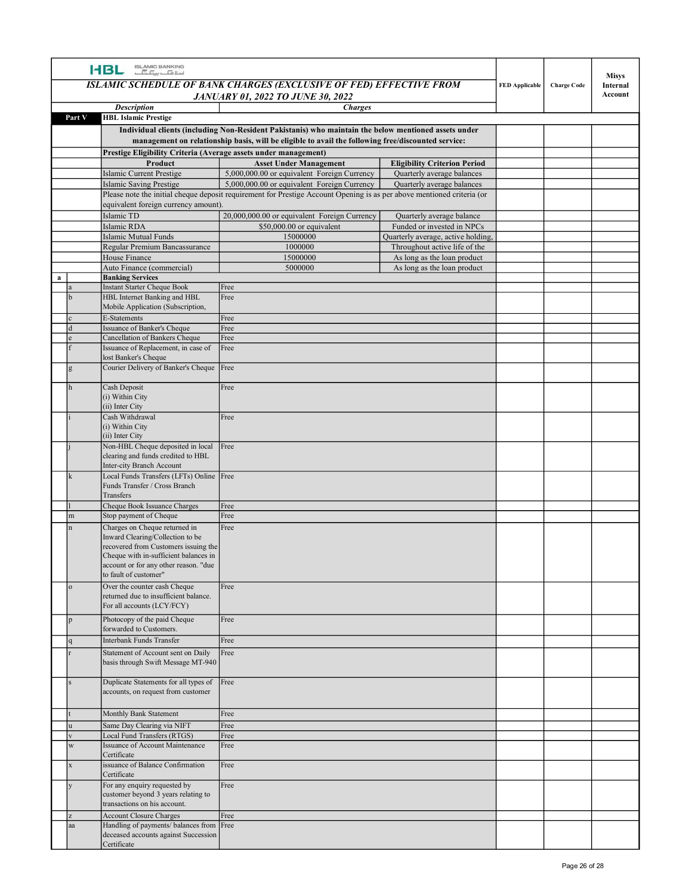|        | ISLAMIC BANKING<br>اسلا <del>مات پین آن</del> ا<br><b>HBL</b>                                                                                              | ISLAMIC SCHEDULE OF BANK CHARGES (EXCLUSIVE OF FED) EFFECTIVE FROM                                                                                                    |                                                              | <b>FED Applicable</b> | <b>Charge Code</b> | <b>Misys</b><br>Internal<br>Account |
|--------|------------------------------------------------------------------------------------------------------------------------------------------------------------|-----------------------------------------------------------------------------------------------------------------------------------------------------------------------|--------------------------------------------------------------|-----------------------|--------------------|-------------------------------------|
|        | <b>Description</b>                                                                                                                                         | <b>JANUARY 01, 2022 TO JUNE 30, 2022</b><br><b>Charges</b>                                                                                                            |                                                              |                       |                    |                                     |
| Part V | <b>HBL Islamic Prestige</b>                                                                                                                                | Individual clients (including Non-Resident Pakistanis) who maintain the below mentioned assets under                                                                  |                                                              |                       |                    |                                     |
|        |                                                                                                                                                            | management on relationship basis, will be eligible to avail the following free/discounted service:                                                                    |                                                              |                       |                    |                                     |
|        | Prestige Eligibility Criteria (Average assets under management)<br>Product                                                                                 | <b>Asset Under Management</b>                                                                                                                                         | <b>Eligibility Criterion Period</b>                          |                       |                    |                                     |
|        | Islamic Current Prestige                                                                                                                                   | 5,000,000.00 or equivalent Foreign Currency                                                                                                                           | Quarterly average balances                                   |                       |                    |                                     |
|        | <b>Islamic Saving Prestige</b>                                                                                                                             | 5,000,000.00 or equivalent Foreign Currency<br>Please note the initial cheque deposit requirement for Prestige Account Opening is as per above mentioned criteria (or | Quarterly average balances                                   |                       |                    |                                     |
|        | equivalent foreign currency amount).                                                                                                                       |                                                                                                                                                                       |                                                              |                       |                    |                                     |
|        | Islamic TD<br>Islamic RDA                                                                                                                                  | 20,000,000.00 or equivalent Foreign Currency<br>\$50,000.00 or equivalent                                                                                             | Quarterly average balance<br>Funded or invested in NPCs      |                       |                    |                                     |
|        | <b>Islamic Mutual Funds</b>                                                                                                                                | 15000000                                                                                                                                                              | Quarterly average, active holding,                           |                       |                    |                                     |
|        | Regular Premium Bancassurance<br>House Finance                                                                                                             | 1000000<br>15000000                                                                                                                                                   | Throughout active life of the<br>As long as the loan product |                       |                    |                                     |
|        | Auto Finance (commercial)<br><b>Banking Services</b>                                                                                                       | 5000000                                                                                                                                                               | As long as the loan product                                  |                       |                    |                                     |
|        | <b>Instant Starter Cheque Book</b>                                                                                                                         | Free                                                                                                                                                                  |                                                              |                       |                    |                                     |
|        | HBL Internet Banking and HBL<br>Mobile Application (Subscription,                                                                                          | Free                                                                                                                                                                  |                                                              |                       |                    |                                     |
|        | E-Statements<br>Issuance of Banker's Cheque                                                                                                                | Free<br>Free                                                                                                                                                          |                                                              |                       |                    |                                     |
|        | Cancellation of Bankers Cheque                                                                                                                             | Free                                                                                                                                                                  |                                                              |                       |                    |                                     |
|        | Issuance of Replacement, in case of<br>lost Banker's Cheque                                                                                                | Free                                                                                                                                                                  |                                                              |                       |                    |                                     |
|        | Courier Delivery of Banker's Cheque   Free                                                                                                                 |                                                                                                                                                                       |                                                              |                       |                    |                                     |
|        | Cash Deposit<br>(i) Within City                                                                                                                            | Free                                                                                                                                                                  |                                                              |                       |                    |                                     |
|        | (ii) Inter City<br>Cash Withdrawal<br>(i) Within City                                                                                                      | Free                                                                                                                                                                  |                                                              |                       |                    |                                     |
|        | (ii) Inter City<br>Non-HBL Cheque deposited in local                                                                                                       | Free                                                                                                                                                                  |                                                              |                       |                    |                                     |
|        | clearing and funds credited to HBL<br>Inter-city Branch Account                                                                                            |                                                                                                                                                                       |                                                              |                       |                    |                                     |
|        | Local Funds Transfers (LFTs) Online Free<br>Funds Transfer / Cross Branch<br>Transfers                                                                     |                                                                                                                                                                       |                                                              |                       |                    |                                     |
|        | Cheque Book Issuance Charges                                                                                                                               | Free                                                                                                                                                                  |                                                              |                       |                    |                                     |
|        | Stop payment of Cheque<br>Charges on Cheque returned in                                                                                                    | Free<br>Free                                                                                                                                                          |                                                              |                       |                    |                                     |
|        | Inward Clearing/Collection to be<br>recovered from Customers issuing the<br>Cheque with in-sufficient balances in<br>account or for any other reason. "due |                                                                                                                                                                       |                                                              |                       |                    |                                     |
|        | to fault of customer"<br>Over the counter cash Cheque<br>returned due to insufficient balance.                                                             | Free                                                                                                                                                                  |                                                              |                       |                    |                                     |
|        | For all accounts (LCY/FCY)<br>Photocopy of the paid Cheque                                                                                                 | Free                                                                                                                                                                  |                                                              |                       |                    |                                     |
|        | forwarded to Customers.<br>Interbank Funds Transfer                                                                                                        | Free                                                                                                                                                                  |                                                              |                       |                    |                                     |
|        | Statement of Account sent on Daily                                                                                                                         | Free                                                                                                                                                                  |                                                              |                       |                    |                                     |
|        | basis through Swift Message MT-940                                                                                                                         |                                                                                                                                                                       |                                                              |                       |                    |                                     |
|        | Duplicate Statements for all types of<br>accounts, on request from customer                                                                                | Free                                                                                                                                                                  |                                                              |                       |                    |                                     |
|        | Monthly Bank Statement                                                                                                                                     | Free                                                                                                                                                                  |                                                              |                       |                    |                                     |
|        | Same Day Clearing via NIFT<br>Local Fund Transfers (RTGS)                                                                                                  | Free<br>Free                                                                                                                                                          |                                                              |                       |                    |                                     |
|        | Issuance of Account Maintenance                                                                                                                            | Free                                                                                                                                                                  |                                                              |                       |                    |                                     |
|        | Certificate<br>issuance of Balance Confirmation                                                                                                            | Free                                                                                                                                                                  |                                                              |                       |                    |                                     |
|        | Certificate<br>For any enquiry requested by                                                                                                                | Free                                                                                                                                                                  |                                                              |                       |                    |                                     |
|        | customer beyond 3 years relating to<br>transactions on his account.                                                                                        |                                                                                                                                                                       |                                                              |                       |                    |                                     |
|        | <b>Account Closure Charges</b><br>Handling of payments/balances from Free<br>deceased accounts against Succession                                          | Free                                                                                                                                                                  |                                                              |                       |                    |                                     |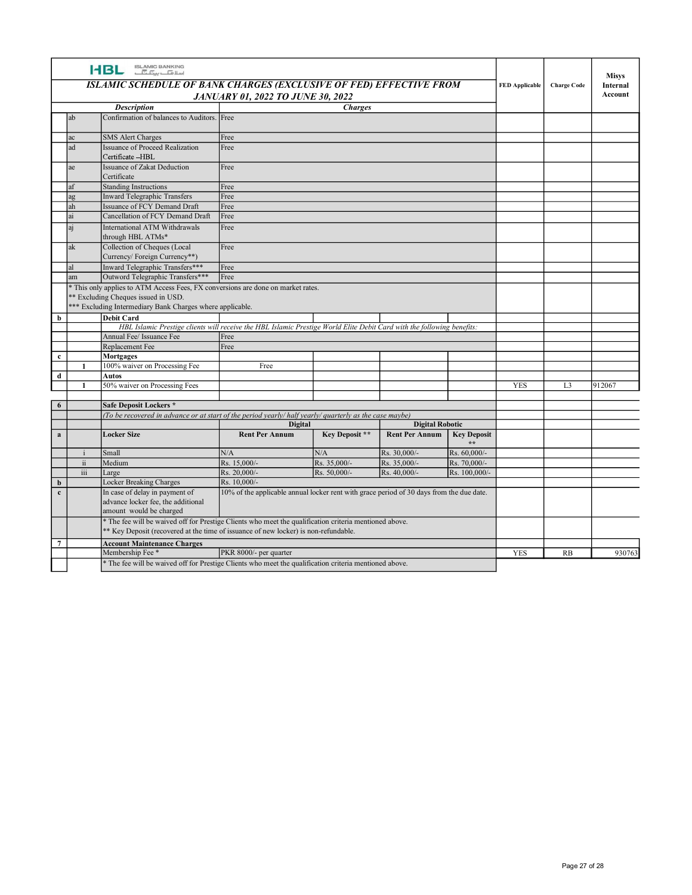| <b>HBL SLAMIC BANKING</b><br><b>Misys</b><br>ISLAMIC SCHEDULE OF BANK CHARGES (EXCLUSIVE OF FED) EFFECTIVE FROM<br><b>FED Applicable</b><br><b>Charge Code</b><br>Internal<br>Account<br><b>JANUARY 01, 2022 TO JUNE 30, 2022</b><br><b>Description</b><br><b>Charges</b><br>Confirmation of balances to Auditors. Free<br>ab<br><b>SMS Alert Charges</b><br>Free<br><b>Issuance of Proceed Realization</b><br>Free<br>ad<br>Certificate -HBL<br>Issuance of Zakat Deduction<br>Free<br>ae<br>Certificate<br>Free<br>af<br>Standing Instructions<br>Inward Telegraphic Transfers<br>Free<br>$\rm ag$<br>ah<br>Issuance of FCY Demand Draft<br>Free<br>Cancellation of FCY Demand Draft<br>Free<br>ai<br>International ATM Withdrawals<br>Free<br>aj<br>through HBL ATMs*<br>Collection of Cheques (Local<br>ak<br>Free<br>Currency/ Foreign Currency**)<br>Inward Telegraphic Transfers***<br>Free<br>al<br>Outword Telegraphic Transfers***<br>Free<br>am<br>* This only applies to ATM Access Fees, FX conversions are done on market rates.<br>** Excluding Cheques issued in USD.<br>*** Excluding Intermediary Bank Charges where applicable.<br>$\overline{\phantom{a}}$<br><b>Debit Card</b><br>HBL Islamic Prestige clients will receive the HBL Islamic Prestige World Elite Debit Card with the following benefits:<br>Annual Fee/ Issuance Fee<br>Free<br>Replacement Fee<br>Free<br>$\overline{c}$<br>Mortgages<br>100% waiver on Processing Fee<br>Free<br>-1<br>$\boxed{d}$<br>Autos<br>L3<br>50% waiver on Processing Fees<br><b>YES</b><br>912067<br>$\boxed{6}$<br>Safe Deposit Lockers *<br>(To be recovered in advance or at start of the period yearly/ half yearly/ quarterly as the case maybe)<br>Digital<br><b>Digital Robotic</b><br>$\overline{a}$<br>Key Deposit **<br><b>Key Deposit</b><br><b>Locker Size</b><br><b>Rent Per Annum</b><br><b>Rent Per Annum</b><br>$\star$ $\star$<br>Rs. 60,000/-<br>N/A<br>$\rm N/A$<br>Rs. 30,000/-<br>Small<br>$\mathbf{i}$<br>Rs. 15,000/-<br>Rs. 35,000/-<br>Medium<br>Rs. 35,000/-<br>Rs. 70,000/-<br>$\overline{\mathbf{u}}$<br>Rs. 20,000/-<br>Rs. 50,000/-<br>Rs. 40,000/-<br>Rs. 100,000/-<br>iii<br>Large<br>$\begin{array}{ c } \hline \mathbf{b} \\ \hline \mathbf{c} \end{array}$<br>Rs. 10,000/-<br>Locker Breaking Charges<br>In case of delay in payment of<br>10% of the applicable annual locker rent with grace period of 30 days from the due date.<br>advance locker fee, the additional<br>amount would be charged<br>* The fee will be waived off for Prestige Clients who meet the qualification criteria mentioned above.<br>* Key Deposit (recovered at the time of issuance of new locker) is non-refundable.<br>$\overline{7}$<br><b>Account Maintenance Charges</b><br>PKR 8000/- per quarter<br>Membership Fee*<br>YES<br>RB<br>* The fee will be waived off for Prestige Clients who meet the qualification criteria mentioned above. |        |  |  |  |  |  |
|-------------------------------------------------------------------------------------------------------------------------------------------------------------------------------------------------------------------------------------------------------------------------------------------------------------------------------------------------------------------------------------------------------------------------------------------------------------------------------------------------------------------------------------------------------------------------------------------------------------------------------------------------------------------------------------------------------------------------------------------------------------------------------------------------------------------------------------------------------------------------------------------------------------------------------------------------------------------------------------------------------------------------------------------------------------------------------------------------------------------------------------------------------------------------------------------------------------------------------------------------------------------------------------------------------------------------------------------------------------------------------------------------------------------------------------------------------------------------------------------------------------------------------------------------------------------------------------------------------------------------------------------------------------------------------------------------------------------------------------------------------------------------------------------------------------------------------------------------------------------------------------------------------------------------------------------------------------------------------------------------------------------------------------------------------------------------------------------------------------------------------------------------------------------------------------------------------------------------------------------------------------------------------------------------------------------------------------------------------------------------------------------------------------------------------------------------------------------------------------------------------------------------------------------------------------------------------------------------------------------------------------------------------------------------------------------------------------------------------------------------------------------------------------------------------------------------------------------------------------------------------------------------------------------------------------|--------|--|--|--|--|--|
|                                                                                                                                                                                                                                                                                                                                                                                                                                                                                                                                                                                                                                                                                                                                                                                                                                                                                                                                                                                                                                                                                                                                                                                                                                                                                                                                                                                                                                                                                                                                                                                                                                                                                                                                                                                                                                                                                                                                                                                                                                                                                                                                                                                                                                                                                                                                                                                                                                                                                                                                                                                                                                                                                                                                                                                                                                                                                                                                     | 930763 |  |  |  |  |  |
|                                                                                                                                                                                                                                                                                                                                                                                                                                                                                                                                                                                                                                                                                                                                                                                                                                                                                                                                                                                                                                                                                                                                                                                                                                                                                                                                                                                                                                                                                                                                                                                                                                                                                                                                                                                                                                                                                                                                                                                                                                                                                                                                                                                                                                                                                                                                                                                                                                                                                                                                                                                                                                                                                                                                                                                                                                                                                                                                     |        |  |  |  |  |  |
|                                                                                                                                                                                                                                                                                                                                                                                                                                                                                                                                                                                                                                                                                                                                                                                                                                                                                                                                                                                                                                                                                                                                                                                                                                                                                                                                                                                                                                                                                                                                                                                                                                                                                                                                                                                                                                                                                                                                                                                                                                                                                                                                                                                                                                                                                                                                                                                                                                                                                                                                                                                                                                                                                                                                                                                                                                                                                                                                     |        |  |  |  |  |  |
|                                                                                                                                                                                                                                                                                                                                                                                                                                                                                                                                                                                                                                                                                                                                                                                                                                                                                                                                                                                                                                                                                                                                                                                                                                                                                                                                                                                                                                                                                                                                                                                                                                                                                                                                                                                                                                                                                                                                                                                                                                                                                                                                                                                                                                                                                                                                                                                                                                                                                                                                                                                                                                                                                                                                                                                                                                                                                                                                     |        |  |  |  |  |  |
|                                                                                                                                                                                                                                                                                                                                                                                                                                                                                                                                                                                                                                                                                                                                                                                                                                                                                                                                                                                                                                                                                                                                                                                                                                                                                                                                                                                                                                                                                                                                                                                                                                                                                                                                                                                                                                                                                                                                                                                                                                                                                                                                                                                                                                                                                                                                                                                                                                                                                                                                                                                                                                                                                                                                                                                                                                                                                                                                     |        |  |  |  |  |  |
|                                                                                                                                                                                                                                                                                                                                                                                                                                                                                                                                                                                                                                                                                                                                                                                                                                                                                                                                                                                                                                                                                                                                                                                                                                                                                                                                                                                                                                                                                                                                                                                                                                                                                                                                                                                                                                                                                                                                                                                                                                                                                                                                                                                                                                                                                                                                                                                                                                                                                                                                                                                                                                                                                                                                                                                                                                                                                                                                     |        |  |  |  |  |  |
|                                                                                                                                                                                                                                                                                                                                                                                                                                                                                                                                                                                                                                                                                                                                                                                                                                                                                                                                                                                                                                                                                                                                                                                                                                                                                                                                                                                                                                                                                                                                                                                                                                                                                                                                                                                                                                                                                                                                                                                                                                                                                                                                                                                                                                                                                                                                                                                                                                                                                                                                                                                                                                                                                                                                                                                                                                                                                                                                     |        |  |  |  |  |  |
|                                                                                                                                                                                                                                                                                                                                                                                                                                                                                                                                                                                                                                                                                                                                                                                                                                                                                                                                                                                                                                                                                                                                                                                                                                                                                                                                                                                                                                                                                                                                                                                                                                                                                                                                                                                                                                                                                                                                                                                                                                                                                                                                                                                                                                                                                                                                                                                                                                                                                                                                                                                                                                                                                                                                                                                                                                                                                                                                     |        |  |  |  |  |  |
|                                                                                                                                                                                                                                                                                                                                                                                                                                                                                                                                                                                                                                                                                                                                                                                                                                                                                                                                                                                                                                                                                                                                                                                                                                                                                                                                                                                                                                                                                                                                                                                                                                                                                                                                                                                                                                                                                                                                                                                                                                                                                                                                                                                                                                                                                                                                                                                                                                                                                                                                                                                                                                                                                                                                                                                                                                                                                                                                     |        |  |  |  |  |  |
|                                                                                                                                                                                                                                                                                                                                                                                                                                                                                                                                                                                                                                                                                                                                                                                                                                                                                                                                                                                                                                                                                                                                                                                                                                                                                                                                                                                                                                                                                                                                                                                                                                                                                                                                                                                                                                                                                                                                                                                                                                                                                                                                                                                                                                                                                                                                                                                                                                                                                                                                                                                                                                                                                                                                                                                                                                                                                                                                     |        |  |  |  |  |  |
|                                                                                                                                                                                                                                                                                                                                                                                                                                                                                                                                                                                                                                                                                                                                                                                                                                                                                                                                                                                                                                                                                                                                                                                                                                                                                                                                                                                                                                                                                                                                                                                                                                                                                                                                                                                                                                                                                                                                                                                                                                                                                                                                                                                                                                                                                                                                                                                                                                                                                                                                                                                                                                                                                                                                                                                                                                                                                                                                     |        |  |  |  |  |  |
|                                                                                                                                                                                                                                                                                                                                                                                                                                                                                                                                                                                                                                                                                                                                                                                                                                                                                                                                                                                                                                                                                                                                                                                                                                                                                                                                                                                                                                                                                                                                                                                                                                                                                                                                                                                                                                                                                                                                                                                                                                                                                                                                                                                                                                                                                                                                                                                                                                                                                                                                                                                                                                                                                                                                                                                                                                                                                                                                     |        |  |  |  |  |  |
|                                                                                                                                                                                                                                                                                                                                                                                                                                                                                                                                                                                                                                                                                                                                                                                                                                                                                                                                                                                                                                                                                                                                                                                                                                                                                                                                                                                                                                                                                                                                                                                                                                                                                                                                                                                                                                                                                                                                                                                                                                                                                                                                                                                                                                                                                                                                                                                                                                                                                                                                                                                                                                                                                                                                                                                                                                                                                                                                     |        |  |  |  |  |  |
|                                                                                                                                                                                                                                                                                                                                                                                                                                                                                                                                                                                                                                                                                                                                                                                                                                                                                                                                                                                                                                                                                                                                                                                                                                                                                                                                                                                                                                                                                                                                                                                                                                                                                                                                                                                                                                                                                                                                                                                                                                                                                                                                                                                                                                                                                                                                                                                                                                                                                                                                                                                                                                                                                                                                                                                                                                                                                                                                     |        |  |  |  |  |  |
|                                                                                                                                                                                                                                                                                                                                                                                                                                                                                                                                                                                                                                                                                                                                                                                                                                                                                                                                                                                                                                                                                                                                                                                                                                                                                                                                                                                                                                                                                                                                                                                                                                                                                                                                                                                                                                                                                                                                                                                                                                                                                                                                                                                                                                                                                                                                                                                                                                                                                                                                                                                                                                                                                                                                                                                                                                                                                                                                     |        |  |  |  |  |  |
|                                                                                                                                                                                                                                                                                                                                                                                                                                                                                                                                                                                                                                                                                                                                                                                                                                                                                                                                                                                                                                                                                                                                                                                                                                                                                                                                                                                                                                                                                                                                                                                                                                                                                                                                                                                                                                                                                                                                                                                                                                                                                                                                                                                                                                                                                                                                                                                                                                                                                                                                                                                                                                                                                                                                                                                                                                                                                                                                     |        |  |  |  |  |  |
|                                                                                                                                                                                                                                                                                                                                                                                                                                                                                                                                                                                                                                                                                                                                                                                                                                                                                                                                                                                                                                                                                                                                                                                                                                                                                                                                                                                                                                                                                                                                                                                                                                                                                                                                                                                                                                                                                                                                                                                                                                                                                                                                                                                                                                                                                                                                                                                                                                                                                                                                                                                                                                                                                                                                                                                                                                                                                                                                     |        |  |  |  |  |  |
|                                                                                                                                                                                                                                                                                                                                                                                                                                                                                                                                                                                                                                                                                                                                                                                                                                                                                                                                                                                                                                                                                                                                                                                                                                                                                                                                                                                                                                                                                                                                                                                                                                                                                                                                                                                                                                                                                                                                                                                                                                                                                                                                                                                                                                                                                                                                                                                                                                                                                                                                                                                                                                                                                                                                                                                                                                                                                                                                     |        |  |  |  |  |  |
|                                                                                                                                                                                                                                                                                                                                                                                                                                                                                                                                                                                                                                                                                                                                                                                                                                                                                                                                                                                                                                                                                                                                                                                                                                                                                                                                                                                                                                                                                                                                                                                                                                                                                                                                                                                                                                                                                                                                                                                                                                                                                                                                                                                                                                                                                                                                                                                                                                                                                                                                                                                                                                                                                                                                                                                                                                                                                                                                     |        |  |  |  |  |  |
|                                                                                                                                                                                                                                                                                                                                                                                                                                                                                                                                                                                                                                                                                                                                                                                                                                                                                                                                                                                                                                                                                                                                                                                                                                                                                                                                                                                                                                                                                                                                                                                                                                                                                                                                                                                                                                                                                                                                                                                                                                                                                                                                                                                                                                                                                                                                                                                                                                                                                                                                                                                                                                                                                                                                                                                                                                                                                                                                     |        |  |  |  |  |  |
|                                                                                                                                                                                                                                                                                                                                                                                                                                                                                                                                                                                                                                                                                                                                                                                                                                                                                                                                                                                                                                                                                                                                                                                                                                                                                                                                                                                                                                                                                                                                                                                                                                                                                                                                                                                                                                                                                                                                                                                                                                                                                                                                                                                                                                                                                                                                                                                                                                                                                                                                                                                                                                                                                                                                                                                                                                                                                                                                     |        |  |  |  |  |  |
|                                                                                                                                                                                                                                                                                                                                                                                                                                                                                                                                                                                                                                                                                                                                                                                                                                                                                                                                                                                                                                                                                                                                                                                                                                                                                                                                                                                                                                                                                                                                                                                                                                                                                                                                                                                                                                                                                                                                                                                                                                                                                                                                                                                                                                                                                                                                                                                                                                                                                                                                                                                                                                                                                                                                                                                                                                                                                                                                     |        |  |  |  |  |  |
|                                                                                                                                                                                                                                                                                                                                                                                                                                                                                                                                                                                                                                                                                                                                                                                                                                                                                                                                                                                                                                                                                                                                                                                                                                                                                                                                                                                                                                                                                                                                                                                                                                                                                                                                                                                                                                                                                                                                                                                                                                                                                                                                                                                                                                                                                                                                                                                                                                                                                                                                                                                                                                                                                                                                                                                                                                                                                                                                     |        |  |  |  |  |  |
|                                                                                                                                                                                                                                                                                                                                                                                                                                                                                                                                                                                                                                                                                                                                                                                                                                                                                                                                                                                                                                                                                                                                                                                                                                                                                                                                                                                                                                                                                                                                                                                                                                                                                                                                                                                                                                                                                                                                                                                                                                                                                                                                                                                                                                                                                                                                                                                                                                                                                                                                                                                                                                                                                                                                                                                                                                                                                                                                     |        |  |  |  |  |  |
|                                                                                                                                                                                                                                                                                                                                                                                                                                                                                                                                                                                                                                                                                                                                                                                                                                                                                                                                                                                                                                                                                                                                                                                                                                                                                                                                                                                                                                                                                                                                                                                                                                                                                                                                                                                                                                                                                                                                                                                                                                                                                                                                                                                                                                                                                                                                                                                                                                                                                                                                                                                                                                                                                                                                                                                                                                                                                                                                     |        |  |  |  |  |  |
|                                                                                                                                                                                                                                                                                                                                                                                                                                                                                                                                                                                                                                                                                                                                                                                                                                                                                                                                                                                                                                                                                                                                                                                                                                                                                                                                                                                                                                                                                                                                                                                                                                                                                                                                                                                                                                                                                                                                                                                                                                                                                                                                                                                                                                                                                                                                                                                                                                                                                                                                                                                                                                                                                                                                                                                                                                                                                                                                     |        |  |  |  |  |  |
|                                                                                                                                                                                                                                                                                                                                                                                                                                                                                                                                                                                                                                                                                                                                                                                                                                                                                                                                                                                                                                                                                                                                                                                                                                                                                                                                                                                                                                                                                                                                                                                                                                                                                                                                                                                                                                                                                                                                                                                                                                                                                                                                                                                                                                                                                                                                                                                                                                                                                                                                                                                                                                                                                                                                                                                                                                                                                                                                     |        |  |  |  |  |  |
|                                                                                                                                                                                                                                                                                                                                                                                                                                                                                                                                                                                                                                                                                                                                                                                                                                                                                                                                                                                                                                                                                                                                                                                                                                                                                                                                                                                                                                                                                                                                                                                                                                                                                                                                                                                                                                                                                                                                                                                                                                                                                                                                                                                                                                                                                                                                                                                                                                                                                                                                                                                                                                                                                                                                                                                                                                                                                                                                     |        |  |  |  |  |  |
|                                                                                                                                                                                                                                                                                                                                                                                                                                                                                                                                                                                                                                                                                                                                                                                                                                                                                                                                                                                                                                                                                                                                                                                                                                                                                                                                                                                                                                                                                                                                                                                                                                                                                                                                                                                                                                                                                                                                                                                                                                                                                                                                                                                                                                                                                                                                                                                                                                                                                                                                                                                                                                                                                                                                                                                                                                                                                                                                     |        |  |  |  |  |  |
|                                                                                                                                                                                                                                                                                                                                                                                                                                                                                                                                                                                                                                                                                                                                                                                                                                                                                                                                                                                                                                                                                                                                                                                                                                                                                                                                                                                                                                                                                                                                                                                                                                                                                                                                                                                                                                                                                                                                                                                                                                                                                                                                                                                                                                                                                                                                                                                                                                                                                                                                                                                                                                                                                                                                                                                                                                                                                                                                     |        |  |  |  |  |  |
|                                                                                                                                                                                                                                                                                                                                                                                                                                                                                                                                                                                                                                                                                                                                                                                                                                                                                                                                                                                                                                                                                                                                                                                                                                                                                                                                                                                                                                                                                                                                                                                                                                                                                                                                                                                                                                                                                                                                                                                                                                                                                                                                                                                                                                                                                                                                                                                                                                                                                                                                                                                                                                                                                                                                                                                                                                                                                                                                     |        |  |  |  |  |  |
|                                                                                                                                                                                                                                                                                                                                                                                                                                                                                                                                                                                                                                                                                                                                                                                                                                                                                                                                                                                                                                                                                                                                                                                                                                                                                                                                                                                                                                                                                                                                                                                                                                                                                                                                                                                                                                                                                                                                                                                                                                                                                                                                                                                                                                                                                                                                                                                                                                                                                                                                                                                                                                                                                                                                                                                                                                                                                                                                     |        |  |  |  |  |  |
|                                                                                                                                                                                                                                                                                                                                                                                                                                                                                                                                                                                                                                                                                                                                                                                                                                                                                                                                                                                                                                                                                                                                                                                                                                                                                                                                                                                                                                                                                                                                                                                                                                                                                                                                                                                                                                                                                                                                                                                                                                                                                                                                                                                                                                                                                                                                                                                                                                                                                                                                                                                                                                                                                                                                                                                                                                                                                                                                     |        |  |  |  |  |  |
|                                                                                                                                                                                                                                                                                                                                                                                                                                                                                                                                                                                                                                                                                                                                                                                                                                                                                                                                                                                                                                                                                                                                                                                                                                                                                                                                                                                                                                                                                                                                                                                                                                                                                                                                                                                                                                                                                                                                                                                                                                                                                                                                                                                                                                                                                                                                                                                                                                                                                                                                                                                                                                                                                                                                                                                                                                                                                                                                     |        |  |  |  |  |  |
|                                                                                                                                                                                                                                                                                                                                                                                                                                                                                                                                                                                                                                                                                                                                                                                                                                                                                                                                                                                                                                                                                                                                                                                                                                                                                                                                                                                                                                                                                                                                                                                                                                                                                                                                                                                                                                                                                                                                                                                                                                                                                                                                                                                                                                                                                                                                                                                                                                                                                                                                                                                                                                                                                                                                                                                                                                                                                                                                     |        |  |  |  |  |  |
|                                                                                                                                                                                                                                                                                                                                                                                                                                                                                                                                                                                                                                                                                                                                                                                                                                                                                                                                                                                                                                                                                                                                                                                                                                                                                                                                                                                                                                                                                                                                                                                                                                                                                                                                                                                                                                                                                                                                                                                                                                                                                                                                                                                                                                                                                                                                                                                                                                                                                                                                                                                                                                                                                                                                                                                                                                                                                                                                     |        |  |  |  |  |  |
|                                                                                                                                                                                                                                                                                                                                                                                                                                                                                                                                                                                                                                                                                                                                                                                                                                                                                                                                                                                                                                                                                                                                                                                                                                                                                                                                                                                                                                                                                                                                                                                                                                                                                                                                                                                                                                                                                                                                                                                                                                                                                                                                                                                                                                                                                                                                                                                                                                                                                                                                                                                                                                                                                                                                                                                                                                                                                                                                     |        |  |  |  |  |  |
|                                                                                                                                                                                                                                                                                                                                                                                                                                                                                                                                                                                                                                                                                                                                                                                                                                                                                                                                                                                                                                                                                                                                                                                                                                                                                                                                                                                                                                                                                                                                                                                                                                                                                                                                                                                                                                                                                                                                                                                                                                                                                                                                                                                                                                                                                                                                                                                                                                                                                                                                                                                                                                                                                                                                                                                                                                                                                                                                     |        |  |  |  |  |  |
|                                                                                                                                                                                                                                                                                                                                                                                                                                                                                                                                                                                                                                                                                                                                                                                                                                                                                                                                                                                                                                                                                                                                                                                                                                                                                                                                                                                                                                                                                                                                                                                                                                                                                                                                                                                                                                                                                                                                                                                                                                                                                                                                                                                                                                                                                                                                                                                                                                                                                                                                                                                                                                                                                                                                                                                                                                                                                                                                     |        |  |  |  |  |  |
|                                                                                                                                                                                                                                                                                                                                                                                                                                                                                                                                                                                                                                                                                                                                                                                                                                                                                                                                                                                                                                                                                                                                                                                                                                                                                                                                                                                                                                                                                                                                                                                                                                                                                                                                                                                                                                                                                                                                                                                                                                                                                                                                                                                                                                                                                                                                                                                                                                                                                                                                                                                                                                                                                                                                                                                                                                                                                                                                     |        |  |  |  |  |  |
|                                                                                                                                                                                                                                                                                                                                                                                                                                                                                                                                                                                                                                                                                                                                                                                                                                                                                                                                                                                                                                                                                                                                                                                                                                                                                                                                                                                                                                                                                                                                                                                                                                                                                                                                                                                                                                                                                                                                                                                                                                                                                                                                                                                                                                                                                                                                                                                                                                                                                                                                                                                                                                                                                                                                                                                                                                                                                                                                     |        |  |  |  |  |  |
|                                                                                                                                                                                                                                                                                                                                                                                                                                                                                                                                                                                                                                                                                                                                                                                                                                                                                                                                                                                                                                                                                                                                                                                                                                                                                                                                                                                                                                                                                                                                                                                                                                                                                                                                                                                                                                                                                                                                                                                                                                                                                                                                                                                                                                                                                                                                                                                                                                                                                                                                                                                                                                                                                                                                                                                                                                                                                                                                     |        |  |  |  |  |  |
|                                                                                                                                                                                                                                                                                                                                                                                                                                                                                                                                                                                                                                                                                                                                                                                                                                                                                                                                                                                                                                                                                                                                                                                                                                                                                                                                                                                                                                                                                                                                                                                                                                                                                                                                                                                                                                                                                                                                                                                                                                                                                                                                                                                                                                                                                                                                                                                                                                                                                                                                                                                                                                                                                                                                                                                                                                                                                                                                     |        |  |  |  |  |  |
|                                                                                                                                                                                                                                                                                                                                                                                                                                                                                                                                                                                                                                                                                                                                                                                                                                                                                                                                                                                                                                                                                                                                                                                                                                                                                                                                                                                                                                                                                                                                                                                                                                                                                                                                                                                                                                                                                                                                                                                                                                                                                                                                                                                                                                                                                                                                                                                                                                                                                                                                                                                                                                                                                                                                                                                                                                                                                                                                     |        |  |  |  |  |  |
|                                                                                                                                                                                                                                                                                                                                                                                                                                                                                                                                                                                                                                                                                                                                                                                                                                                                                                                                                                                                                                                                                                                                                                                                                                                                                                                                                                                                                                                                                                                                                                                                                                                                                                                                                                                                                                                                                                                                                                                                                                                                                                                                                                                                                                                                                                                                                                                                                                                                                                                                                                                                                                                                                                                                                                                                                                                                                                                                     |        |  |  |  |  |  |
|                                                                                                                                                                                                                                                                                                                                                                                                                                                                                                                                                                                                                                                                                                                                                                                                                                                                                                                                                                                                                                                                                                                                                                                                                                                                                                                                                                                                                                                                                                                                                                                                                                                                                                                                                                                                                                                                                                                                                                                                                                                                                                                                                                                                                                                                                                                                                                                                                                                                                                                                                                                                                                                                                                                                                                                                                                                                                                                                     |        |  |  |  |  |  |
|                                                                                                                                                                                                                                                                                                                                                                                                                                                                                                                                                                                                                                                                                                                                                                                                                                                                                                                                                                                                                                                                                                                                                                                                                                                                                                                                                                                                                                                                                                                                                                                                                                                                                                                                                                                                                                                                                                                                                                                                                                                                                                                                                                                                                                                                                                                                                                                                                                                                                                                                                                                                                                                                                                                                                                                                                                                                                                                                     |        |  |  |  |  |  |
|                                                                                                                                                                                                                                                                                                                                                                                                                                                                                                                                                                                                                                                                                                                                                                                                                                                                                                                                                                                                                                                                                                                                                                                                                                                                                                                                                                                                                                                                                                                                                                                                                                                                                                                                                                                                                                                                                                                                                                                                                                                                                                                                                                                                                                                                                                                                                                                                                                                                                                                                                                                                                                                                                                                                                                                                                                                                                                                                     |        |  |  |  |  |  |
|                                                                                                                                                                                                                                                                                                                                                                                                                                                                                                                                                                                                                                                                                                                                                                                                                                                                                                                                                                                                                                                                                                                                                                                                                                                                                                                                                                                                                                                                                                                                                                                                                                                                                                                                                                                                                                                                                                                                                                                                                                                                                                                                                                                                                                                                                                                                                                                                                                                                                                                                                                                                                                                                                                                                                                                                                                                                                                                                     |        |  |  |  |  |  |
|                                                                                                                                                                                                                                                                                                                                                                                                                                                                                                                                                                                                                                                                                                                                                                                                                                                                                                                                                                                                                                                                                                                                                                                                                                                                                                                                                                                                                                                                                                                                                                                                                                                                                                                                                                                                                                                                                                                                                                                                                                                                                                                                                                                                                                                                                                                                                                                                                                                                                                                                                                                                                                                                                                                                                                                                                                                                                                                                     |        |  |  |  |  |  |
|                                                                                                                                                                                                                                                                                                                                                                                                                                                                                                                                                                                                                                                                                                                                                                                                                                                                                                                                                                                                                                                                                                                                                                                                                                                                                                                                                                                                                                                                                                                                                                                                                                                                                                                                                                                                                                                                                                                                                                                                                                                                                                                                                                                                                                                                                                                                                                                                                                                                                                                                                                                                                                                                                                                                                                                                                                                                                                                                     |        |  |  |  |  |  |
|                                                                                                                                                                                                                                                                                                                                                                                                                                                                                                                                                                                                                                                                                                                                                                                                                                                                                                                                                                                                                                                                                                                                                                                                                                                                                                                                                                                                                                                                                                                                                                                                                                                                                                                                                                                                                                                                                                                                                                                                                                                                                                                                                                                                                                                                                                                                                                                                                                                                                                                                                                                                                                                                                                                                                                                                                                                                                                                                     |        |  |  |  |  |  |
|                                                                                                                                                                                                                                                                                                                                                                                                                                                                                                                                                                                                                                                                                                                                                                                                                                                                                                                                                                                                                                                                                                                                                                                                                                                                                                                                                                                                                                                                                                                                                                                                                                                                                                                                                                                                                                                                                                                                                                                                                                                                                                                                                                                                                                                                                                                                                                                                                                                                                                                                                                                                                                                                                                                                                                                                                                                                                                                                     |        |  |  |  |  |  |
|                                                                                                                                                                                                                                                                                                                                                                                                                                                                                                                                                                                                                                                                                                                                                                                                                                                                                                                                                                                                                                                                                                                                                                                                                                                                                                                                                                                                                                                                                                                                                                                                                                                                                                                                                                                                                                                                                                                                                                                                                                                                                                                                                                                                                                                                                                                                                                                                                                                                                                                                                                                                                                                                                                                                                                                                                                                                                                                                     |        |  |  |  |  |  |
|                                                                                                                                                                                                                                                                                                                                                                                                                                                                                                                                                                                                                                                                                                                                                                                                                                                                                                                                                                                                                                                                                                                                                                                                                                                                                                                                                                                                                                                                                                                                                                                                                                                                                                                                                                                                                                                                                                                                                                                                                                                                                                                                                                                                                                                                                                                                                                                                                                                                                                                                                                                                                                                                                                                                                                                                                                                                                                                                     |        |  |  |  |  |  |
|                                                                                                                                                                                                                                                                                                                                                                                                                                                                                                                                                                                                                                                                                                                                                                                                                                                                                                                                                                                                                                                                                                                                                                                                                                                                                                                                                                                                                                                                                                                                                                                                                                                                                                                                                                                                                                                                                                                                                                                                                                                                                                                                                                                                                                                                                                                                                                                                                                                                                                                                                                                                                                                                                                                                                                                                                                                                                                                                     |        |  |  |  |  |  |
|                                                                                                                                                                                                                                                                                                                                                                                                                                                                                                                                                                                                                                                                                                                                                                                                                                                                                                                                                                                                                                                                                                                                                                                                                                                                                                                                                                                                                                                                                                                                                                                                                                                                                                                                                                                                                                                                                                                                                                                                                                                                                                                                                                                                                                                                                                                                                                                                                                                                                                                                                                                                                                                                                                                                                                                                                                                                                                                                     |        |  |  |  |  |  |
|                                                                                                                                                                                                                                                                                                                                                                                                                                                                                                                                                                                                                                                                                                                                                                                                                                                                                                                                                                                                                                                                                                                                                                                                                                                                                                                                                                                                                                                                                                                                                                                                                                                                                                                                                                                                                                                                                                                                                                                                                                                                                                                                                                                                                                                                                                                                                                                                                                                                                                                                                                                                                                                                                                                                                                                                                                                                                                                                     |        |  |  |  |  |  |
|                                                                                                                                                                                                                                                                                                                                                                                                                                                                                                                                                                                                                                                                                                                                                                                                                                                                                                                                                                                                                                                                                                                                                                                                                                                                                                                                                                                                                                                                                                                                                                                                                                                                                                                                                                                                                                                                                                                                                                                                                                                                                                                                                                                                                                                                                                                                                                                                                                                                                                                                                                                                                                                                                                                                                                                                                                                                                                                                     |        |  |  |  |  |  |
|                                                                                                                                                                                                                                                                                                                                                                                                                                                                                                                                                                                                                                                                                                                                                                                                                                                                                                                                                                                                                                                                                                                                                                                                                                                                                                                                                                                                                                                                                                                                                                                                                                                                                                                                                                                                                                                                                                                                                                                                                                                                                                                                                                                                                                                                                                                                                                                                                                                                                                                                                                                                                                                                                                                                                                                                                                                                                                                                     |        |  |  |  |  |  |
|                                                                                                                                                                                                                                                                                                                                                                                                                                                                                                                                                                                                                                                                                                                                                                                                                                                                                                                                                                                                                                                                                                                                                                                                                                                                                                                                                                                                                                                                                                                                                                                                                                                                                                                                                                                                                                                                                                                                                                                                                                                                                                                                                                                                                                                                                                                                                                                                                                                                                                                                                                                                                                                                                                                                                                                                                                                                                                                                     |        |  |  |  |  |  |
|                                                                                                                                                                                                                                                                                                                                                                                                                                                                                                                                                                                                                                                                                                                                                                                                                                                                                                                                                                                                                                                                                                                                                                                                                                                                                                                                                                                                                                                                                                                                                                                                                                                                                                                                                                                                                                                                                                                                                                                                                                                                                                                                                                                                                                                                                                                                                                                                                                                                                                                                                                                                                                                                                                                                                                                                                                                                                                                                     |        |  |  |  |  |  |
|                                                                                                                                                                                                                                                                                                                                                                                                                                                                                                                                                                                                                                                                                                                                                                                                                                                                                                                                                                                                                                                                                                                                                                                                                                                                                                                                                                                                                                                                                                                                                                                                                                                                                                                                                                                                                                                                                                                                                                                                                                                                                                                                                                                                                                                                                                                                                                                                                                                                                                                                                                                                                                                                                                                                                                                                                                                                                                                                     |        |  |  |  |  |  |